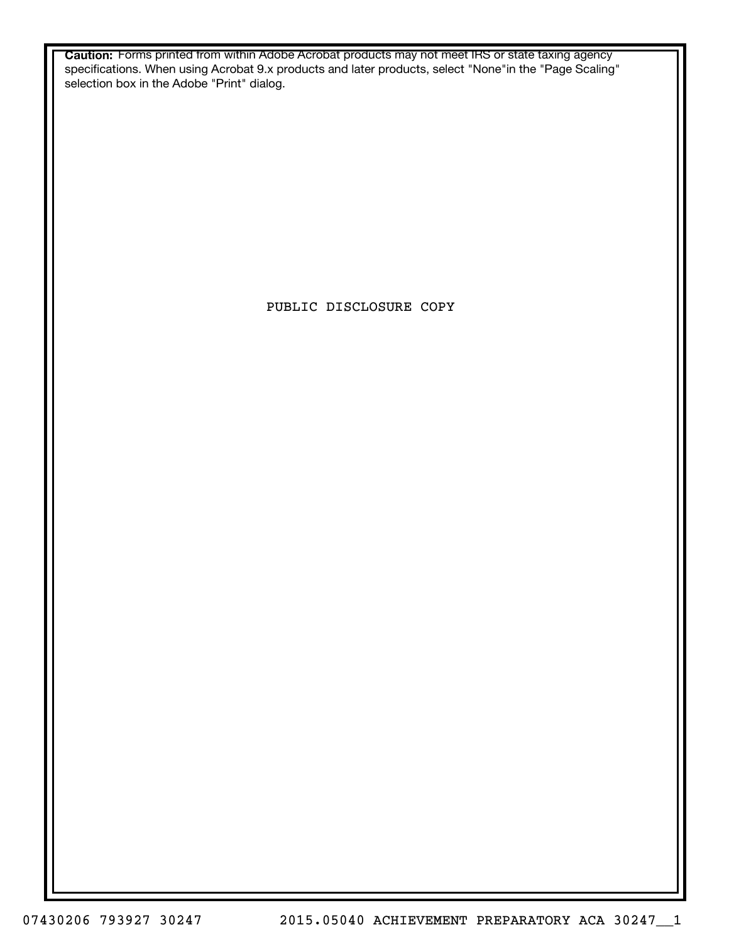**Caution:** Forms printed from within Adobe Acrobat products may not meet IRS or state taxing agency specifications. When using Acrobat 9.x products and later products, select "None"in the "Page Scaling" selection box in the Adobe "Print" dialog.

PUBLIC DISCLOSURE COPY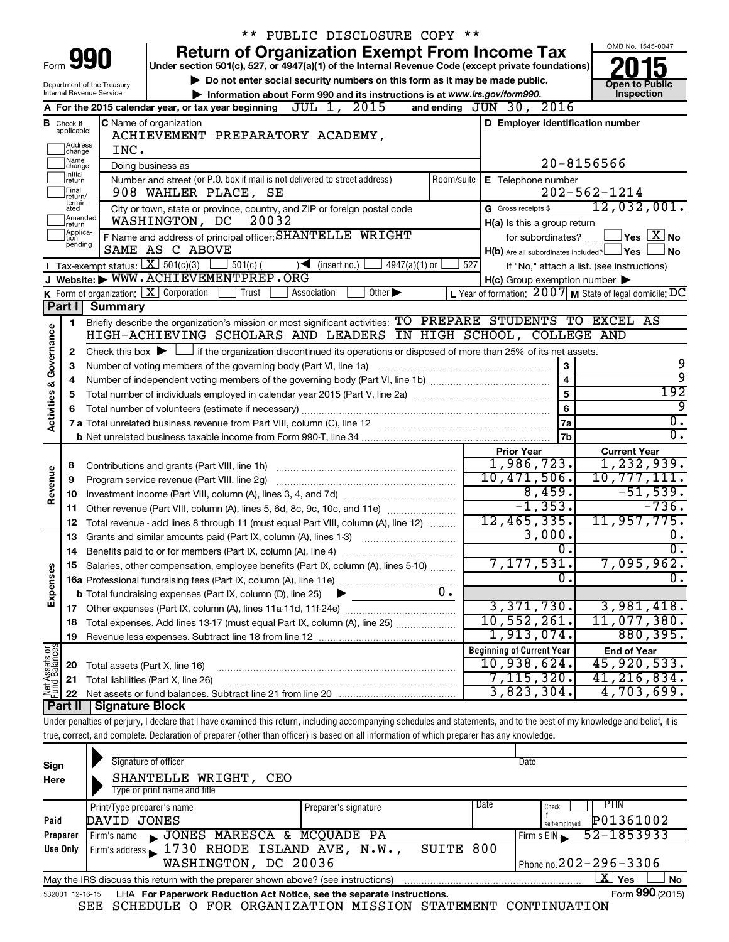|                         |                               |                                                                                                                                             | ** PUBLIC DISCLOSURE COPY **                                                                                                                                                   |                                                     |                                                                        |  |  |
|-------------------------|-------------------------------|---------------------------------------------------------------------------------------------------------------------------------------------|--------------------------------------------------------------------------------------------------------------------------------------------------------------------------------|-----------------------------------------------------|------------------------------------------------------------------------|--|--|
|                         |                               |                                                                                                                                             | <b>Return of Organization Exempt From Income Tax</b>                                                                                                                           |                                                     | OMB No. 1545-0047                                                      |  |  |
|                         |                               | Form <b>990</b>                                                                                                                             | Under section 501(c), 527, or 4947(a)(1) of the Internal Revenue Code (except private foundations)                                                                             |                                                     |                                                                        |  |  |
|                         |                               | Department of the Treasury                                                                                                                  | Do not enter social security numbers on this form as it may be made public.                                                                                                    |                                                     | <b>Open to Public</b>                                                  |  |  |
|                         |                               | <b>Internal Revenue Service</b>                                                                                                             | Information about Form 990 and its instructions is at www.irs.gov/form990.                                                                                                     |                                                     | Inspection                                                             |  |  |
|                         |                               |                                                                                                                                             | A For the 2015 calendar year, or tax year beginning $J\overline{UL} 1$ , $2015$                                                                                                | and ending JUN 30, 2016                             |                                                                        |  |  |
|                         | <b>B</b> Check if applicable: |                                                                                                                                             | C Name of organization<br>ACHIEVEMENT PREPARATORY ACADEMY,                                                                                                                     | D Employer identification number                    |                                                                        |  |  |
|                         | ]Address<br>]change           | INC.                                                                                                                                        |                                                                                                                                                                                |                                                     |                                                                        |  |  |
|                         | Name                          |                                                                                                                                             | Doing business as                                                                                                                                                              |                                                     | $20 - 8156566$                                                         |  |  |
|                         | change<br>Initial<br>∣return  |                                                                                                                                             | Number and street (or P.O. box if mail is not delivered to street address)<br>Room/suite                                                                                       | E Telephone number                                  |                                                                        |  |  |
|                         | Final<br>return/              |                                                                                                                                             | 908 WAHLER PLACE, SE                                                                                                                                                           |                                                     | $202 - 562 - 1214$                                                     |  |  |
|                         | termin-<br>ated               |                                                                                                                                             | City or town, state or province, country, and ZIP or foreign postal code                                                                                                       | G Gross receipts \$                                 | 12,032,001.                                                            |  |  |
|                         | Amended<br>Ireturn            |                                                                                                                                             | 20032<br>WASHINGTON, DC                                                                                                                                                        | H(a) Is this a group return                         |                                                                        |  |  |
|                         | Applica-<br>Ition             | for subordinates?                                                                                                                           | $\Box$ Yes $\Box$ X $\Box$ No                                                                                                                                                  |                                                     |                                                                        |  |  |
|                         | pending                       |                                                                                                                                             | F Name and address of principal officer: SHANTELLE WRIGHT<br>SAME AS C ABOVE                                                                                                   | $H(b)$ Are all subordinates included? $\Box$ Yes    | ∣No                                                                    |  |  |
|                         |                               | Tax-exempt status: $X \over 301(c)(3)$                                                                                                      | $501(c)$ (<br>$\sqrt{\frac{1}{1}}$ (insert no.)<br>$4947(a)(1)$ or<br>527                                                                                                      |                                                     | If "No," attach a list. (see instructions)                             |  |  |
|                         |                               |                                                                                                                                             | J Website: WWW.ACHIEVEMENTPREP.ORG                                                                                                                                             | $H(c)$ Group exemption number $\blacktriangleright$ |                                                                        |  |  |
|                         |                               |                                                                                                                                             | K Form of organization: $X$ Corporation<br>Other $\blacktriangleright$<br>Trust<br>Association                                                                                 |                                                     | L Year of formation: $2007$ M State of legal domicile: $\overline{DC}$ |  |  |
|                         | Part I                        | Summary                                                                                                                                     |                                                                                                                                                                                |                                                     |                                                                        |  |  |
|                         | 1                             |                                                                                                                                             | Briefly describe the organization's mission or most significant activities: TO PREPARE STUDENTS TO EXCEL AS<br>HIGH-ACHIEVING SCHOLARS AND LEADERS IN HIGH SCHOOL, COLLEGE AND |                                                     |                                                                        |  |  |
|                         |                               |                                                                                                                                             |                                                                                                                                                                                |                                                     |                                                                        |  |  |
| Governance              | 2<br>З                        | Check this box $\blacktriangleright$ $\Box$ if the organization discontinued its operations or disposed of more than 25% of its net assets. | 9                                                                                                                                                                              |                                                     |                                                                        |  |  |
|                         | 4                             |                                                                                                                                             | 3<br>Number of voting members of the governing body (Part VI, line 1a)<br>$\overline{4}$                                                                                       |                                                     |                                                                        |  |  |
|                         | 5                             |                                                                                                                                             | 9<br>192                                                                                                                                                                       |                                                     |                                                                        |  |  |
| <b>Activities &amp;</b> | 6                             |                                                                                                                                             |                                                                                                                                                                                | 5<br>6                                              | 9                                                                      |  |  |
|                         |                               |                                                                                                                                             |                                                                                                                                                                                | 7a                                                  | $\overline{0}$ .                                                       |  |  |
|                         |                               |                                                                                                                                             |                                                                                                                                                                                | 7b                                                  | $\overline{0}$ .                                                       |  |  |
|                         |                               |                                                                                                                                             |                                                                                                                                                                                | <b>Prior Year</b>                                   | <b>Current Year</b>                                                    |  |  |
|                         | 8                             |                                                                                                                                             |                                                                                                                                                                                | 1,986,723.                                          | 1,232,939.                                                             |  |  |
| Revenue                 | 9                             |                                                                                                                                             | Program service revenue (Part VIII, line 2g)                                                                                                                                   | 10,471,506.                                         | 10, 777, 111.                                                          |  |  |
|                         | 10                            |                                                                                                                                             |                                                                                                                                                                                | 8,459.                                              | $-51,539.$                                                             |  |  |
|                         | 11                            |                                                                                                                                             | Other revenue (Part VIII, column (A), lines 5, 6d, 8c, 9c, 10c, and 11e)                                                                                                       | $-1, 353.$                                          | $-736$ .                                                               |  |  |
|                         | 12                            |                                                                                                                                             | Total revenue - add lines 8 through 11 (must equal Part VIII, column (A), line 12)                                                                                             | 12,465,335.<br>3,000.                               | 11, 957, 775.                                                          |  |  |
|                         | 13                            |                                                                                                                                             | Grants and similar amounts paid (Part IX, column (A), lines 1-3)                                                                                                               | 0.                                                  | 0.<br>$\overline{0}$ .                                                 |  |  |
|                         | 14                            |                                                                                                                                             | Salaries, other compensation, employee benefits (Part IX, column (A), lines 5-10)                                                                                              | 7,177,531.                                          | 7,095,962.                                                             |  |  |
| Expenses                |                               |                                                                                                                                             |                                                                                                                                                                                | 0.                                                  | 0.                                                                     |  |  |
|                         |                               |                                                                                                                                             | 0.<br><b>b</b> Total fundraising expenses (Part IX, column (D), line 25)                                                                                                       |                                                     |                                                                        |  |  |
|                         |                               |                                                                                                                                             |                                                                                                                                                                                | 3,371,730.                                          | 3,981,418.                                                             |  |  |
|                         | 18                            |                                                                                                                                             | Total expenses. Add lines 13-17 (must equal Part IX, column (A), line 25)                                                                                                      | 10,552,261.                                         | 11,077,380.                                                            |  |  |
|                         | 19                            |                                                                                                                                             |                                                                                                                                                                                | 1,913,074.                                          | 880,395.                                                               |  |  |
| Net Assets or           |                               |                                                                                                                                             |                                                                                                                                                                                | <b>Beginning of Current Year</b>                    | <b>End of Year</b>                                                     |  |  |
|                         | 20                            | Total assets (Part X, line 16)                                                                                                              |                                                                                                                                                                                | 10,938,624.                                         | 45,920,533.                                                            |  |  |
|                         | 21                            |                                                                                                                                             | Total liabilities (Part X, line 26)                                                                                                                                            | 7,115,320.                                          | 41,216,834.                                                            |  |  |
|                         | 22                            |                                                                                                                                             |                                                                                                                                                                                | 3,823,304.                                          | 4,703,699.                                                             |  |  |
|                         | Part II                       | <b>Signature Block</b>                                                                                                                      |                                                                                                                                                                                |                                                     |                                                                        |  |  |
|                         |                               |                                                                                                                                             | Under penalties of perjury, I declare that I have examined this return, including accompanying schedules and statements, and to the best of my knowledge and belief, it is     |                                                     |                                                                        |  |  |
|                         |                               |                                                                                                                                             | true, correct, and complete. Declaration of preparer (other than officer) is based on all information of which preparer has any knowledge.                                     |                                                     |                                                                        |  |  |
|                         |                               |                                                                                                                                             |                                                                                                                                                                                |                                                     |                                                                        |  |  |

| Sign                                                 | Signature of officer                                                                                         |                      |      | Date                          |  |  |  |  |  |
|------------------------------------------------------|--------------------------------------------------------------------------------------------------------------|----------------------|------|-------------------------------|--|--|--|--|--|
| Here                                                 | SHANTELLE WRIGHT,<br>CEO                                                                                     |                      |      |                               |  |  |  |  |  |
|                                                      | Type or print name and title                                                                                 |                      |      |                               |  |  |  |  |  |
|                                                      | Print/Type preparer's name                                                                                   | Preparer's signature | Date | PTIN<br>Check                 |  |  |  |  |  |
| Paid                                                 | DAVID JONES                                                                                                  |                      |      | P01361002<br>self-employed    |  |  |  |  |  |
| Preparer                                             | JONES MARESCA & MCQUADE PA<br>Firm's name<br>$\blacksquare$                                                  |                      |      | 52-1853933<br>Firm's EIN      |  |  |  |  |  |
| Use Only                                             | Firm's address 1730 RHODE ISLAND AVE, $N.W.$                                                                 | SUITE                | 800  |                               |  |  |  |  |  |
| Phone no. $202 - 296 - 3306$<br>WASHINGTON, DC 20036 |                                                                                                              |                      |      |                               |  |  |  |  |  |
|                                                      | May the IRS discuss this return with the preparer shown above? (see instructions)                            |                      |      | $\mathbf{X}$ Yes<br><b>No</b> |  |  |  |  |  |
|                                                      | Form 990 (2015)<br>LHA For Paperwork Reduction Act Notice, see the separate instructions.<br>532001 12-16-15 |                      |      |                               |  |  |  |  |  |

SEE SCHEDULE O FOR ORGANIZATION MISSION STATEMENT CONTINUATION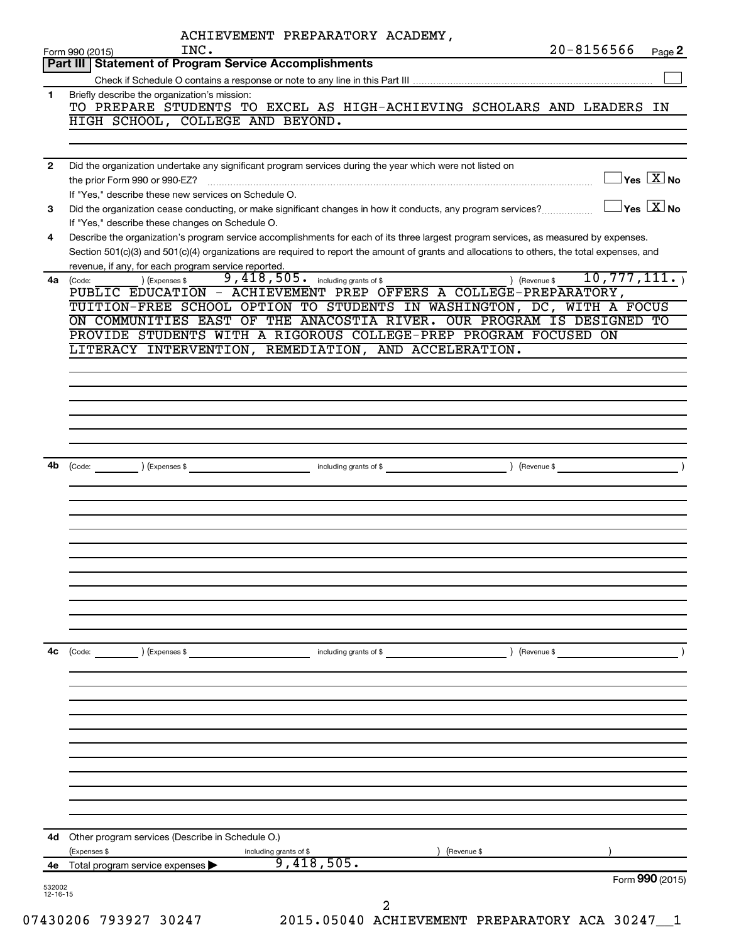|    | ACHIEVEMENT PREPARATORY ACADEMY,<br>INC.<br>Form 990 (2015)                                                                                                                                                                                                                                                                                 |            |               | $20 - 8156566$                                   | Page 2                   |
|----|---------------------------------------------------------------------------------------------------------------------------------------------------------------------------------------------------------------------------------------------------------------------------------------------------------------------------------------------|------------|---------------|--------------------------------------------------|--------------------------|
|    | Part III   Statement of Program Service Accomplishments                                                                                                                                                                                                                                                                                     |            |               |                                                  |                          |
|    |                                                                                                                                                                                                                                                                                                                                             |            |               |                                                  |                          |
| 1  | Briefly describe the organization's mission:<br>TO PREPARE STUDENTS TO EXCEL AS HIGH-ACHIEVING SCHOLARS AND LEADERS IN<br>HIGH SCHOOL, COLLEGE AND BEYOND.                                                                                                                                                                                  |            |               |                                                  |                          |
| 2  | Did the organization undertake any significant program services during the year which were not listed on                                                                                                                                                                                                                                    |            |               | $\vert$ Yes $\boxed{\text{X}}$ No                |                          |
|    | the prior Form 990 or 990-EZ?<br>If "Yes," describe these new services on Schedule O.                                                                                                                                                                                                                                                       |            |               |                                                  |                          |
| 3  | Did the organization cease conducting, or make significant changes in how it conducts, any program services?<br>If "Yes," describe these changes on Schedule O.                                                                                                                                                                             |            |               | $\sqrt{}$ Yes $\sqrt{ \ \overline{\text{X}}}$ No |                          |
| 4  | Describe the organization's program service accomplishments for each of its three largest program services, as measured by expenses.<br>Section 501(c)(3) and 501(c)(4) organizations are required to report the amount of grants and allocations to others, the total expenses, and<br>revenue, if any, for each program service reported. |            |               |                                                  |                          |
| 4a | 9,418,505. including grants of \$<br>(Expenses \$<br>(Code:<br>PUBLIC EDUCATION - ACHIEVEMENT PREP OFFERS A COLLEGE-PREPARATORY,<br>TUITION-FREE SCHOOL OPTION TO STUDENTS IN WASHINGTON, DC, WITH A FOCUS<br>ON COMMUNITIES EAST OF THE ANACOSTIA RIVER. OUR PROGRAM IS DESIGNED TO                                                        |            | ) (Revenue \$ | 10,777,111.                                      |                          |
|    | PROVIDE STUDENTS WITH A RIGOROUS COLLEGE-PREP PROGRAM FOCUSED ON<br>LITERACY INTERVENTION, REMEDIATION, AND ACCELERATION.                                                                                                                                                                                                                   |            |               |                                                  |                          |
|    |                                                                                                                                                                                                                                                                                                                                             |            |               |                                                  |                          |
|    |                                                                                                                                                                                                                                                                                                                                             |            |               |                                                  |                          |
|    |                                                                                                                                                                                                                                                                                                                                             |            |               |                                                  |                          |
| 4b | $\left(\text{Code:}\right)$ $\left(\text{Expenses $}\right)$                                                                                                                                                                                                                                                                                |            |               |                                                  | $\overline{\phantom{a}}$ |
|    |                                                                                                                                                                                                                                                                                                                                             |            |               |                                                  |                          |
|    |                                                                                                                                                                                                                                                                                                                                             |            |               |                                                  |                          |
|    |                                                                                                                                                                                                                                                                                                                                             |            |               |                                                  |                          |
|    |                                                                                                                                                                                                                                                                                                                                             |            |               |                                                  |                          |
| 4c | (Code:<br>) (Expenses \$<br>including grants of \$                                                                                                                                                                                                                                                                                          |            | ) (Revenue \$ |                                                  |                          |
|    |                                                                                                                                                                                                                                                                                                                                             |            |               |                                                  |                          |
|    |                                                                                                                                                                                                                                                                                                                                             |            |               |                                                  |                          |
|    |                                                                                                                                                                                                                                                                                                                                             |            |               |                                                  |                          |
|    |                                                                                                                                                                                                                                                                                                                                             |            |               |                                                  |                          |
|    |                                                                                                                                                                                                                                                                                                                                             |            |               |                                                  |                          |
|    | 4d Other program services (Describe in Schedule O.)<br>(Expenses \$<br>including grants of \$                                                                                                                                                                                                                                               | Revenue \$ |               |                                                  |                          |
|    | 9,418,505.<br>Total program service expenses                                                                                                                                                                                                                                                                                                |            |               |                                                  |                          |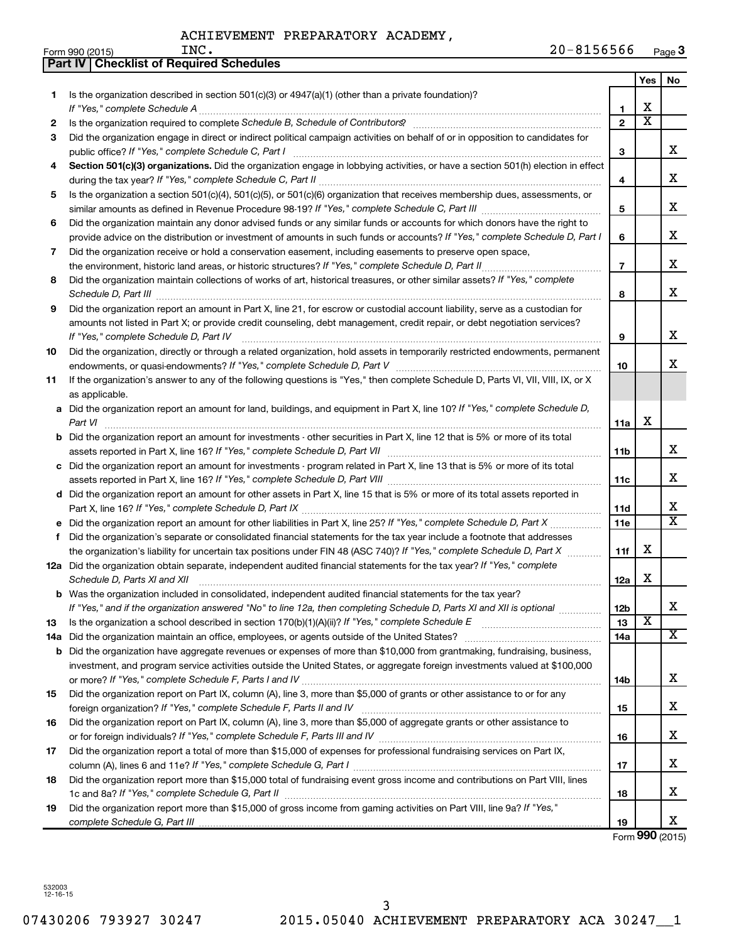|     | Part IV   Checklist of Required Schedules                                                                                                                                                                                           |                |                         |                         |
|-----|-------------------------------------------------------------------------------------------------------------------------------------------------------------------------------------------------------------------------------------|----------------|-------------------------|-------------------------|
|     |                                                                                                                                                                                                                                     |                | Yes                     | No                      |
| 1   | Is the organization described in section 501(c)(3) or $4947(a)(1)$ (other than a private foundation)?                                                                                                                               |                |                         |                         |
|     |                                                                                                                                                                                                                                     | 1              | X                       |                         |
| 2   |                                                                                                                                                                                                                                     | $\overline{2}$ | $\overline{\text{x}}$   |                         |
| 3   | Did the organization engage in direct or indirect political campaign activities on behalf of or in opposition to candidates for                                                                                                     |                |                         |                         |
|     |                                                                                                                                                                                                                                     | 3              |                         | x                       |
| 4   | Section 501(c)(3) organizations. Did the organization engage in lobbying activities, or have a section 501(h) election in effect                                                                                                    |                |                         |                         |
|     |                                                                                                                                                                                                                                     | 4              |                         | x                       |
| 5   | Is the organization a section 501(c)(4), 501(c)(5), or 501(c)(6) organization that receives membership dues, assessments, or                                                                                                        |                |                         |                         |
|     |                                                                                                                                                                                                                                     | 5              |                         | х                       |
| 6   | Did the organization maintain any donor advised funds or any similar funds or accounts for which donors have the right to                                                                                                           |                |                         |                         |
|     | provide advice on the distribution or investment of amounts in such funds or accounts? If "Yes," complete Schedule D, Part I                                                                                                        | 6              |                         | х                       |
| 7   | Did the organization receive or hold a conservation easement, including easements to preserve open space,                                                                                                                           |                |                         |                         |
|     | the environment, historic land areas, or historic structures? If "Yes," complete Schedule D, Part II                                                                                                                                | $\overline{7}$ |                         | х                       |
|     |                                                                                                                                                                                                                                     |                |                         |                         |
| 8   | Did the organization maintain collections of works of art, historical treasures, or other similar assets? If "Yes," complete                                                                                                        | 8              |                         | х                       |
|     | Schedule D, Part III <b>Marting Constructs</b> 2014 11 2014 12:00 12:00 12:00 12:00 12:00 12:00 12:00 12:00 12:00 12:00 12:00 12:00 12:00 12:00 12:00 12:00 12:00 12:00 12:00 12:00 12:00 12:00 12:00 12:00 12:00 12:00 12:00 12:00 |                |                         |                         |
| 9   | Did the organization report an amount in Part X, line 21, for escrow or custodial account liability, serve as a custodian for                                                                                                       |                |                         |                         |
|     | amounts not listed in Part X; or provide credit counseling, debt management, credit repair, or debt negotiation services?                                                                                                           |                |                         | х                       |
|     | If "Yes," complete Schedule D, Part IV                                                                                                                                                                                              | 9              |                         |                         |
| 10  | Did the organization, directly or through a related organization, hold assets in temporarily restricted endowments, permanent                                                                                                       |                |                         | х                       |
|     |                                                                                                                                                                                                                                     | 10             |                         |                         |
| 11  | If the organization's answer to any of the following questions is "Yes," then complete Schedule D, Parts VI, VII, VIII, IX, or X                                                                                                    |                |                         |                         |
|     | as applicable.                                                                                                                                                                                                                      |                |                         |                         |
|     | a Did the organization report an amount for land, buildings, and equipment in Part X, line 10? If "Yes," complete Schedule D,                                                                                                       |                |                         |                         |
|     | Part VI                                                                                                                                                                                                                             | 11a            | X                       |                         |
|     | <b>b</b> Did the organization report an amount for investments - other securities in Part X, line 12 that is 5% or more of its total                                                                                                |                |                         |                         |
|     |                                                                                                                                                                                                                                     | 11b            |                         | х                       |
|     | c Did the organization report an amount for investments - program related in Part X, line 13 that is 5% or more of its total                                                                                                        |                |                         |                         |
|     |                                                                                                                                                                                                                                     | 11c            |                         | x                       |
|     | d Did the organization report an amount for other assets in Part X, line 15 that is 5% or more of its total assets reported in                                                                                                      |                |                         |                         |
|     |                                                                                                                                                                                                                                     | 11d            |                         | х                       |
|     | e Did the organization report an amount for other liabilities in Part X, line 25? If "Yes," complete Schedule D, Part X                                                                                                             | 11e            |                         | $\overline{\mathbf{X}}$ |
| f.  | Did the organization's separate or consolidated financial statements for the tax year include a footnote that addresses                                                                                                             |                |                         |                         |
|     | the organization's liability for uncertain tax positions under FIN 48 (ASC 740)? If "Yes," complete Schedule D, Part X                                                                                                              | 11f            | х                       |                         |
|     | 12a Did the organization obtain separate, independent audited financial statements for the tax year? If "Yes," complete                                                                                                             |                |                         |                         |
|     | Schedule D, Parts XI and XII <b>continuum continuum continuum continuum continuum continuum continuum continuum</b> continuum continuum continuum continuum continuum continuum continuum continuum continuum continuum continuum c | 12a            | X                       |                         |
| b   | Was the organization included in consolidated, independent audited financial statements for the tax year?                                                                                                                           |                |                         |                         |
|     | If "Yes," and if the organization answered "No" to line 12a, then completing Schedule D, Parts XI and XII is optional                                                                                                               | 12b            |                         | х                       |
| 13  |                                                                                                                                                                                                                                     | 13             | $\overline{\textbf{x}}$ |                         |
| 14a |                                                                                                                                                                                                                                     | 14a            |                         | х                       |
| b   | Did the organization have aggregate revenues or expenses of more than \$10,000 from grantmaking, fundraising, business,                                                                                                             |                |                         |                         |
|     | investment, and program service activities outside the United States, or aggregate foreign investments valued at \$100,000                                                                                                          |                |                         |                         |
|     |                                                                                                                                                                                                                                     | 14b            |                         | x                       |
| 15  | Did the organization report on Part IX, column (A), line 3, more than \$5,000 of grants or other assistance to or for any                                                                                                           |                |                         |                         |
|     |                                                                                                                                                                                                                                     | 15             |                         | х                       |
| 16  | Did the organization report on Part IX, column (A), line 3, more than \$5,000 of aggregate grants or other assistance to                                                                                                            |                |                         |                         |
|     |                                                                                                                                                                                                                                     | 16             |                         | х                       |
| 17  | Did the organization report a total of more than \$15,000 of expenses for professional fundraising services on Part IX,                                                                                                             |                |                         |                         |
|     |                                                                                                                                                                                                                                     | 17             |                         | х                       |
| 18  | Did the organization report more than \$15,000 total of fundraising event gross income and contributions on Part VIII, lines                                                                                                        |                |                         |                         |
|     |                                                                                                                                                                                                                                     | 18             |                         | х                       |
| 19  | Did the organization report more than \$15,000 of gross income from gaming activities on Part VIII, line 9a? If "Yes,"                                                                                                              |                |                         |                         |
|     |                                                                                                                                                                                                                                     | 19             |                         | x                       |

Form **990** (2015)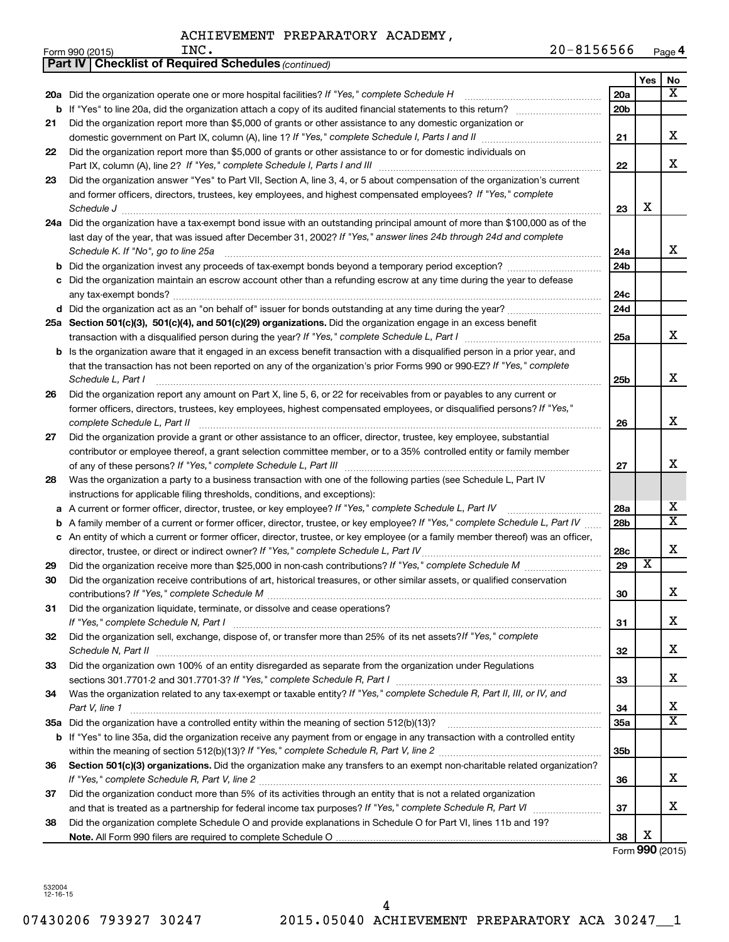|    | <b>Part IV   Checklist of Required Schedules (continued)</b>                                                                        |                 |                         |                       |
|----|-------------------------------------------------------------------------------------------------------------------------------------|-----------------|-------------------------|-----------------------|
|    |                                                                                                                                     |                 | Yes                     | No                    |
|    | 20a Did the organization operate one or more hospital facilities? If "Yes," complete Schedule H                                     | <b>20a</b>      |                         | x                     |
| b  | If "Yes" to line 20a, did the organization attach a copy of its audited financial statements to this return?                        | 20 <sub>b</sub> |                         |                       |
| 21 | Did the organization report more than \$5,000 of grants or other assistance to any domestic organization or                         |                 |                         |                       |
|    |                                                                                                                                     | 21              |                         | x                     |
| 22 | Did the organization report more than \$5,000 of grants or other assistance to or for domestic individuals on                       |                 |                         |                       |
|    |                                                                                                                                     | 22              |                         | х                     |
| 23 | Did the organization answer "Yes" to Part VII, Section A, line 3, 4, or 5 about compensation of the organization's current          |                 |                         |                       |
|    | and former officers, directors, trustees, key employees, and highest compensated employees? If "Yes," complete                      |                 |                         |                       |
|    |                                                                                                                                     | 23              | X                       |                       |
|    | 24a Did the organization have a tax-exempt bond issue with an outstanding principal amount of more than \$100,000 as of the         |                 |                         |                       |
|    | last day of the year, that was issued after December 31, 2002? If "Yes," answer lines 24b through 24d and complete                  |                 |                         |                       |
|    | Schedule K. If "No", go to line 25a                                                                                                 | 24a             |                         | x                     |
| b  |                                                                                                                                     | 24 <sub>b</sub> |                         |                       |
|    | Did the organization maintain an escrow account other than a refunding escrow at any time during the year to defease                |                 |                         |                       |
|    |                                                                                                                                     | 24c             |                         |                       |
|    |                                                                                                                                     | 24d             |                         |                       |
|    | 25a Section 501(c)(3), 501(c)(4), and 501(c)(29) organizations. Did the organization engage in an excess benefit                    |                 |                         |                       |
|    |                                                                                                                                     | 25a             |                         | x                     |
|    | <b>b</b> Is the organization aware that it engaged in an excess benefit transaction with a disqualified person in a prior year, and |                 |                         |                       |
|    | that the transaction has not been reported on any of the organization's prior Forms 990 or 990-EZ? If "Yes," complete               |                 |                         |                       |
|    | Schedule L, Part I                                                                                                                  | 25 <sub>b</sub> |                         | х                     |
| 26 | Did the organization report any amount on Part X, line 5, 6, or 22 for receivables from or payables to any current or               |                 |                         |                       |
|    | former officers, directors, trustees, key employees, highest compensated employees, or disqualified persons? If "Yes,"              |                 |                         |                       |
|    | complete Schedule L, Part II                                                                                                        | 26              |                         | х                     |
| 27 | Did the organization provide a grant or other assistance to an officer, director, trustee, key employee, substantial                |                 |                         |                       |
|    | contributor or employee thereof, a grant selection committee member, or to a 35% controlled entity or family member                 |                 |                         |                       |
|    |                                                                                                                                     | 27              |                         | x                     |
| 28 | Was the organization a party to a business transaction with one of the following parties (see Schedule L, Part IV                   |                 |                         |                       |
|    | instructions for applicable filing thresholds, conditions, and exceptions):                                                         |                 |                         |                       |
| а  | A current or former officer, director, trustee, or key employee? If "Yes," complete Schedule L, Part IV                             | 28a             |                         | х                     |
| b  | A family member of a current or former officer, director, trustee, or key employee? If "Yes," complete Schedule L, Part IV          | 28b             |                         | $\overline{\text{X}}$ |
| с  | An entity of which a current or former officer, director, trustee, or key employee (or a family member thereof) was an officer,     |                 |                         |                       |
|    | director, trustee, or direct or indirect owner? If "Yes," complete Schedule L, Part IV                                              | 28c             |                         | х                     |
| 29 |                                                                                                                                     | 29              | $\overline{\textbf{x}}$ |                       |
| 30 | Did the organization receive contributions of art, historical treasures, or other similar assets, or qualified conservation         |                 |                         |                       |
|    |                                                                                                                                     | 30              |                         | ▵                     |
| 31 | Did the organization liquidate, terminate, or dissolve and cease operations?                                                        |                 |                         |                       |
|    |                                                                                                                                     | 31              |                         | x                     |
| 32 | Did the organization sell, exchange, dispose of, or transfer more than 25% of its net assets?/f "Yes," complete                     |                 |                         |                       |
|    |                                                                                                                                     | 32              |                         | x                     |
| 33 | Did the organization own 100% of an entity disregarded as separate from the organization under Regulations                          |                 |                         |                       |
|    |                                                                                                                                     | 33              |                         | х                     |
| 34 | Was the organization related to any tax-exempt or taxable entity? If "Yes," complete Schedule R, Part II, III, or IV, and           |                 |                         |                       |
|    | Part V, line 1                                                                                                                      | 34              |                         | х                     |
|    |                                                                                                                                     | 35a             |                         | X                     |
|    | b If "Yes" to line 35a, did the organization receive any payment from or engage in any transaction with a controlled entity         |                 |                         |                       |
|    |                                                                                                                                     | 35 <sub>b</sub> |                         |                       |
| 36 | Section 501(c)(3) organizations. Did the organization make any transfers to an exempt non-charitable related organization?          |                 |                         |                       |
|    |                                                                                                                                     | 36              |                         | x                     |
| 37 | Did the organization conduct more than 5% of its activities through an entity that is not a related organization                    |                 |                         |                       |
|    |                                                                                                                                     | 37              |                         | х                     |
| 38 | Did the organization complete Schedule O and provide explanations in Schedule O for Part VI, lines 11b and 19?                      |                 | х                       |                       |
|    |                                                                                                                                     | 38              |                         |                       |

Form **990** (2015)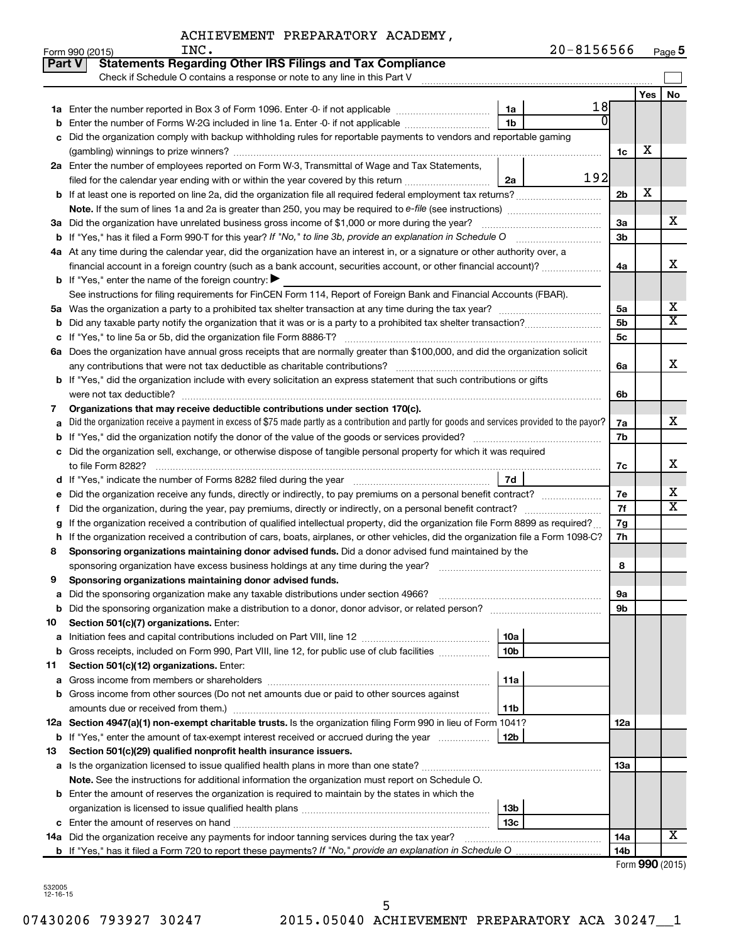|        | INC.<br>Form 990 (2015)                                                                                                                         |                        | 20-8156566 |                      |     | Page 5                  |
|--------|-------------------------------------------------------------------------------------------------------------------------------------------------|------------------------|------------|----------------------|-----|-------------------------|
| Part V | <b>Statements Regarding Other IRS Filings and Tax Compliance</b>                                                                                |                        |            |                      |     |                         |
|        | Check if Schedule O contains a response or note to any line in this Part V                                                                      |                        |            |                      |     |                         |
|        |                                                                                                                                                 |                        |            |                      | Yes | No                      |
|        |                                                                                                                                                 | 1a                     | 18         |                      |     |                         |
| b      | Enter the number of Forms W-2G included in line 1a. Enter -0- if not applicable                                                                 | 1 <sub>b</sub>         |            |                      |     |                         |
| с      | Did the organization comply with backup withholding rules for reportable payments to vendors and reportable gaming                              |                        |            |                      |     |                         |
|        |                                                                                                                                                 |                        |            | 1c                   | х   |                         |
|        | 2a Enter the number of employees reported on Form W-3, Transmittal of Wage and Tax Statements,                                                  |                        |            |                      |     |                         |
|        | filed for the calendar year ending with or within the year covered by this return                                                               | 2a                     | 192        |                      |     |                         |
|        | <b>b</b> If at least one is reported on line 2a, did the organization file all required federal employment tax returns?                         |                        |            | 2 <sub>b</sub>       | х   |                         |
|        |                                                                                                                                                 |                        |            |                      |     |                         |
|        | 3a Did the organization have unrelated business gross income of \$1,000 or more during the year?                                                |                        |            | За                   |     | х                       |
|        |                                                                                                                                                 |                        |            | 3 <sub>b</sub>       |     |                         |
|        | 4a At any time during the calendar year, did the organization have an interest in, or a signature or other authority over, a                    |                        |            |                      |     |                         |
|        | financial account in a foreign country (such as a bank account, securities account, or other financial account)?                                |                        |            | 4a                   |     | х                       |
|        | <b>b</b> If "Yes," enter the name of the foreign country: $\blacktriangleright$                                                                 |                        |            |                      |     |                         |
|        | See instructions for filing requirements for FinCEN Form 114, Report of Foreign Bank and Financial Accounts (FBAR).                             |                        |            |                      |     | x                       |
|        |                                                                                                                                                 |                        |            | 5a<br>5 <sub>b</sub> |     | $\overline{\mathbf{X}}$ |
| b      |                                                                                                                                                 |                        |            | 5 <sub>c</sub>       |     |                         |
| с      | 6a Does the organization have annual gross receipts that are normally greater than \$100,000, and did the organization solicit                  |                        |            |                      |     |                         |
|        |                                                                                                                                                 |                        |            | 6a                   |     | x                       |
|        | <b>b</b> If "Yes," did the organization include with every solicitation an express statement that such contributions or gifts                   |                        |            |                      |     |                         |
|        |                                                                                                                                                 |                        |            | 6b                   |     |                         |
| 7      | Organizations that may receive deductible contributions under section 170(c).                                                                   |                        |            |                      |     |                         |
| а      | Did the organization receive a payment in excess of \$75 made partly as a contribution and partly for goods and services provided to the payor? |                        |            | 7a                   |     | х                       |
| b      |                                                                                                                                                 |                        |            | 7b                   |     |                         |
| c      | Did the organization sell, exchange, or otherwise dispose of tangible personal property for which it was required                               |                        |            |                      |     |                         |
|        |                                                                                                                                                 |                        |            | 7c                   |     | х                       |
|        |                                                                                                                                                 | 7d                     |            |                      |     |                         |
| е      | Did the organization receive any funds, directly or indirectly, to pay premiums on a personal benefit contract?                                 |                        |            | 7е                   |     | х                       |
| Ť.     | Did the organization, during the year, pay premiums, directly or indirectly, on a personal benefit contract?                                    |                        |            | 7f                   |     | $\overline{X}$          |
| g      | If the organization received a contribution of qualified intellectual property, did the organization file Form 8899 as required?                |                        |            | 7g                   |     |                         |
| h      | If the organization received a contribution of cars, boats, airplanes, or other vehicles, did the organization file a Form 1098-C?              |                        |            | 7h                   |     |                         |
| 8      | Sponsoring organizations maintaining donor advised funds. Did a donor advised fund maintained by the                                            |                        |            |                      |     |                         |
|        | sponsoring organization have excess business holdings at any time during the year?                                                              |                        |            | 8                    |     |                         |
|        | Sponsoring organizations maintaining donor advised funds.                                                                                       |                        |            |                      |     |                         |
| а      | Did the sponsoring organization make any taxable distributions under section 4966?                                                              |                        |            | 9а                   |     |                         |
| b      | Did the sponsoring organization make a distribution to a donor, donor advisor, or related person?                                               |                        |            | 9b                   |     |                         |
| 10     | Section 501(c)(7) organizations. Enter:                                                                                                         |                        |            |                      |     |                         |
| а      |                                                                                                                                                 | 10a                    |            |                      |     |                         |
| b      | Gross receipts, included on Form 990, Part VIII, line 12, for public use of club facilities                                                     | 10 <sub>b</sub>        |            |                      |     |                         |
| 11     | Section 501(c)(12) organizations. Enter:                                                                                                        |                        |            |                      |     |                         |
| а      |                                                                                                                                                 | 11a                    |            |                      |     |                         |
| b      | Gross income from other sources (Do not net amounts due or paid to other sources against                                                        |                        |            |                      |     |                         |
|        | amounts due or received from them.)                                                                                                             | 11b                    |            |                      |     |                         |
|        | 12a Section 4947(a)(1) non-exempt charitable trusts. Is the organization filing Form 990 in lieu of Form 1041?                                  |                        |            | 12a                  |     |                         |
|        | <b>b</b> If "Yes," enter the amount of tax-exempt interest received or accrued during the year                                                  | 12b                    |            |                      |     |                         |
| 13     | Section 501(c)(29) qualified nonprofit health insurance issuers.                                                                                |                        |            |                      |     |                         |
|        | a Is the organization licensed to issue qualified health plans in more than one state?                                                          |                        |            | 1За                  |     |                         |
|        | Note. See the instructions for additional information the organization must report on Schedule O.                                               |                        |            |                      |     |                         |
|        | <b>b</b> Enter the amount of reserves the organization is required to maintain by the states in which the                                       |                        |            |                      |     |                         |
|        |                                                                                                                                                 | 13b<br>13 <sub>c</sub> |            |                      |     |                         |
|        | <b>c</b> Enter the amount of reserves on hand<br>14a Did the organization receive any payments for indoor tanning services during the tax year? |                        |            | 14a                  |     | X                       |
|        |                                                                                                                                                 |                        |            | 14 <sub>b</sub>      |     |                         |
|        |                                                                                                                                                 |                        |            |                      |     |                         |

| Form 990 (2015) |  |
|-----------------|--|
|-----------------|--|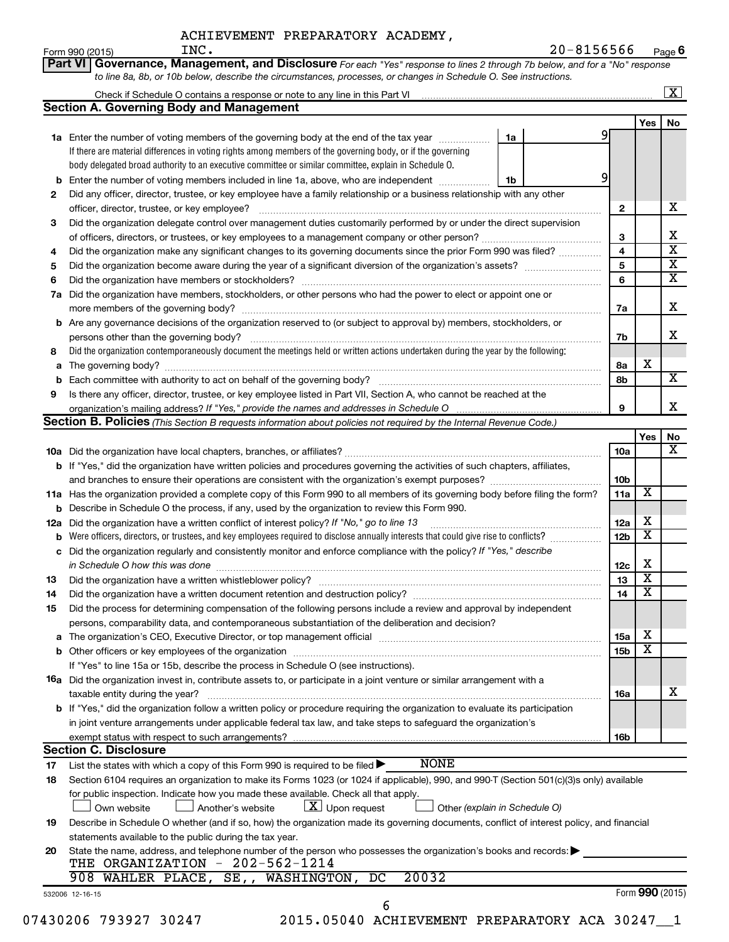| ACHIEVEMENT PREPARATORY ACADEMY, |  |
|----------------------------------|--|
|----------------------------------|--|

Form 990 (2015) Page **6** INC. 20-8156566

|     | <b>Section A. Governing Body and Management</b>                                                                                           |    |                         |                         |  |
|-----|-------------------------------------------------------------------------------------------------------------------------------------------|----|-------------------------|-------------------------|--|
|     |                                                                                                                                           |    |                         | Yes                     |  |
|     | 1a Enter the number of voting members of the governing body at the end of the tax year                                                    | 1a | 91                      |                         |  |
|     | If there are material differences in voting rights among members of the governing body, or if the governing                               |    |                         |                         |  |
|     | body delegated broad authority to an executive committee or similar committee, explain in Schedule O.                                     |    |                         |                         |  |
|     | Enter the number of voting members included in line 1a, above, who are independent                                                        | 1b | 9                       |                         |  |
| 2   | Did any officer, director, trustee, or key employee have a family relationship or a business relationship with any other                  |    |                         |                         |  |
|     |                                                                                                                                           |    | $\mathbf{2}$            |                         |  |
| 3   | Did the organization delegate control over management duties customarily performed by or under the direct supervision                     |    |                         |                         |  |
|     |                                                                                                                                           |    | 3                       |                         |  |
| 4   | Did the organization make any significant changes to its governing documents since the prior Form 990 was filed?                          |    | $\overline{\mathbf{4}}$ |                         |  |
| 5   |                                                                                                                                           |    | 5                       |                         |  |
| 6   |                                                                                                                                           |    | 6                       |                         |  |
| 7a  | Did the organization have members, stockholders, or other persons who had the power to elect or appoint one or                            |    |                         |                         |  |
|     |                                                                                                                                           |    | 7a                      |                         |  |
|     | <b>b</b> Are any governance decisions of the organization reserved to (or subject to approval by) members, stockholders, or               |    |                         |                         |  |
|     |                                                                                                                                           |    |                         |                         |  |
|     | persons other than the governing body?                                                                                                    |    | 7b                      |                         |  |
| 8   | Did the organization contemporaneously document the meetings held or written actions undertaken during the year by the following:         |    |                         | X                       |  |
|     |                                                                                                                                           |    | 8а                      |                         |  |
|     |                                                                                                                                           |    | 8b                      |                         |  |
| 9   | Is there any officer, director, trustee, or key employee listed in Part VII, Section A, who cannot be reached at the                      |    |                         |                         |  |
|     | organization's mailing address? If "Yes," provide the names and addresses in Schedule O                                                   |    | 9                       |                         |  |
|     | Section B. Policies (This Section B requests information about policies not required by the Internal Revenue Code.)                       |    |                         |                         |  |
|     |                                                                                                                                           |    |                         | Yes                     |  |
|     |                                                                                                                                           |    | 10a                     |                         |  |
|     | b If "Yes," did the organization have written policies and procedures governing the activities of such chapters, affiliates,              |    |                         |                         |  |
|     |                                                                                                                                           |    | 10b                     |                         |  |
|     | 11a Has the organization provided a complete copy of this Form 990 to all members of its governing body before filing the form?           |    | 11a                     | X                       |  |
|     | <b>b</b> Describe in Schedule O the process, if any, used by the organization to review this Form 990.                                    |    |                         |                         |  |
| 12a | Did the organization have a written conflict of interest policy? If "No," go to line 13                                                   |    | 12a                     | х                       |  |
|     | Were officers, directors, or trustees, and key employees required to disclose annually interests that could give rise to conflicts?       |    | 12 <sub>b</sub>         | X                       |  |
|     | c Did the organization regularly and consistently monitor and enforce compliance with the policy? If "Yes," describe                      |    |                         |                         |  |
|     | in Schedule O how this was done manufactured and continuum and contract the state of the manufacture of the st                            |    | 12c                     | X                       |  |
| 13  |                                                                                                                                           |    | 13                      | $\overline{\mathbf{x}}$ |  |
| 14  | Did the organization have a written document retention and destruction policy? [111] [12] manument contains an                            |    | 14                      | $\overline{\mathtt{x}}$ |  |
| 15  | Did the process for determining compensation of the following persons include a review and approval by independent                        |    |                         |                         |  |
|     | persons, comparability data, and contemporaneous substantiation of the deliberation and decision?                                         |    |                         |                         |  |
|     |                                                                                                                                           |    | <b>15a</b>              | X                       |  |
|     |                                                                                                                                           |    | 15 <sub>b</sub>         | X                       |  |
|     | If "Yes" to line 15a or 15b, describe the process in Schedule O (see instructions).                                                       |    |                         |                         |  |
|     | 16a Did the organization invest in, contribute assets to, or participate in a joint venture or similar arrangement with a                 |    |                         |                         |  |
|     | taxable entity during the year?                                                                                                           |    | 16a                     |                         |  |
|     | <b>b</b> If "Yes," did the organization follow a written policy or procedure requiring the organization to evaluate its participation     |    |                         |                         |  |
|     | in joint venture arrangements under applicable federal tax law, and take steps to safeguard the organization's                            |    |                         |                         |  |
|     |                                                                                                                                           |    | 16b                     |                         |  |
|     | <b>Section C. Disclosure</b>                                                                                                              |    |                         |                         |  |
| 17  | <b>NONE</b><br>List the states with which a copy of this Form 990 is required to be filed $\blacktriangleright$                           |    |                         |                         |  |
| 18  | Section 6104 requires an organization to make its Forms 1023 (or 1024 if applicable), 990, and 990-T (Section 501(c)(3)s only) available  |    |                         |                         |  |
|     | for public inspection. Indicate how you made these available. Check all that apply.                                                       |    |                         |                         |  |
|     | $ \mathbf{X} $ Upon request<br>Own website<br>Another's website<br>Other (explain in Schedule O)                                          |    |                         |                         |  |
| 19  | Describe in Schedule O whether (and if so, how) the organization made its governing documents, conflict of interest policy, and financial |    |                         |                         |  |
|     | statements available to the public during the tax year.                                                                                   |    |                         |                         |  |
|     | State the name, address, and telephone number of the person who possesses the organization's books and records:                           |    |                         |                         |  |
| 20  | THE ORGANIZATION - 202-562-1214                                                                                                           |    |                         |                         |  |
|     |                                                                                                                                           |    |                         |                         |  |
|     | 20032<br>908 WAHLER PLACE, SE,, WASHINGTON, DC                                                                                            |    |                         |                         |  |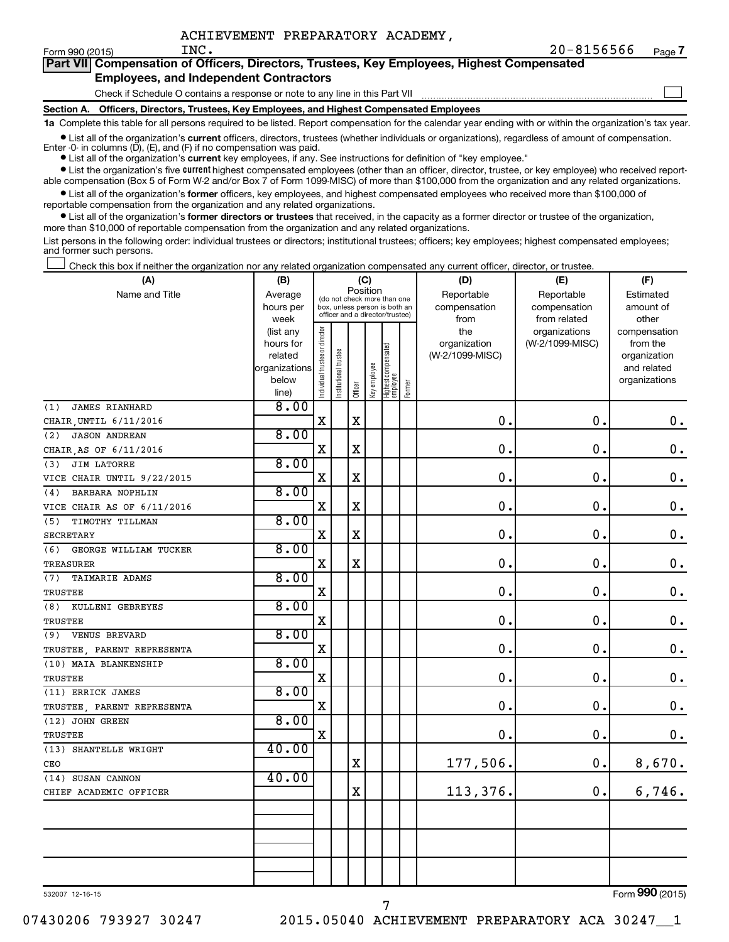$\Box$ 

| Form 990 (2015) | INC. |                                        | $20 - 8156566$                                                                             | Page |
|-----------------|------|----------------------------------------|--------------------------------------------------------------------------------------------|------|
|                 |      |                                        | Part VII Compensation of Officers, Directors, Trustees, Key Employees, Highest Compensated |      |
|                 |      | Fredericks, and Indonesial Contractors |                                                                                            |      |

#### **Employees, and Independent Contractors**

Check if Schedule O contains a response or note to any line in this Part VII

**Section A. Officers, Directors, Trustees, Key Employees, and Highest Compensated Employees**

**1a**  Complete this table for all persons required to be listed. Report compensation for the calendar year ending with or within the organization's tax year.

 $\bullet$  List all of the organization's current officers, directors, trustees (whether individuals or organizations), regardless of amount of compensation. Enter -0- in columns  $(D)$ ,  $(E)$ , and  $(F)$  if no compensation was paid.

**•** List all of the organization's **current** key employees, if any. See instructions for definition of "key employee."

**•** List the organization's five current highest compensated employees (other than an officer, director, trustee, or key employee) who received reportable compensation (Box 5 of Form W-2 and/or Box 7 of Form 1099-MISC) of more than \$100,000 from the organization and any related organizations.

**•** List all of the organization's former officers, key employees, and highest compensated employees who received more than \$100,000 of reportable compensation from the organization and any related organizations.

**•** List all of the organization's former directors or trustees that received, in the capacity as a former director or trustee of the organization, more than \$10,000 of reportable compensation from the organization and any related organizations.

List persons in the following order: individual trustees or directors; institutional trustees; officers; key employees; highest compensated employees; and former such persons.

|  |  |  | Check this box if neither the organization nor any related organization compensated any current officer, director, or trustee. |  |  |
|--|--|--|--------------------------------------------------------------------------------------------------------------------------------|--|--|
|  |  |  |                                                                                                                                |  |  |

| (A)                          | (C)<br>(B)             |                                |                                                                  |             |              |                                   |        | (D)                 | (E)                              | (F)                      |
|------------------------------|------------------------|--------------------------------|------------------------------------------------------------------|-------------|--------------|-----------------------------------|--------|---------------------|----------------------------------|--------------------------|
| Name and Title               | Average                |                                | (do not check more than one                                      | Position    |              |                                   |        | Reportable          | Reportable                       | Estimated                |
|                              | hours per              |                                | box, unless person is both an<br>officer and a director/trustee) |             |              |                                   |        | compensation        | compensation                     | amount of                |
|                              | week                   |                                |                                                                  |             |              |                                   |        | from                | from related                     | other                    |
|                              | (list any<br>hours for |                                |                                                                  |             |              |                                   |        | the<br>organization | organizations<br>(W-2/1099-MISC) | compensation<br>from the |
|                              | related                |                                |                                                                  |             |              |                                   |        | (W-2/1099-MISC)     |                                  | organization             |
|                              | organizations          |                                |                                                                  |             |              |                                   |        |                     |                                  | and related              |
|                              | below                  | Individual trustee or director | Institutional trustee                                            |             | Key employee |                                   |        |                     |                                  | organizations            |
|                              | line)                  |                                |                                                                  | Officer     |              | Highest compensated<br>  employee | Former |                     |                                  |                          |
| <b>JAMES RIANHARD</b><br>(1) | 8.00                   |                                |                                                                  |             |              |                                   |        |                     |                                  |                          |
| CHAIR, UNTIL 6/11/2016       |                        | $\mathbf X$                    |                                                                  | $\mathbf X$ |              |                                   |        | 0.                  | 0.                               | $\boldsymbol{0}$ .       |
| (2)<br><b>JASON ANDREAN</b>  | 8.00                   |                                |                                                                  |             |              |                                   |        |                     |                                  |                          |
| CHAIR, AS OF 6/11/2016       |                        | $\mathbf X$                    |                                                                  | X           |              |                                   |        | 0.                  | $\mathbf 0$ .                    | $\mathbf 0$ .            |
| <b>JIM LATORRE</b><br>(3)    | 8.00                   |                                |                                                                  |             |              |                                   |        |                     |                                  |                          |
| VICE CHAIR UNTIL 9/22/2015   |                        | X                              |                                                                  | $\rm X$     |              |                                   |        | 0.                  | 0.                               | $\boldsymbol{0}$ .       |
| BARBARA NOPHLIN<br>(4)       | 8.00                   |                                |                                                                  |             |              |                                   |        |                     |                                  |                          |
| VICE CHAIR AS OF 6/11/2016   |                        | $\mathbf X$                    |                                                                  | X           |              |                                   |        | $\mathbf 0$ .       | 0.                               | $\boldsymbol{0}$ .       |
| (5)<br>TIMOTHY TILLMAN       | 8.00                   |                                |                                                                  |             |              |                                   |        |                     |                                  |                          |
| <b>SECRETARY</b>             |                        | $\mathbf X$                    |                                                                  | $\rm X$     |              |                                   |        | $\mathbf 0$ .       | 0.                               | $\boldsymbol{0}$ .       |
| (6)<br>GEORGE WILLIAM TUCKER | 8.00                   |                                |                                                                  |             |              |                                   |        |                     |                                  |                          |
| <b>TREASURER</b>             |                        | $\mathbf X$                    |                                                                  | $\rm X$     |              |                                   |        | 0.                  | $\mathbf 0$ .                    | $\boldsymbol{0}$ .       |
| (7)<br><b>TAIMARIE ADAMS</b> | 8.00                   |                                |                                                                  |             |              |                                   |        |                     |                                  |                          |
| <b>TRUSTEE</b>               |                        | $\mathbf X$                    |                                                                  |             |              |                                   |        | 0.                  | $\mathbf 0$ .                    | $\boldsymbol{0}$ .       |
| (8)<br>KULLENI GEBREYES      | 8.00                   |                                |                                                                  |             |              |                                   |        |                     |                                  |                          |
| <b>TRUSTEE</b>               |                        | $\mathbf X$                    |                                                                  |             |              |                                   |        | 0.                  | $\mathbf 0$ .                    | $\boldsymbol{0}$ .       |
| <b>VENUS BREVARD</b><br>(9)  | 8.00                   |                                |                                                                  |             |              |                                   |        |                     |                                  |                          |
| TRUSTEE, PARENT REPRESENTA   |                        | $\mathbf X$                    |                                                                  |             |              |                                   |        | $\mathbf 0$ .       | 0.                               | $\boldsymbol{0}$ .       |
| (10) MAIA BLANKENSHIP        | 8.00                   |                                |                                                                  |             |              |                                   |        |                     |                                  |                          |
| <b>TRUSTEE</b>               |                        | $\mathbf X$                    |                                                                  |             |              |                                   |        | 0.                  | $\mathbf 0$ .                    | $\boldsymbol{0}$ .       |
| (11) ERRICK JAMES            | 8.00                   |                                |                                                                  |             |              |                                   |        |                     |                                  |                          |
| TRUSTEE, PARENT REPRESENTA   |                        | $\mathbf X$                    |                                                                  |             |              |                                   |        | 0.                  | $\mathbf 0$ .                    | $\mathbf 0$ .            |
| (12) JOHN GREEN              | 8.00                   |                                |                                                                  |             |              |                                   |        |                     |                                  |                          |
| <b>TRUSTEE</b>               |                        | $\mathbf X$                    |                                                                  |             |              |                                   |        | $\mathbf 0$ .       | 0.                               | $\mathbf 0$ .            |
| (13) SHANTELLE WRIGHT        | 40.00                  |                                |                                                                  |             |              |                                   |        |                     |                                  |                          |
| CEO                          |                        |                                |                                                                  | $\mathbf X$ |              |                                   |        | 177,506.            | 0.                               | 8,670.                   |
| (14) SUSAN CANNON            | 40.00                  |                                |                                                                  |             |              |                                   |        |                     |                                  |                          |
| CHIEF ACADEMIC OFFICER       |                        |                                |                                                                  | X           |              |                                   |        | 113,376.            | 0.                               | 6,746.                   |
|                              |                        |                                |                                                                  |             |              |                                   |        |                     |                                  |                          |
|                              |                        |                                |                                                                  |             |              |                                   |        |                     |                                  |                          |
|                              |                        |                                |                                                                  |             |              |                                   |        |                     |                                  |                          |
|                              |                        |                                |                                                                  |             |              |                                   |        |                     |                                  |                          |
|                              |                        |                                |                                                                  |             |              |                                   |        |                     |                                  |                          |
|                              |                        |                                |                                                                  |             |              |                                   |        |                     |                                  |                          |

532007 12-16-15

Form (2015) **990**

7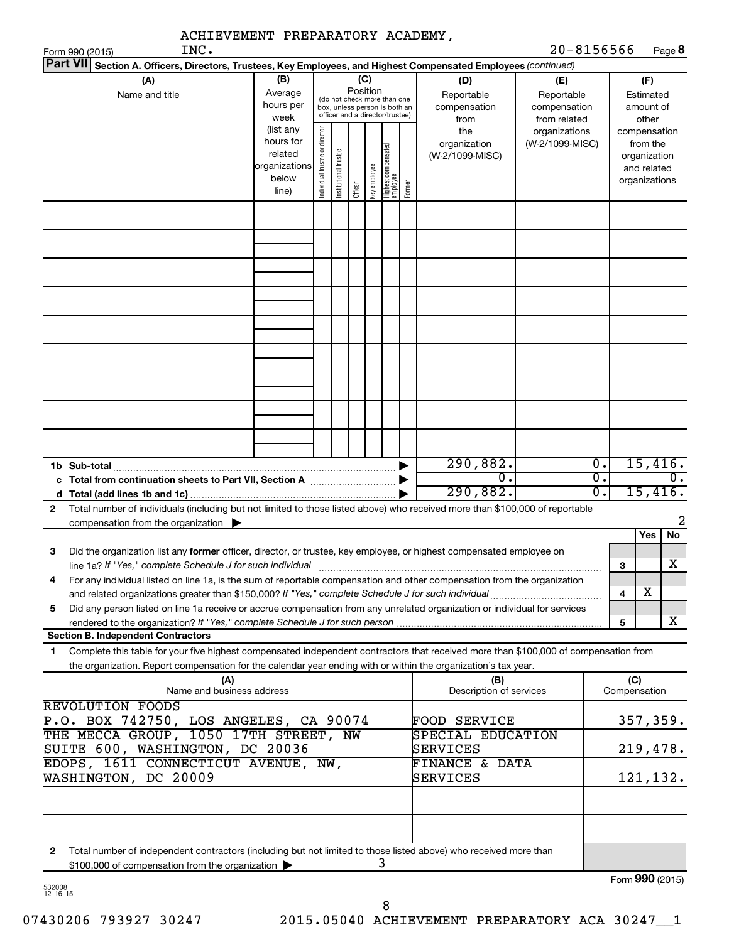| ACHIEVEMENT PREPARATORY ACADEMY,                                                                                                                                                                                                                            |                                                                      |                                |                       |                 |              |                                                                                                 |        |                                                |                                                  |                  |                     |                                                                                   |                  |
|-------------------------------------------------------------------------------------------------------------------------------------------------------------------------------------------------------------------------------------------------------------|----------------------------------------------------------------------|--------------------------------|-----------------------|-----------------|--------------|-------------------------------------------------------------------------------------------------|--------|------------------------------------------------|--------------------------------------------------|------------------|---------------------|-----------------------------------------------------------------------------------|------------------|
| INC.<br>Form 990 (2015)<br><b>Part VII</b>                                                                                                                                                                                                                  |                                                                      |                                |                       |                 |              |                                                                                                 |        |                                                | $20 - 8156566$                                   |                  |                     | Page 8                                                                            |                  |
| Section A. Officers, Directors, Trustees, Key Employees, and Highest Compensated Employees (continued)<br>(A)<br>Name and title                                                                                                                             | (B)<br>Average<br>hours per<br>week                                  |                                |                       | (C)<br>Position |              | (do not check more than one<br>box, unless person is both an<br>officer and a director/trustee) |        | (D)<br>Reportable<br>compensation              | (E)<br>Reportable<br>compensation                |                  |                     | (F)<br>Estimated<br>amount of                                                     |                  |
|                                                                                                                                                                                                                                                             | (list any<br>hours for<br>related<br>organizations<br>below<br>line) | Individual trustee or director | Institutional trustee | Officer         | Key employee | Highest compensated<br>employee                                                                 | Former | from<br>the<br>organization<br>(W-2/1099-MISC) | from related<br>organizations<br>(W-2/1099-MISC) |                  |                     | other<br>compensation<br>from the<br>organization<br>and related<br>organizations |                  |
|                                                                                                                                                                                                                                                             |                                                                      |                                |                       |                 |              |                                                                                                 |        |                                                |                                                  |                  |                     |                                                                                   |                  |
|                                                                                                                                                                                                                                                             |                                                                      |                                |                       |                 |              |                                                                                                 |        |                                                |                                                  |                  |                     |                                                                                   |                  |
|                                                                                                                                                                                                                                                             |                                                                      |                                |                       |                 |              |                                                                                                 |        |                                                |                                                  |                  |                     |                                                                                   |                  |
|                                                                                                                                                                                                                                                             |                                                                      |                                |                       |                 |              |                                                                                                 |        |                                                |                                                  |                  |                     |                                                                                   |                  |
|                                                                                                                                                                                                                                                             |                                                                      |                                |                       |                 |              |                                                                                                 |        |                                                |                                                  |                  |                     |                                                                                   |                  |
| 1b Sub-total                                                                                                                                                                                                                                                |                                                                      |                                |                       |                 |              |                                                                                                 |        | 290,882.                                       |                                                  | $\overline{0}$ . |                     | 15,416.                                                                           |                  |
|                                                                                                                                                                                                                                                             |                                                                      |                                |                       |                 |              |                                                                                                 |        | 0.<br>290,882.                                 |                                                  | σ.<br>σ.         |                     | 15,416.                                                                           | $\overline{0}$ . |
| Total number of individuals (including but not limited to those listed above) who received more than \$100,000 of reportable<br>2<br>compensation from the organization $\blacktriangleright$                                                               |                                                                      |                                |                       |                 |              |                                                                                                 |        |                                                |                                                  |                  |                     |                                                                                   | 2                |
| Did the organization list any <b>former</b> officer, director, or trustee, key employee, or highest compensated employee on<br>З                                                                                                                            |                                                                      |                                |                       |                 |              |                                                                                                 |        |                                                |                                                  |                  |                     | Yes                                                                               | No               |
| line 1a? If "Yes," complete Schedule J for such individual manufactured content content for the complete schedu<br>For any individual listed on line 1a, is the sum of reportable compensation and other compensation from the organization<br>4            |                                                                      |                                |                       |                 |              |                                                                                                 |        |                                                |                                                  |                  | З                   | х                                                                                 | X                |
| Did any person listed on line 1a receive or accrue compensation from any unrelated organization or individual for services<br>5                                                                                                                             |                                                                      |                                |                       |                 |              |                                                                                                 |        |                                                |                                                  |                  | 4<br>5              |                                                                                   | x                |
| <b>Section B. Independent Contractors</b>                                                                                                                                                                                                                   |                                                                      |                                |                       |                 |              |                                                                                                 |        |                                                |                                                  |                  |                     |                                                                                   |                  |
| Complete this table for your five highest compensated independent contractors that received more than \$100,000 of compensation from<br>1<br>the organization. Report compensation for the calendar year ending with or within the organization's tax year. |                                                                      |                                |                       |                 |              |                                                                                                 |        |                                                |                                                  |                  |                     |                                                                                   |                  |
| (A)<br>Name and business address                                                                                                                                                                                                                            |                                                                      |                                |                       |                 |              |                                                                                                 |        | (B)<br>Description of services                 |                                                  |                  | (C)<br>Compensation |                                                                                   |                  |
| <b>REVOLUTION FOODS</b><br>P.O. BOX 742750, LOS ANGELES, CA 90074<br>THE MECCA GROUP, 1050 17TH STREET, NW                                                                                                                                                  |                                                                      |                                |                       |                 |              |                                                                                                 |        | <b>FOOD SERVICE</b><br>SPECIAL EDUCATION       |                                                  |                  |                     | 357,359.                                                                          |                  |
| SUITE 600, WASHINGTON, DC 20036                                                                                                                                                                                                                             |                                                                      |                                |                       |                 |              |                                                                                                 |        | SERVICES                                       |                                                  |                  |                     | 219,478.                                                                          |                  |
| EDOPS, 1611 CONNECTICUT AVENUE, NW,<br><b>FINANCE &amp; DATA</b><br>WASHINGTON, DC 20009<br>SERVICES                                                                                                                                                        |                                                                      |                                |                       |                 |              |                                                                                                 |        |                                                |                                                  | 121,132.         |                     |                                                                                   |                  |
|                                                                                                                                                                                                                                                             |                                                                      |                                |                       |                 |              |                                                                                                 |        |                                                |                                                  |                  |                     |                                                                                   |                  |
| Total number of independent contractors (including but not limited to those listed above) who received more than<br>2<br>\$100,000 of compensation from the organization                                                                                    |                                                                      |                                |                       |                 |              | 3                                                                                               |        |                                                |                                                  |                  |                     |                                                                                   |                  |
|                                                                                                                                                                                                                                                             |                                                                      |                                |                       |                 |              |                                                                                                 |        |                                                |                                                  |                  |                     | Form 990 (2015)                                                                   |                  |

| 532008  |  |
|---------|--|
| 12-16-1 |  |

8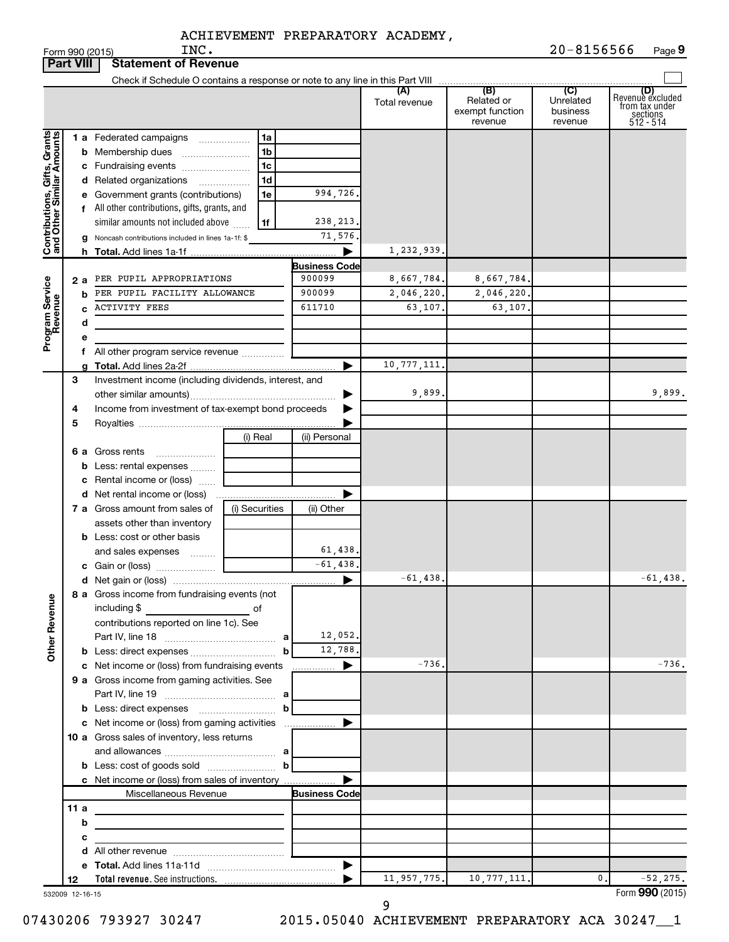|                                                           | <b>Part VIII</b> | <b>Statement of Revenue</b>                                                                                           |                |                                |                      |                                                 |                                         |                                                                    |
|-----------------------------------------------------------|------------------|-----------------------------------------------------------------------------------------------------------------------|----------------|--------------------------------|----------------------|-------------------------------------------------|-----------------------------------------|--------------------------------------------------------------------|
|                                                           |                  |                                                                                                                       |                |                                |                      |                                                 |                                         |                                                                    |
|                                                           |                  |                                                                                                                       |                |                                | (A)<br>Total revenue | (B)<br>Related or<br>exempt function<br>revenue | (C)<br>Unrelated<br>business<br>revenue | (D)<br>Revenue excluded<br>from tax under<br>sections<br>512 - 514 |
|                                                           |                  | <b>1 a</b> Federated campaigns                                                                                        | 1a<br>.        |                                |                      |                                                 |                                         |                                                                    |
|                                                           |                  | <b>b</b> Membership dues                                                                                              | 1 <sub>b</sub> |                                |                      |                                                 |                                         |                                                                    |
|                                                           |                  | c Fundraising events                                                                                                  | 1c             |                                |                      |                                                 |                                         |                                                                    |
|                                                           |                  | d Related organizations                                                                                               | 1d<br>.        |                                |                      |                                                 |                                         |                                                                    |
|                                                           |                  | e Government grants (contributions)                                                                                   | 1e             | 994,726.                       |                      |                                                 |                                         |                                                                    |
|                                                           |                  | f All other contributions, gifts, grants, and                                                                         |                |                                |                      |                                                 |                                         |                                                                    |
|                                                           |                  | similar amounts not included above                                                                                    | 1f             | 238, 213.                      |                      |                                                 |                                         |                                                                    |
| Contributions, Gifts, Grants<br>and Other Similar Amounts |                  | g Noncash contributions included in lines 1a-1f: \$                                                                   |                | 71,576.                        |                      |                                                 |                                         |                                                                    |
|                                                           |                  |                                                                                                                       |                | ▶                              | 1,232,939            |                                                 |                                         |                                                                    |
|                                                           | 2а               | PER PUPIL APPROPRIATIONS                                                                                              |                | <b>Business Code</b><br>900099 | 8,667,784.           | 8,667,784.                                      |                                         |                                                                    |
| Program Service<br>Revenue                                | b                | PER PUPIL FACILITY ALLOWANCE                                                                                          |                | 900099                         | 2,046,220.           | 2,046,220.                                      |                                         |                                                                    |
|                                                           | c                | <b>ACTIVITY FEES</b>                                                                                                  |                | 611710                         | 63,107.              | 63,107.                                         |                                         |                                                                    |
|                                                           | d                |                                                                                                                       |                |                                |                      |                                                 |                                         |                                                                    |
|                                                           | е                |                                                                                                                       |                |                                |                      |                                                 |                                         |                                                                    |
|                                                           |                  | f All other program service revenue                                                                                   |                |                                |                      |                                                 |                                         |                                                                    |
|                                                           |                  |                                                                                                                       |                |                                | 10,777,111           |                                                 |                                         |                                                                    |
|                                                           | 3                | Investment income (including dividends, interest, and                                                                 |                |                                |                      |                                                 |                                         |                                                                    |
|                                                           |                  |                                                                                                                       |                |                                | 9,899.               |                                                 |                                         | 9,899.                                                             |
|                                                           | 4                | Income from investment of tax-exempt bond proceeds                                                                    |                |                                |                      |                                                 |                                         |                                                                    |
|                                                           | 5                |                                                                                                                       |                |                                |                      |                                                 |                                         |                                                                    |
|                                                           |                  |                                                                                                                       | (i) Real       | (ii) Personal                  |                      |                                                 |                                         |                                                                    |
|                                                           |                  | <b>6 a</b> Gross rents                                                                                                |                |                                |                      |                                                 |                                         |                                                                    |
|                                                           |                  | <b>b</b> Less: rental expenses<br>c Rental income or (loss)                                                           |                |                                |                      |                                                 |                                         |                                                                    |
|                                                           |                  |                                                                                                                       |                |                                |                      |                                                 |                                         |                                                                    |
|                                                           |                  | 7 a Gross amount from sales of                                                                                        | (i) Securities | (ii) Other                     |                      |                                                 |                                         |                                                                    |
|                                                           |                  | assets other than inventory                                                                                           |                |                                |                      |                                                 |                                         |                                                                    |
|                                                           |                  | <b>b</b> Less: cost or other basis                                                                                    |                |                                |                      |                                                 |                                         |                                                                    |
|                                                           |                  | and sales expenses                                                                                                    |                | 61,438.                        |                      |                                                 |                                         |                                                                    |
|                                                           |                  |                                                                                                                       |                | $-61,438.$                     |                      |                                                 |                                         |                                                                    |
|                                                           |                  |                                                                                                                       |                | ▶                              | $-61,438$            |                                                 |                                         | $-61,438.$                                                         |
|                                                           |                  | 8 a Gross income from fundraising events (not                                                                         |                |                                |                      |                                                 |                                         |                                                                    |
|                                                           |                  | including \$<br><u> 1990 - Johann Barbara, martx</u>                                                                  | of             |                                |                      |                                                 |                                         |                                                                    |
|                                                           |                  | contributions reported on line 1c). See                                                                               |                |                                |                      |                                                 |                                         |                                                                    |
| <b>Other Revenue</b>                                      |                  |                                                                                                                       |                | 12,052.                        |                      |                                                 |                                         |                                                                    |
|                                                           |                  |                                                                                                                       | b              | 12,788.<br>▶                   | $-736.$              |                                                 |                                         | $-736.$                                                            |
|                                                           |                  | c Net income or (loss) from fundraising events<br>9 a Gross income from gaming activities. See                        |                | .                              |                      |                                                 |                                         |                                                                    |
|                                                           |                  |                                                                                                                       |                |                                |                      |                                                 |                                         |                                                                    |
|                                                           |                  | <b>b</b> Less: direct expenses <b>contained b</b>                                                                     |                |                                |                      |                                                 |                                         |                                                                    |
|                                                           |                  |                                                                                                                       |                |                                |                      |                                                 |                                         |                                                                    |
|                                                           |                  | 10 a Gross sales of inventory, less returns                                                                           |                |                                |                      |                                                 |                                         |                                                                    |
|                                                           |                  |                                                                                                                       |                |                                |                      |                                                 |                                         |                                                                    |
|                                                           |                  |                                                                                                                       |                |                                |                      |                                                 |                                         |                                                                    |
|                                                           |                  | c Net income or (loss) from sales of inventory                                                                        |                |                                |                      |                                                 |                                         |                                                                    |
|                                                           |                  | Miscellaneous Revenue                                                                                                 |                | <b>Business Code</b>           |                      |                                                 |                                         |                                                                    |
|                                                           | 11a              |                                                                                                                       |                |                                |                      |                                                 |                                         |                                                                    |
|                                                           | b                | <u> 1989 - Johann Barbara, martin amerikan basar dan berasal dalam basar dalam basar dalam basar dalam basar dala</u> |                |                                |                      |                                                 |                                         |                                                                    |
|                                                           | с                | the control of the control of the control of the control of the control of                                            |                |                                |                      |                                                 |                                         |                                                                    |
|                                                           |                  |                                                                                                                       |                |                                |                      |                                                 |                                         |                                                                    |
|                                                           | 12               |                                                                                                                       |                |                                | 11,957,775.          | 10, 777, 111.                                   | 0.                                      | $-52, 275.$                                                        |
|                                                           | 532009 12-16-15  |                                                                                                                       |                |                                |                      |                                                 |                                         | Form 990 (2015)                                                    |
|                                                           |                  |                                                                                                                       |                |                                | 9                    |                                                 |                                         |                                                                    |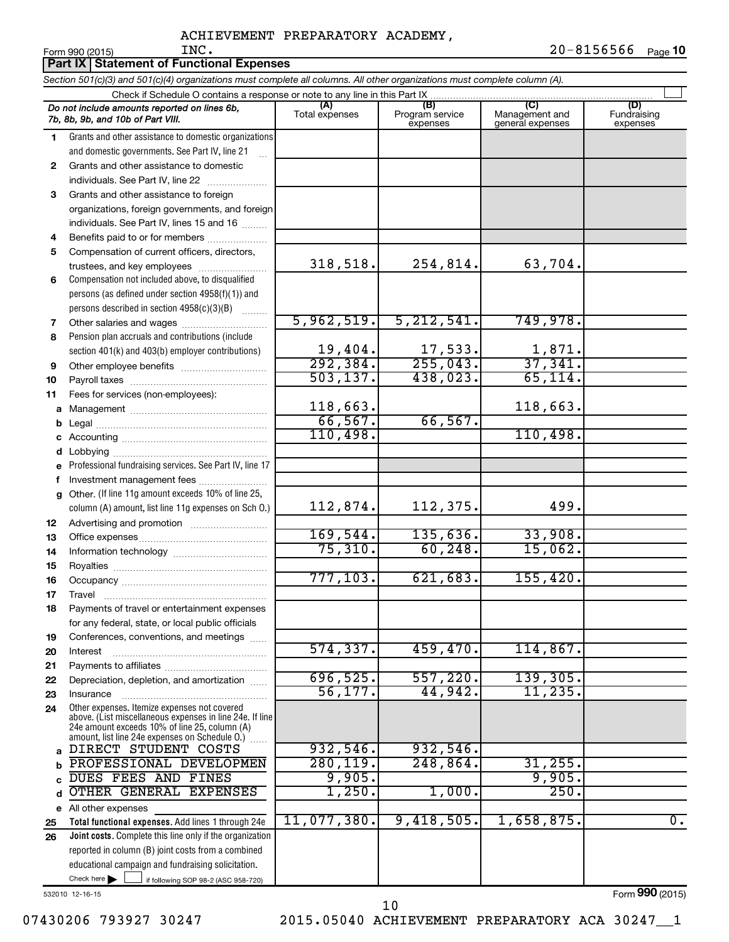$\blacksquare$ Form 990 (2015)  $\blacksquare$   $\blacksquare$   $\blacksquare$   $\blacksquare$   $\blacksquare$   $\blacksquare$   $\blacksquare$   $\blacksquare$   $\blacksquare$   $\blacksquare$   $\blacksquare$   $\blacksquare$   $\blacksquare$   $\blacksquare$   $\blacksquare$   $\blacksquare$   $\blacksquare$   $\blacksquare$   $\blacksquare$   $\blacksquare$   $\blacksquare$   $\blacksquare$   $\blacksquare$   $\blacksquare$   $\blacksquare$   $\blacksquare$   $\blacksquare$   $\blacksquare$   $\bl$ 20-8156566 Page 10 INC. 20-8156566

|              | Part IX Statement of Functional Expenses                                                                                                                                                                    |                            |                                    |                                           |                                |  |  |  |  |  |
|--------------|-------------------------------------------------------------------------------------------------------------------------------------------------------------------------------------------------------------|----------------------------|------------------------------------|-------------------------------------------|--------------------------------|--|--|--|--|--|
|              | Section 501(c)(3) and 501(c)(4) organizations must complete all columns. All other organizations must complete column (A).                                                                                  |                            |                                    |                                           |                                |  |  |  |  |  |
|              | Check if Schedule O contains a response or note to any line in this Part IX                                                                                                                                 |                            |                                    |                                           |                                |  |  |  |  |  |
|              | Do not include amounts reported on lines 6b,<br>7b, 8b, 9b, and 10b of Part VIII.                                                                                                                           | (A)<br>Total expenses      | (B)<br>Program service<br>expenses | (C)<br>Management and<br>general expenses | (D)<br>Fundraising<br>expenses |  |  |  |  |  |
| 1.           | Grants and other assistance to domestic organizations                                                                                                                                                       |                            |                                    |                                           |                                |  |  |  |  |  |
|              | and domestic governments. See Part IV, line 21                                                                                                                                                              |                            |                                    |                                           |                                |  |  |  |  |  |
| 2            | Grants and other assistance to domestic                                                                                                                                                                     |                            |                                    |                                           |                                |  |  |  |  |  |
|              | individuals. See Part IV, line 22                                                                                                                                                                           |                            |                                    |                                           |                                |  |  |  |  |  |
| 3            | Grants and other assistance to foreign                                                                                                                                                                      |                            |                                    |                                           |                                |  |  |  |  |  |
|              | organizations, foreign governments, and foreign                                                                                                                                                             |                            |                                    |                                           |                                |  |  |  |  |  |
|              | individuals. See Part IV, lines 15 and 16                                                                                                                                                                   |                            |                                    |                                           |                                |  |  |  |  |  |
| 4            | Benefits paid to or for members                                                                                                                                                                             |                            |                                    |                                           |                                |  |  |  |  |  |
| 5            | Compensation of current officers, directors,                                                                                                                                                                |                            |                                    |                                           |                                |  |  |  |  |  |
|              | trustees, and key employees                                                                                                                                                                                 | 318,518.                   | 254,814.                           | 63,704.                                   |                                |  |  |  |  |  |
| 6            | Compensation not included above, to disqualified                                                                                                                                                            |                            |                                    |                                           |                                |  |  |  |  |  |
|              | persons (as defined under section 4958(f)(1)) and                                                                                                                                                           |                            |                                    |                                           |                                |  |  |  |  |  |
|              | persons described in section 4958(c)(3)(B)                                                                                                                                                                  | 5,962,519.                 | 5, 212, 541.                       | 749,978.                                  |                                |  |  |  |  |  |
| 7<br>8       | Other salaries and wages<br>Pension plan accruals and contributions (include                                                                                                                                |                            |                                    |                                           |                                |  |  |  |  |  |
|              | section 401(k) and 403(b) employer contributions)                                                                                                                                                           |                            |                                    |                                           |                                |  |  |  |  |  |
| 9            | Other employee benefits                                                                                                                                                                                     | $\frac{19,404.}{292,384.}$ | $\frac{17,533}{255,043}$           | $\frac{1,871}{37,341}$                    |                                |  |  |  |  |  |
| 10           |                                                                                                                                                                                                             | 503, 137.                  | 438,023.                           | 65, 114.                                  |                                |  |  |  |  |  |
| 11           | Fees for services (non-employees):                                                                                                                                                                          |                            |                                    |                                           |                                |  |  |  |  |  |
| a            |                                                                                                                                                                                                             | 118,663.                   |                                    | 118,663.                                  |                                |  |  |  |  |  |
| b            |                                                                                                                                                                                                             | 66, 567.                   | 66, 567.                           |                                           |                                |  |  |  |  |  |
| c            |                                                                                                                                                                                                             | 110,498.                   |                                    | 110,498.                                  |                                |  |  |  |  |  |
| d            |                                                                                                                                                                                                             |                            |                                    |                                           |                                |  |  |  |  |  |
| e            | Professional fundraising services. See Part IV, line 17                                                                                                                                                     |                            |                                    |                                           |                                |  |  |  |  |  |
| f            | Investment management fees                                                                                                                                                                                  |                            |                                    |                                           |                                |  |  |  |  |  |
| a            | Other. (If line 11g amount exceeds 10% of line 25,                                                                                                                                                          |                            |                                    |                                           |                                |  |  |  |  |  |
|              | column (A) amount, list line 11g expenses on Sch O.)                                                                                                                                                        | 112,874.                   | 112,375.                           | 499.                                      |                                |  |  |  |  |  |
| 12           |                                                                                                                                                                                                             |                            |                                    |                                           |                                |  |  |  |  |  |
| 13           |                                                                                                                                                                                                             | 169,544.<br>75,310.        | 135,636.                           | 33,908.                                   |                                |  |  |  |  |  |
| 14           |                                                                                                                                                                                                             |                            | 60, 248.                           | 15,062.                                   |                                |  |  |  |  |  |
| 15           |                                                                                                                                                                                                             | 777,103.                   | 621,683.                           | 155,420.                                  |                                |  |  |  |  |  |
| 16           |                                                                                                                                                                                                             |                            |                                    |                                           |                                |  |  |  |  |  |
| 17<br>18     | Travel<br>Payments of travel or entertainment expenses                                                                                                                                                      |                            |                                    |                                           |                                |  |  |  |  |  |
|              | for any federal, state, or local public officials                                                                                                                                                           |                            |                                    |                                           |                                |  |  |  |  |  |
| 19           | Conferences, conventions, and meetings                                                                                                                                                                      |                            |                                    |                                           |                                |  |  |  |  |  |
| 20           | Interest                                                                                                                                                                                                    | 574, 337.                  | 459, 470.                          | 114,867.                                  |                                |  |  |  |  |  |
| 21           |                                                                                                                                                                                                             |                            |                                    |                                           |                                |  |  |  |  |  |
| 22           | Depreciation, depletion, and amortization                                                                                                                                                                   | 696,525.                   | 557,220.                           | 139, 305.                                 |                                |  |  |  |  |  |
| 23           | Insurance                                                                                                                                                                                                   | 56, 177.                   | 44,942.                            | 11,235                                    |                                |  |  |  |  |  |
| 24           | Other expenses. Itemize expenses not covered<br>above. (List miscellaneous expenses in line 24e. If line<br>24e amount exceeds 10% of line 25, column (A)<br>amount, list line 24e expenses on Schedule O.) |                            |                                    |                                           |                                |  |  |  |  |  |
| $\mathbf{a}$ | DIRECT STUDENT COSTS                                                                                                                                                                                        | 932,546.                   | 932,546.                           |                                           |                                |  |  |  |  |  |
| b            | PROFESSIONAL DEVELOPMEN                                                                                                                                                                                     | 280, 119.                  | 248,864.                           | 31, 255.                                  |                                |  |  |  |  |  |
| C            | DUES FEES AND FINES                                                                                                                                                                                         | 9,905.                     |                                    | 9,905.                                    |                                |  |  |  |  |  |
| d            | OTHER GENERAL EXPENSES                                                                                                                                                                                      | 1,250.                     | 1,000.                             | 250.                                      |                                |  |  |  |  |  |
|              | e All other expenses                                                                                                                                                                                        |                            |                                    |                                           |                                |  |  |  |  |  |
| 25           | Total functional expenses. Add lines 1 through 24e                                                                                                                                                          | 11,077,380.                | 9,418,505.                         | 1,658,875                                 | $\overline{0}$ .               |  |  |  |  |  |
| 26           | Joint costs. Complete this line only if the organization                                                                                                                                                    |                            |                                    |                                           |                                |  |  |  |  |  |
|              | reported in column (B) joint costs from a combined                                                                                                                                                          |                            |                                    |                                           |                                |  |  |  |  |  |
|              | educational campaign and fundraising solicitation.                                                                                                                                                          |                            |                                    |                                           |                                |  |  |  |  |  |
|              | Check here<br>if following SOP 98-2 (ASC 958-720)                                                                                                                                                           |                            |                                    |                                           | $000 \, \text{m}$              |  |  |  |  |  |

532010 12-16-15

Form (2015) **990**

07430206 793927 30247 2015.05040 ACHIEVEMENT PREPARATORY ACA 30247\_1 10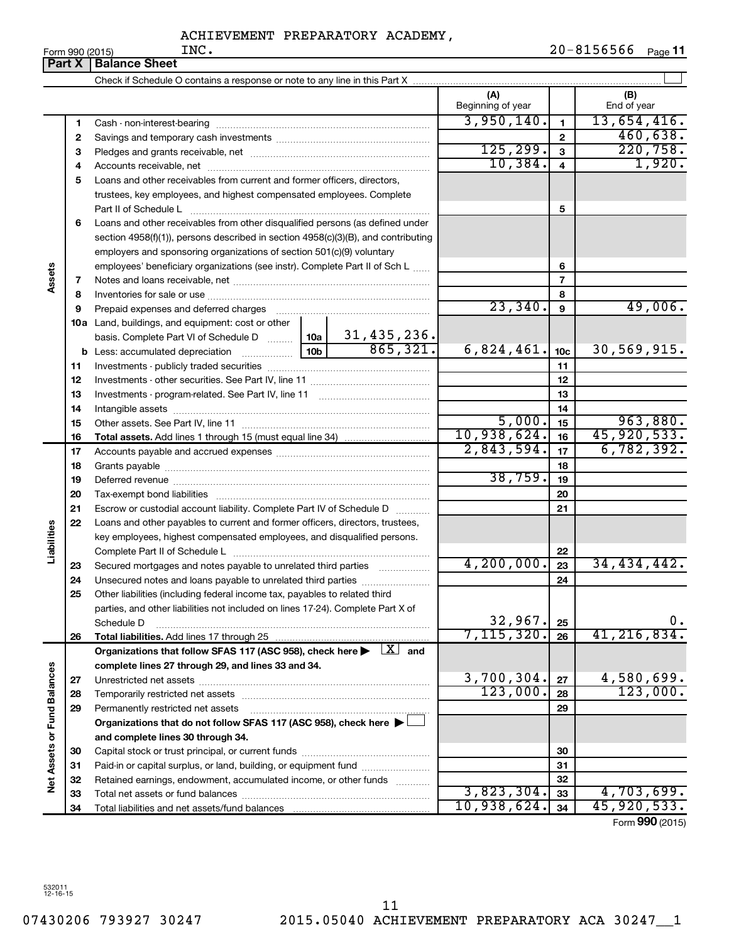|                             |               | INC.<br>Form 990 (2015)                                                                                                                                            |                 |                         |                          |              | $20 - 8156566$     | Page 11         |
|-----------------------------|---------------|--------------------------------------------------------------------------------------------------------------------------------------------------------------------|-----------------|-------------------------|--------------------------|--------------|--------------------|-----------------|
|                             | <b>Part X</b> | <b>Balance Sheet</b>                                                                                                                                               |                 |                         |                          |              |                    |                 |
|                             |               |                                                                                                                                                                    |                 |                         |                          |              |                    |                 |
|                             |               |                                                                                                                                                                    |                 |                         | (A)<br>Beginning of year |              | (B)<br>End of year |                 |
|                             | 1             |                                                                                                                                                                    |                 |                         | 3,950,140.               | $\mathbf{1}$ | 13,654,416.        |                 |
|                             | 2             |                                                                                                                                                                    |                 |                         |                          | $\mathbf{2}$ |                    | 460,638.        |
|                             | З             |                                                                                                                                                                    |                 |                         | 125, 299.                | 3            |                    | 220,758.        |
|                             | 4             |                                                                                                                                                                    |                 |                         | 10,384.                  | 4            |                    | 1,920.          |
|                             | 5             | Loans and other receivables from current and former officers, directors,                                                                                           |                 |                         |                          |              |                    |                 |
|                             |               | trustees, key employees, and highest compensated employees. Complete                                                                                               |                 |                         |                          | 5            |                    |                 |
|                             | 6             | Loans and other receivables from other disqualified persons (as defined under<br>section 4958(f)(1)), persons described in section 4958(c)(3)(B), and contributing |                 |                         |                          |              |                    |                 |
|                             |               | employers and sponsoring organizations of section 501(c)(9) voluntary                                                                                              |                 |                         |                          |              |                    |                 |
| Assets                      |               | employees' beneficiary organizations (see instr). Complete Part II of Sch L                                                                                        |                 |                         |                          | 6            |                    |                 |
|                             | 7             |                                                                                                                                                                    |                 |                         | $\overline{7}$           |              |                    |                 |
|                             | 8             |                                                                                                                                                                    |                 |                         | 23,340.                  | 8            |                    | 49,006.         |
|                             | 9             | Prepaid expenses and deferred charges                                                                                                                              |                 |                         |                          | 9            |                    |                 |
|                             |               | 10a Land, buildings, and equipment: cost or other                                                                                                                  |                 |                         |                          |              |                    |                 |
|                             |               | basis. Complete Part VI of Schedule D  10a                                                                                                                         | 10 <sub>b</sub> | 31,435,236.<br>865,321. |                          |              |                    |                 |
|                             |               | <b>b</b> Less: accumulated depreciation                                                                                                                            | 6,824,461.      | 10 <sub>c</sub>         | 30,569,915.              |              |                    |                 |
|                             | 11            |                                                                                                                                                                    |                 |                         | 11                       |              |                    |                 |
|                             | 12            |                                                                                                                                                                    |                 |                         |                          | 12           |                    |                 |
|                             | 13            |                                                                                                                                                                    |                 |                         |                          | 13           |                    |                 |
|                             | 14            |                                                                                                                                                                    |                 |                         | 5,000.                   | 14<br>15     |                    | 963,880.        |
|                             | 15            |                                                                                                                                                                    |                 |                         | 10,938,624.              | 16           | 45,920,533.        |                 |
|                             | 16<br>17      |                                                                                                                                                                    |                 | 2,843,594.              | 17                       | 6, 782, 392. |                    |                 |
|                             | 18            |                                                                                                                                                                    |                 | 18                      |                          |              |                    |                 |
|                             | 19            |                                                                                                                                                                    |                 | 38,759.                 | 19                       |              |                    |                 |
|                             | 20            |                                                                                                                                                                    |                 |                         |                          | 20           |                    |                 |
|                             | 21            | Escrow or custodial account liability. Complete Part IV of Schedule D                                                                                              |                 |                         |                          | 21           |                    |                 |
|                             | 22            | Loans and other payables to current and former officers, directors, trustees,                                                                                      |                 |                         |                          |              |                    |                 |
| Liabilities                 |               | key employees, highest compensated employees, and disqualified persons.                                                                                            |                 |                         |                          |              |                    |                 |
|                             |               | Complete Part II of Schedule L                                                                                                                                     |                 |                         |                          | 22           |                    |                 |
|                             | 23            | Secured mortgages and notes payable to unrelated third parties                                                                                                     |                 |                         | 4, 200, 000.             | 23           | 34, 434, 442.      |                 |
|                             | 24            | Unsecured notes and loans payable to unrelated third parties                                                                                                       |                 |                         |                          | 24           |                    |                 |
|                             | 25            | Other liabilities (including federal income tax, payables to related third                                                                                         |                 |                         |                          |              |                    |                 |
|                             |               | parties, and other liabilities not included on lines 17-24). Complete Part X of                                                                                    |                 |                         |                          |              |                    |                 |
|                             |               | Schedule D                                                                                                                                                         |                 |                         | 32,967.                  | 25           |                    | 0.              |
|                             | 26            | Total liabilities. Add lines 17 through 25                                                                                                                         |                 |                         | 7, 115, 320.             | 26           | 41, 216, 834.      |                 |
|                             |               | Organizations that follow SFAS 117 (ASC 958), check here $\blacktriangleright \begin{array}{c} \perp X \\ \end{array}$ and                                         |                 |                         |                          |              |                    |                 |
|                             |               | complete lines 27 through 29, and lines 33 and 34.                                                                                                                 |                 |                         |                          |              |                    |                 |
|                             | 27            |                                                                                                                                                                    |                 |                         | 3,700,304.               | 27           | 4,580,699.         |                 |
|                             | 28            |                                                                                                                                                                    |                 |                         | 123,000.                 | 28           |                    | 123,000.        |
|                             | 29            | Permanently restricted net assets                                                                                                                                  |                 | 29                      |                          |              |                    |                 |
|                             |               | Organizations that do not follow SFAS 117 (ASC 958), check here ▶ [                                                                                                |                 |                         |                          |              |                    |                 |
| Net Assets or Fund Balances |               | and complete lines 30 through 34.                                                                                                                                  |                 |                         |                          |              |                    |                 |
|                             | 30            |                                                                                                                                                                    |                 |                         |                          | 30           |                    |                 |
|                             | 31            | Paid-in or capital surplus, or land, building, or equipment fund                                                                                                   |                 |                         |                          | 31           |                    |                 |
|                             | 32            | Retained earnings, endowment, accumulated income, or other funds                                                                                                   |                 |                         |                          | 32           |                    |                 |
|                             | 33            |                                                                                                                                                                    |                 |                         | 3,823,304.               | 33           | 4,703,699.         |                 |
|                             | 34            |                                                                                                                                                                    |                 |                         | 10,938,624.              | 34           | 45, 920, 533.      |                 |
|                             |               |                                                                                                                                                                    |                 |                         |                          |              |                    | Form 990 (2015) |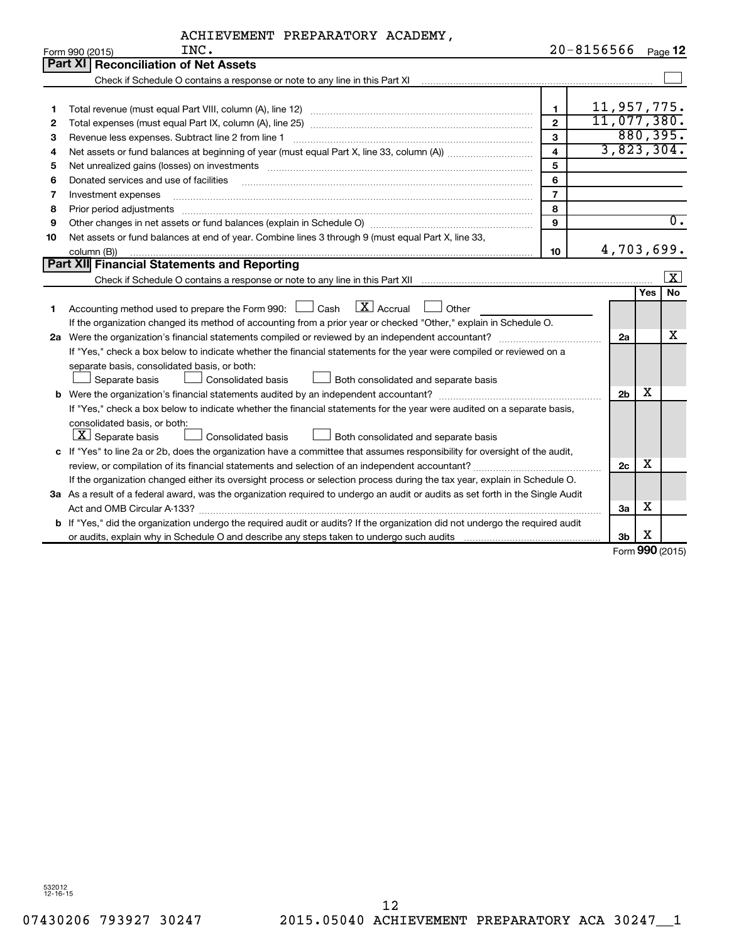| ACHIEVEMENT PREPARATORY ACADEMY, |  |  |
|----------------------------------|--|--|
|----------------------------------|--|--|

|    | INC.<br>Form 990 (2015)                                                                                                                                           |                         | 20-8156566     |            | Page 12          |
|----|-------------------------------------------------------------------------------------------------------------------------------------------------------------------|-------------------------|----------------|------------|------------------|
|    | Part XI Reconciliation of Net Assets                                                                                                                              |                         |                |            |                  |
|    | Check if Schedule O contains a response or note to any line in this Part XI [11] [12] Check if Schedule O contains a response or note to any line in this Part XI |                         |                |            |                  |
|    |                                                                                                                                                                   |                         |                |            |                  |
| 1  |                                                                                                                                                                   | $\mathbf{1}$            | 11,957,775.    |            |                  |
| 2  |                                                                                                                                                                   | $\mathfrak{p}$          | 11,077,380.    |            |                  |
| З  | Revenue less expenses. Subtract line 2 from line 1                                                                                                                | 3                       |                |            | 880, 395.        |
| 4  |                                                                                                                                                                   | $\overline{\mathbf{4}}$ | 3,823,304.     |            |                  |
| 5  |                                                                                                                                                                   | 5                       |                |            |                  |
| 6  | Donated services and use of facilities                                                                                                                            | 6                       |                |            |                  |
| 7  | Investment expenses                                                                                                                                               | $\overline{7}$          |                |            |                  |
| 8  | Prior period adjustments www.communication.communication.communication.com/                                                                                       | 8                       |                |            |                  |
| 9  |                                                                                                                                                                   | 9                       |                |            | $\overline{0}$ . |
| 10 | Net assets or fund balances at end of year. Combine lines 3 through 9 (must equal Part X, line 33,                                                                |                         |                |            |                  |
|    | column (B))                                                                                                                                                       | 10                      | 4,703,699.     |            |                  |
|    | Part XII Financial Statements and Reporting                                                                                                                       |                         |                |            |                  |
|    |                                                                                                                                                                   |                         |                |            | $\vert x \vert$  |
|    |                                                                                                                                                                   |                         |                | <b>Yes</b> | No               |
| 1  | $\boxed{\text{X}}$ Accrual<br>Accounting method used to prepare the Form 990: [130] Cash<br>Other                                                                 |                         |                |            |                  |
|    | If the organization changed its method of accounting from a prior year or checked "Other," explain in Schedule O.                                                 |                         |                |            |                  |
|    |                                                                                                                                                                   |                         | 2a             |            | х                |
|    | If "Yes," check a box below to indicate whether the financial statements for the year were compiled or reviewed on a                                              |                         |                |            |                  |
|    | separate basis, consolidated basis, or both:                                                                                                                      |                         |                |            |                  |
|    | Separate basis<br>Consolidated basis<br>Both consolidated and separate basis                                                                                      |                         |                |            |                  |
|    |                                                                                                                                                                   |                         | 2 <sub>b</sub> | х          |                  |
|    | If "Yes," check a box below to indicate whether the financial statements for the year were audited on a separate basis,                                           |                         |                |            |                  |
|    | consolidated basis, or both:                                                                                                                                      |                         |                |            |                  |
|    | $\lfloor x \rfloor$ Separate basis<br>Consolidated basis<br>Both consolidated and separate basis                                                                  |                         |                |            |                  |
|    | c If "Yes" to line 2a or 2b, does the organization have a committee that assumes responsibility for oversight of the audit,                                       |                         |                |            |                  |
|    |                                                                                                                                                                   |                         | 2c             | х          |                  |
|    | If the organization changed either its oversight process or selection process during the tax year, explain in Schedule O.                                         |                         |                |            |                  |
|    | 3a As a result of a federal award, was the organization required to undergo an audit or audits as set forth in the Single Audit                                   |                         |                |            |                  |
|    |                                                                                                                                                                   |                         | За             | х          |                  |
|    | b If "Yes," did the organization undergo the required audit or audits? If the organization did not undergo the required audit                                     |                         |                |            |                  |
|    |                                                                                                                                                                   |                         | 3 <sub>b</sub> | х          |                  |

Form (2015) **990**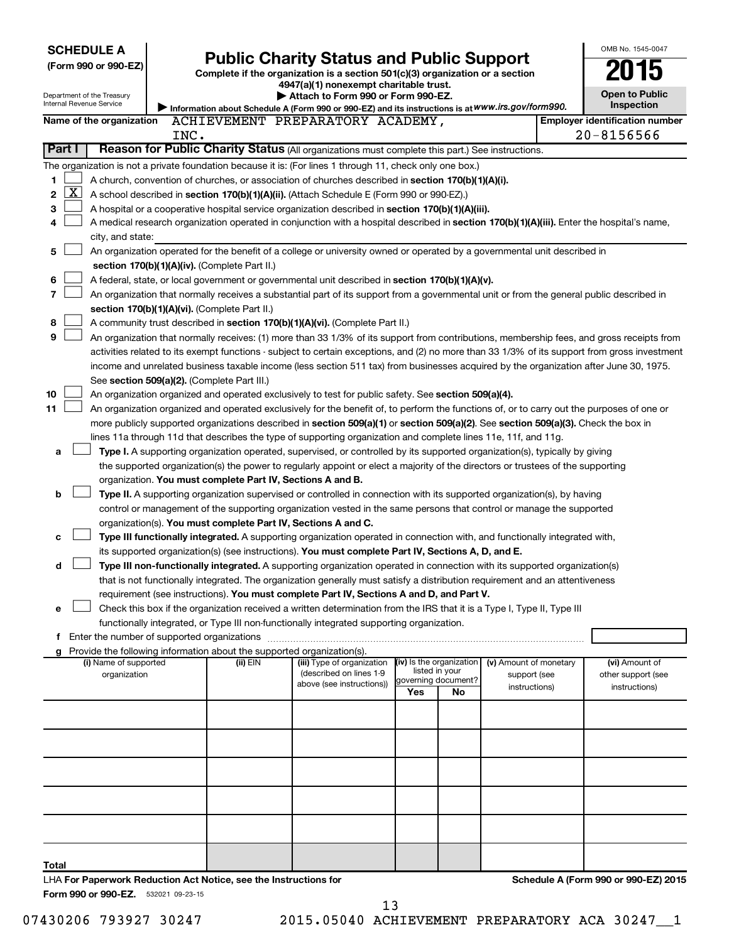| <b>SCHEDULE A</b><br><b>Public Charity Status and Public Support</b>                                      |                                                                                                                                                                                                                                                    |                                               |                                                                                                                                            |     |                           |                        | OMB No. 1545-0047 |                                       |  |  |  |
|-----------------------------------------------------------------------------------------------------------|----------------------------------------------------------------------------------------------------------------------------------------------------------------------------------------------------------------------------------------------------|-----------------------------------------------|--------------------------------------------------------------------------------------------------------------------------------------------|-----|---------------------------|------------------------|-------------------|---------------------------------------|--|--|--|
| (Form 990 or 990-EZ)                                                                                      |                                                                                                                                                                                                                                                    |                                               |                                                                                                                                            |     |                           |                        |                   |                                       |  |  |  |
|                                                                                                           |                                                                                                                                                                                                                                                    |                                               | Complete if the organization is a section 501(c)(3) organization or a section<br>4947(a)(1) nonexempt charitable trust.                    |     |                           |                        |                   |                                       |  |  |  |
| Department of the Treasury                                                                                |                                                                                                                                                                                                                                                    |                                               | Attach to Form 990 or Form 990-EZ.                                                                                                         |     |                           |                        |                   | <b>Open to Public</b>                 |  |  |  |
| Internal Revenue Service                                                                                  |                                                                                                                                                                                                                                                    |                                               | Information about Schedule A (Form 990 or 990-EZ) and its instructions is at WWW.irs.gov/form990.                                          |     |                           |                        |                   | Inspection                            |  |  |  |
| Name of the organization                                                                                  |                                                                                                                                                                                                                                                    |                                               | ACHIEVEMENT PREPARATORY ACADEMY,                                                                                                           |     |                           |                        |                   | <b>Employer identification number</b> |  |  |  |
|                                                                                                           | INC.                                                                                                                                                                                                                                               |                                               |                                                                                                                                            |     |                           |                        |                   | $20 - 8156566$                        |  |  |  |
| Part I                                                                                                    |                                                                                                                                                                                                                                                    |                                               | Reason for Public Charity Status (All organizations must complete this part.) See instructions.                                            |     |                           |                        |                   |                                       |  |  |  |
| The organization is not a private foundation because it is: (For lines 1 through 11, check only one box.) |                                                                                                                                                                                                                                                    |                                               |                                                                                                                                            |     |                           |                        |                   |                                       |  |  |  |
| 1                                                                                                         |                                                                                                                                                                                                                                                    |                                               | A church, convention of churches, or association of churches described in section 170(b)(1)(A)(i).                                         |     |                           |                        |                   |                                       |  |  |  |
| $\mathbf{X}$<br>2                                                                                         |                                                                                                                                                                                                                                                    |                                               | A school described in section 170(b)(1)(A)(ii). (Attach Schedule E (Form 990 or 990-EZ).)                                                  |     |                           |                        |                   |                                       |  |  |  |
| 3                                                                                                         |                                                                                                                                                                                                                                                    |                                               | A hospital or a cooperative hospital service organization described in section 170(b)(1)(A)(iii).                                          |     |                           |                        |                   |                                       |  |  |  |
| 4                                                                                                         |                                                                                                                                                                                                                                                    |                                               | A medical research organization operated in conjunction with a hospital described in section 170(b)(1)(A)(iii). Enter the hospital's name, |     |                           |                        |                   |                                       |  |  |  |
| city, and state:                                                                                          |                                                                                                                                                                                                                                                    |                                               |                                                                                                                                            |     |                           |                        |                   |                                       |  |  |  |
| 5                                                                                                         |                                                                                                                                                                                                                                                    |                                               | An organization operated for the benefit of a college or university owned or operated by a governmental unit described in                  |     |                           |                        |                   |                                       |  |  |  |
|                                                                                                           |                                                                                                                                                                                                                                                    | section 170(b)(1)(A)(iv). (Complete Part II.) |                                                                                                                                            |     |                           |                        |                   |                                       |  |  |  |
| 6                                                                                                         |                                                                                                                                                                                                                                                    |                                               | A federal, state, or local government or governmental unit described in section 170(b)(1)(A)(v).                                           |     |                           |                        |                   |                                       |  |  |  |
| 7                                                                                                         |                                                                                                                                                                                                                                                    |                                               | An organization that normally receives a substantial part of its support from a governmental unit or from the general public described in  |     |                           |                        |                   |                                       |  |  |  |
| section 170(b)(1)(A)(vi). (Complete Part II.)                                                             |                                                                                                                                                                                                                                                    |                                               |                                                                                                                                            |     |                           |                        |                   |                                       |  |  |  |
| 8                                                                                                         | A community trust described in section 170(b)(1)(A)(vi). (Complete Part II.)<br>9<br>An organization that normally receives: (1) more than 33 1/3% of its support from contributions, membership fees, and gross receipts from                     |                                               |                                                                                                                                            |     |                           |                        |                   |                                       |  |  |  |
|                                                                                                           | activities related to its exempt functions - subject to certain exceptions, and (2) no more than 33 1/3% of its support from gross investment                                                                                                      |                                               |                                                                                                                                            |     |                           |                        |                   |                                       |  |  |  |
|                                                                                                           |                                                                                                                                                                                                                                                    |                                               |                                                                                                                                            |     |                           |                        |                   |                                       |  |  |  |
|                                                                                                           |                                                                                                                                                                                                                                                    |                                               | income and unrelated business taxable income (less section 511 tax) from businesses acquired by the organization after June 30, 1975.      |     |                           |                        |                   |                                       |  |  |  |
| 10                                                                                                        |                                                                                                                                                                                                                                                    | See section 509(a)(2). (Complete Part III.)   |                                                                                                                                            |     |                           |                        |                   |                                       |  |  |  |
| 11                                                                                                        | An organization organized and operated exclusively to test for public safety. See section 509(a)(4).<br>An organization organized and operated exclusively for the benefit of, to perform the functions of, or to carry out the purposes of one or |                                               |                                                                                                                                            |     |                           |                        |                   |                                       |  |  |  |
|                                                                                                           | more publicly supported organizations described in section 509(a)(1) or section 509(a)(2). See section 509(a)(3). Check the box in                                                                                                                 |                                               |                                                                                                                                            |     |                           |                        |                   |                                       |  |  |  |
|                                                                                                           |                                                                                                                                                                                                                                                    |                                               | lines 11a through 11d that describes the type of supporting organization and complete lines 11e, 11f, and 11g.                             |     |                           |                        |                   |                                       |  |  |  |
| а                                                                                                         |                                                                                                                                                                                                                                                    |                                               | Type I. A supporting organization operated, supervised, or controlled by its supported organization(s), typically by giving                |     |                           |                        |                   |                                       |  |  |  |
|                                                                                                           |                                                                                                                                                                                                                                                    |                                               | the supported organization(s) the power to regularly appoint or elect a majority of the directors or trustees of the supporting            |     |                           |                        |                   |                                       |  |  |  |
|                                                                                                           |                                                                                                                                                                                                                                                    |                                               | organization. You must complete Part IV, Sections A and B.                                                                                 |     |                           |                        |                   |                                       |  |  |  |
| b                                                                                                         |                                                                                                                                                                                                                                                    |                                               | Type II. A supporting organization supervised or controlled in connection with its supported organization(s), by having                    |     |                           |                        |                   |                                       |  |  |  |
|                                                                                                           |                                                                                                                                                                                                                                                    |                                               | control or management of the supporting organization vested in the same persons that control or manage the supported                       |     |                           |                        |                   |                                       |  |  |  |
|                                                                                                           |                                                                                                                                                                                                                                                    |                                               | organization(s). You must complete Part IV, Sections A and C.                                                                              |     |                           |                        |                   |                                       |  |  |  |
| c                                                                                                         |                                                                                                                                                                                                                                                    |                                               | Type III functionally integrated. A supporting organization operated in connection with, and functionally integrated with,                 |     |                           |                        |                   |                                       |  |  |  |
|                                                                                                           |                                                                                                                                                                                                                                                    |                                               | its supported organization(s) (see instructions). You must complete Part IV, Sections A, D, and E.                                         |     |                           |                        |                   |                                       |  |  |  |
| d                                                                                                         |                                                                                                                                                                                                                                                    |                                               | Type III non-functionally integrated. A supporting organization operated in connection with its supported organization(s)                  |     |                           |                        |                   |                                       |  |  |  |
|                                                                                                           |                                                                                                                                                                                                                                                    |                                               | that is not functionally integrated. The organization generally must satisfy a distribution requirement and an attentiveness               |     |                           |                        |                   |                                       |  |  |  |
|                                                                                                           |                                                                                                                                                                                                                                                    |                                               | requirement (see instructions). You must complete Part IV, Sections A and D, and Part V.                                                   |     |                           |                        |                   |                                       |  |  |  |
| e                                                                                                         |                                                                                                                                                                                                                                                    |                                               | Check this box if the organization received a written determination from the IRS that it is a Type I, Type II, Type III                    |     |                           |                        |                   |                                       |  |  |  |
|                                                                                                           |                                                                                                                                                                                                                                                    |                                               | functionally integrated, or Type III non-functionally integrated supporting organization.                                                  |     |                           |                        |                   |                                       |  |  |  |
| f Enter the number of supported organizations                                                             |                                                                                                                                                                                                                                                    |                                               |                                                                                                                                            |     |                           |                        |                   |                                       |  |  |  |
| g Provide the following information about the supported organization(s).<br>(i) Name of supported         |                                                                                                                                                                                                                                                    | (ii) EIN                                      | (iii) Type of organization                                                                                                                 |     | (iv) Is the organization  | (v) Amount of monetary |                   | (vi) Amount of                        |  |  |  |
| organization                                                                                              |                                                                                                                                                                                                                                                    |                                               | (described on lines 1-9                                                                                                                    |     | listed in your            | support (see           |                   | other support (see                    |  |  |  |
|                                                                                                           |                                                                                                                                                                                                                                                    |                                               | above (see instructions))                                                                                                                  | Yes | governing document?<br>No | instructions)          |                   | instructions)                         |  |  |  |
|                                                                                                           |                                                                                                                                                                                                                                                    |                                               |                                                                                                                                            |     |                           |                        |                   |                                       |  |  |  |
|                                                                                                           |                                                                                                                                                                                                                                                    |                                               |                                                                                                                                            |     |                           |                        |                   |                                       |  |  |  |
|                                                                                                           |                                                                                                                                                                                                                                                    |                                               |                                                                                                                                            |     |                           |                        |                   |                                       |  |  |  |
|                                                                                                           |                                                                                                                                                                                                                                                    |                                               |                                                                                                                                            |     |                           |                        |                   |                                       |  |  |  |
|                                                                                                           |                                                                                                                                                                                                                                                    |                                               |                                                                                                                                            |     |                           |                        |                   |                                       |  |  |  |
|                                                                                                           |                                                                                                                                                                                                                                                    |                                               |                                                                                                                                            |     |                           |                        |                   |                                       |  |  |  |
|                                                                                                           |                                                                                                                                                                                                                                                    |                                               |                                                                                                                                            |     |                           |                        |                   |                                       |  |  |  |
|                                                                                                           |                                                                                                                                                                                                                                                    |                                               |                                                                                                                                            |     |                           |                        |                   |                                       |  |  |  |
|                                                                                                           |                                                                                                                                                                                                                                                    |                                               |                                                                                                                                            |     |                           |                        |                   |                                       |  |  |  |
|                                                                                                           |                                                                                                                                                                                                                                                    |                                               |                                                                                                                                            |     |                           |                        |                   |                                       |  |  |  |
|                                                                                                           |                                                                                                                                                                                                                                                    |                                               |                                                                                                                                            |     |                           |                        |                   |                                       |  |  |  |
| Total                                                                                                     |                                                                                                                                                                                                                                                    |                                               |                                                                                                                                            |     |                           |                        |                   |                                       |  |  |  |

Form 990 or 990-EZ. 532021 09-23-15 LHA **For Paperwork Reduction Act Notice, see the Instructions for**  **Schedule A (Form 990 or 990-EZ) 2015**

07430206 793927 30247 2015.05040 ACHIEVEMENT PREPARATORY ACA 30247\_1

13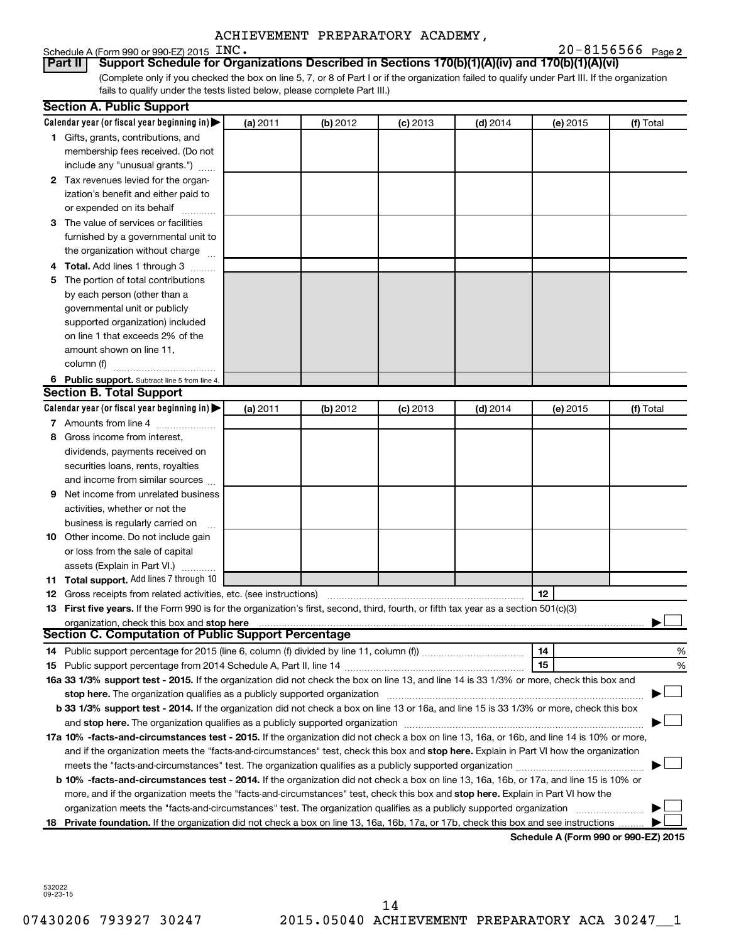#### Schedule A (Form 990 or 990-EZ) 2015  $\text{INC.}$

**2** INC. 20-8156566

(Complete only if you checked the box on line 5, 7, or 8 of Part I or if the organization failed to qualify under Part III. If the organization fails to qualify under the tests listed below, please complete Part III.) **Part II Support Schedule for Organizations Described in Sections 170(b)(1)(A)(iv) and 170(b)(1)(A)(vi)**

|   | <b>Section A. Public Support</b>                                                                                                                                                                                           |          |          |            |            |          |                                      |
|---|----------------------------------------------------------------------------------------------------------------------------------------------------------------------------------------------------------------------------|----------|----------|------------|------------|----------|--------------------------------------|
|   | Calendar year (or fiscal year beginning in)                                                                                                                                                                                | (a) 2011 | (b) 2012 | $(c)$ 2013 | $(d)$ 2014 | (e) 2015 | (f) Total                            |
|   | 1 Gifts, grants, contributions, and                                                                                                                                                                                        |          |          |            |            |          |                                      |
|   | membership fees received. (Do not                                                                                                                                                                                          |          |          |            |            |          |                                      |
|   | include any "unusual grants.")                                                                                                                                                                                             |          |          |            |            |          |                                      |
|   | 2 Tax revenues levied for the organ-                                                                                                                                                                                       |          |          |            |            |          |                                      |
|   | ization's benefit and either paid to                                                                                                                                                                                       |          |          |            |            |          |                                      |
|   | or expended on its behalf                                                                                                                                                                                                  |          |          |            |            |          |                                      |
|   | 3 The value of services or facilities                                                                                                                                                                                      |          |          |            |            |          |                                      |
|   | furnished by a governmental unit to                                                                                                                                                                                        |          |          |            |            |          |                                      |
|   | the organization without charge                                                                                                                                                                                            |          |          |            |            |          |                                      |
|   | 4 Total. Add lines 1 through 3                                                                                                                                                                                             |          |          |            |            |          |                                      |
|   | 5 The portion of total contributions                                                                                                                                                                                       |          |          |            |            |          |                                      |
|   | by each person (other than a                                                                                                                                                                                               |          |          |            |            |          |                                      |
|   | governmental unit or publicly                                                                                                                                                                                              |          |          |            |            |          |                                      |
|   | supported organization) included                                                                                                                                                                                           |          |          |            |            |          |                                      |
|   | on line 1 that exceeds 2% of the                                                                                                                                                                                           |          |          |            |            |          |                                      |
|   | amount shown on line 11,                                                                                                                                                                                                   |          |          |            |            |          |                                      |
|   | column (f)                                                                                                                                                                                                                 |          |          |            |            |          |                                      |
|   | 6 Public support. Subtract line 5 from line 4.                                                                                                                                                                             |          |          |            |            |          |                                      |
|   | <b>Section B. Total Support</b>                                                                                                                                                                                            |          |          |            |            |          |                                      |
|   | Calendar year (or fiscal year beginning in)                                                                                                                                                                                | (a) 2011 | (b) 2012 | $(c)$ 2013 | $(d)$ 2014 | (e) 2015 | (f) Total                            |
|   | 7 Amounts from line 4                                                                                                                                                                                                      |          |          |            |            |          |                                      |
|   | 8 Gross income from interest,                                                                                                                                                                                              |          |          |            |            |          |                                      |
|   | dividends, payments received on                                                                                                                                                                                            |          |          |            |            |          |                                      |
|   | securities loans, rents, royalties                                                                                                                                                                                         |          |          |            |            |          |                                      |
|   | and income from similar sources                                                                                                                                                                                            |          |          |            |            |          |                                      |
| 9 | Net income from unrelated business                                                                                                                                                                                         |          |          |            |            |          |                                      |
|   | activities, whether or not the                                                                                                                                                                                             |          |          |            |            |          |                                      |
|   | business is regularly carried on                                                                                                                                                                                           |          |          |            |            |          |                                      |
|   | 10 Other income. Do not include gain                                                                                                                                                                                       |          |          |            |            |          |                                      |
|   | or loss from the sale of capital                                                                                                                                                                                           |          |          |            |            |          |                                      |
|   | assets (Explain in Part VI.)                                                                                                                                                                                               |          |          |            |            |          |                                      |
|   | 11 Total support. Add lines 7 through 10                                                                                                                                                                                   |          |          |            |            |          |                                      |
|   | <b>12</b> Gross receipts from related activities, etc. (see instructions)                                                                                                                                                  |          |          |            |            | 12       |                                      |
|   | 13 First five years. If the Form 990 is for the organization's first, second, third, fourth, or fifth tax year as a section 501(c)(3)                                                                                      |          |          |            |            |          |                                      |
|   | organization, check this box and stop here                                                                                                                                                                                 |          |          |            |            |          |                                      |
|   | <b>Section C. Computation of Public Support Percentage</b>                                                                                                                                                                 |          |          |            |            |          |                                      |
|   |                                                                                                                                                                                                                            |          |          |            |            | 14       | %                                    |
|   |                                                                                                                                                                                                                            |          |          |            |            | 15       | %                                    |
|   | 16a 33 1/3% support test - 2015. If the organization did not check the box on line 13, and line 14 is 33 1/3% or more, check this box and                                                                                  |          |          |            |            |          |                                      |
|   | stop here. The organization qualifies as a publicly supported organization                                                                                                                                                 |          |          |            |            |          |                                      |
|   | b 33 1/3% support test - 2014. If the organization did not check a box on line 13 or 16a, and line 15 is 33 1/3% or more, check this box                                                                                   |          |          |            |            |          |                                      |
|   | and stop here. The organization qualifies as a publicly supported organization [11] manuscription manuscription manuscription manuscription and stop here. The organization qualifies as a publicly supported organization |          |          |            |            |          |                                      |
|   | 17a 10% -facts-and-circumstances test - 2015. If the organization did not check a box on line 13, 16a, or 16b, and line 14 is 10% or more,                                                                                 |          |          |            |            |          |                                      |
|   | and if the organization meets the "facts-and-circumstances" test, check this box and stop here. Explain in Part VI how the organization                                                                                    |          |          |            |            |          |                                      |
|   | meets the "facts-and-circumstances" test. The organization qualifies as a publicly supported organization                                                                                                                  |          |          |            |            |          |                                      |
|   | b 10% -facts-and-circumstances test - 2014. If the organization did not check a box on line 13, 16a, 16b, or 17a, and line 15 is 10% or                                                                                    |          |          |            |            |          |                                      |
|   | more, and if the organization meets the "facts-and-circumstances" test, check this box and stop here. Explain in Part VI how the                                                                                           |          |          |            |            |          |                                      |
|   | organization meets the "facts-and-circumstances" test. The organization qualifies as a publicly supported organization                                                                                                     |          |          |            |            |          |                                      |
|   | 18 Private foundation. If the organization did not check a box on line 13, 16a, 16b, 17a, or 17b, check this box and see instructions                                                                                      |          |          |            |            |          |                                      |
|   |                                                                                                                                                                                                                            |          |          |            |            |          | Schedule A (Form 990 or 990-F7) 2015 |

Schedule A (Form 990 or 990-**E** 

532022 09-23-15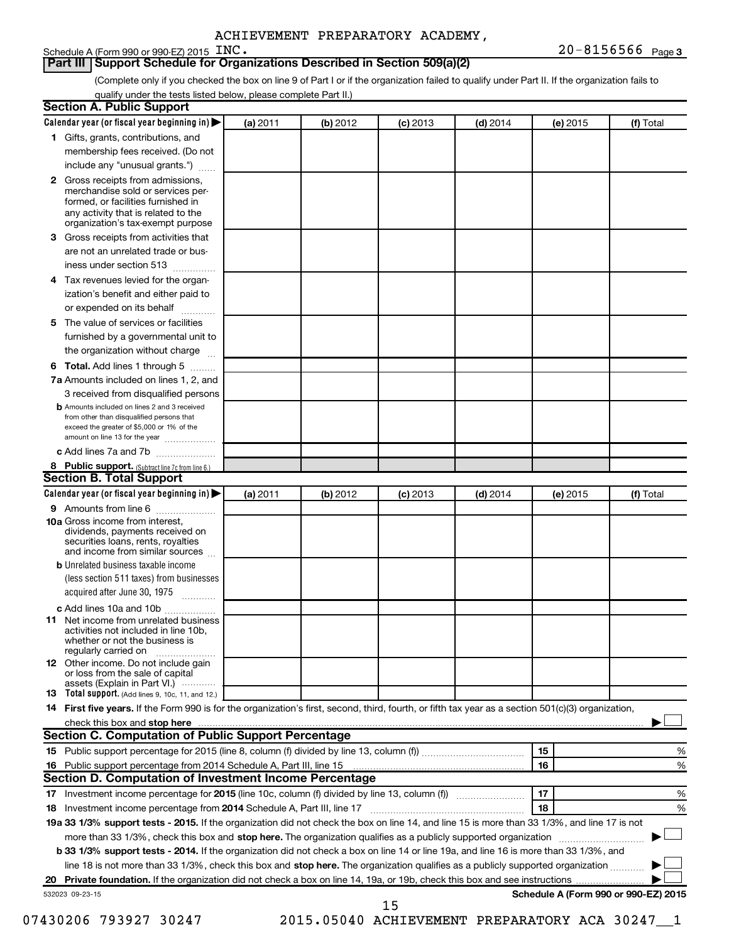#### Schedule A (Form 990 or 990-EZ) 2015  $\text{INC.}$

(Complete only if you checked the box on line 9 of Part I or if the organization failed to qualify under Part II. If the organization fails to qualify under the tests listed below, please complete Part II.)

| <b>Section A. Public Support</b>                                                                                                                                                                |          |          |            |            |          |                                      |
|-------------------------------------------------------------------------------------------------------------------------------------------------------------------------------------------------|----------|----------|------------|------------|----------|--------------------------------------|
| Calendar year (or fiscal year beginning in)                                                                                                                                                     | (a) 2011 | (b) 2012 | $(c)$ 2013 | $(d)$ 2014 | (e) 2015 | (f) Total                            |
| 1 Gifts, grants, contributions, and                                                                                                                                                             |          |          |            |            |          |                                      |
| membership fees received. (Do not                                                                                                                                                               |          |          |            |            |          |                                      |
| include any "unusual grants.")                                                                                                                                                                  |          |          |            |            |          |                                      |
| <b>2</b> Gross receipts from admissions,<br>merchandise sold or services per-<br>formed, or facilities furnished in<br>any activity that is related to the<br>organization's tax-exempt purpose |          |          |            |            |          |                                      |
| 3 Gross receipts from activities that                                                                                                                                                           |          |          |            |            |          |                                      |
| are not an unrelated trade or bus-<br>iness under section 513                                                                                                                                   |          |          |            |            |          |                                      |
| 4 Tax revenues levied for the organ-                                                                                                                                                            |          |          |            |            |          |                                      |
| ization's benefit and either paid to<br>or expended on its behalf<br>.                                                                                                                          |          |          |            |            |          |                                      |
| 5 The value of services or facilities                                                                                                                                                           |          |          |            |            |          |                                      |
| furnished by a governmental unit to                                                                                                                                                             |          |          |            |            |          |                                      |
| the organization without charge                                                                                                                                                                 |          |          |            |            |          |                                      |
| <b>6 Total.</b> Add lines 1 through 5                                                                                                                                                           |          |          |            |            |          |                                      |
| 7a Amounts included on lines 1, 2, and                                                                                                                                                          |          |          |            |            |          |                                      |
| 3 received from disqualified persons                                                                                                                                                            |          |          |            |            |          |                                      |
| <b>b</b> Amounts included on lines 2 and 3 received<br>from other than disqualified persons that<br>exceed the greater of \$5,000 or 1% of the<br>amount on line 13 for the year                |          |          |            |            |          |                                      |
| c Add lines 7a and 7b                                                                                                                                                                           |          |          |            |            |          |                                      |
| 8 Public support. (Subtract line 7c from line 6.)                                                                                                                                               |          |          |            |            |          |                                      |
| <b>Section B. Total Support</b>                                                                                                                                                                 |          |          |            |            |          |                                      |
| Calendar year (or fiscal year beginning in)                                                                                                                                                     | (a) 2011 | (b) 2012 | (c) 2013   | $(d)$ 2014 | (e) 2015 | (f) Total                            |
| <b>9</b> Amounts from line 6                                                                                                                                                                    |          |          |            |            |          |                                      |
| <b>10a</b> Gross income from interest,<br>dividends, payments received on<br>securities loans, rents, royalties<br>and income from similar sources                                              |          |          |            |            |          |                                      |
| <b>b</b> Unrelated business taxable income<br>(less section 511 taxes) from businesses<br>acquired after June 30, 1975                                                                          |          |          |            |            |          |                                      |
| c Add lines 10a and 10b                                                                                                                                                                         |          |          |            |            |          |                                      |
| <b>11</b> Net income from unrelated business<br>activities not included in line 10b.<br>whether or not the business is<br>regularly carried on                                                  |          |          |            |            |          |                                      |
| 12 Other income. Do not include gain<br>or loss from the sale of capital<br>assets (Explain in Part VI.) $\cdots$                                                                               |          |          |            |            |          |                                      |
| <b>13</b> Total support. (Add lines 9, 10c, 11, and 12.)                                                                                                                                        |          |          |            |            |          |                                      |
| 14 First five years. If the Form 990 is for the organization's first, second, third, fourth, or fifth tax year as a section 501(c)(3) organization,                                             |          |          |            |            |          |                                      |
| check this box and stop here <b>contained and the contained and stop here</b> check this box and stop here <b>contained and stop here</b>                                                       |          |          |            |            |          |                                      |
| <b>Section C. Computation of Public Support Percentage</b>                                                                                                                                      |          |          |            |            |          |                                      |
|                                                                                                                                                                                                 |          |          |            |            | 15       | %                                    |
| 16 Public support percentage from 2014 Schedule A, Part III, line 15                                                                                                                            |          |          |            |            | 16       | %                                    |
| Section D. Computation of Investment Income Percentage                                                                                                                                          |          |          |            |            |          |                                      |
| 17 Investment income percentage for 2015 (line 10c, column (f) divided by line 13, column (f))                                                                                                  |          |          |            |            | 17       | %                                    |
| 18 Investment income percentage from 2014 Schedule A, Part III, line 17                                                                                                                         |          |          |            |            | 18       | %                                    |
| 19a 33 1/3% support tests - 2015. If the organization did not check the box on line 14, and line 15 is more than 33 1/3%, and line 17 is not                                                    |          |          |            |            |          |                                      |
| more than 33 1/3%, check this box and stop here. The organization qualifies as a publicly supported organization                                                                                |          |          |            |            |          |                                      |
| b 33 1/3% support tests - 2014. If the organization did not check a box on line 14 or line 19a, and line 16 is more than 33 1/3%, and                                                           |          |          |            |            |          |                                      |
| line 18 is not more than 33 1/3%, check this box and stop here. The organization qualifies as a publicly supported organization                                                                 |          |          |            |            |          |                                      |
|                                                                                                                                                                                                 |          |          |            |            |          |                                      |
| 532023 09-23-15                                                                                                                                                                                 |          |          | 15         |            |          | Schedule A (Form 990 or 990-EZ) 2015 |

07430206 793927 30247 2015.05040 ACHIEVEMENT PREPARATORY ACA 30247 1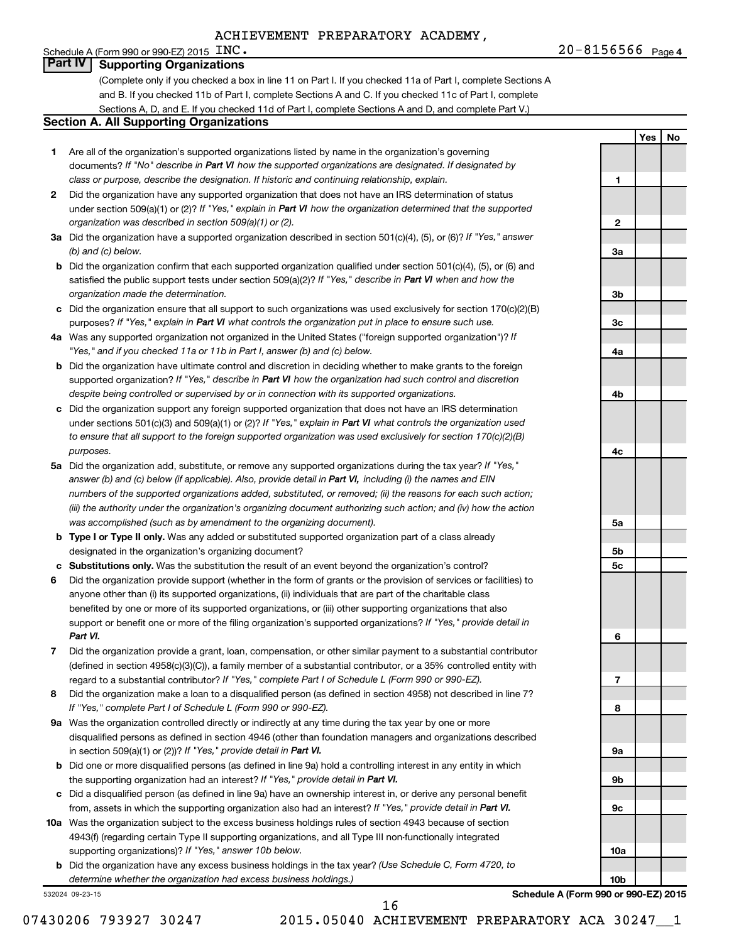Schedule A (Form 990 or 990-EZ) 2015  $\text{INC.}$ 

**1**

**Yes No**

## **Part IV Supporting Organizations**

(Complete only if you checked a box in line 11 on Part I. If you checked 11a of Part I, complete Sections A and B. If you checked 11b of Part I, complete Sections A and C. If you checked 11c of Part I, complete Sections A, D, and E. If you checked 11d of Part I, complete Sections A and D, and complete Part V.)

#### **Section A. All Supporting Organizations**

- **1** Are all of the organization's supported organizations listed by name in the organization's governing documents? If "No" describe in Part VI how the supported organizations are designated. If designated by *class or purpose, describe the designation. If historic and continuing relationship, explain.*
- **2** Did the organization have any supported organization that does not have an IRS determination of status under section 509(a)(1) or (2)? If "Yes," explain in Part VI how the organization determined that the supported *organization was described in section 509(a)(1) or (2).*
- **3a** Did the organization have a supported organization described in section 501(c)(4), (5), or (6)? If "Yes," answer *(b) and (c) below.*
- **b** Did the organization confirm that each supported organization qualified under section 501(c)(4), (5), or (6) and satisfied the public support tests under section 509(a)(2)? If "Yes," describe in Part VI when and how the *organization made the determination.*
- **c** Did the organization ensure that all support to such organizations was used exclusively for section 170(c)(2)(B) purposes? If "Yes," explain in Part VI what controls the organization put in place to ensure such use.
- **4 a** *If* Was any supported organization not organized in the United States ("foreign supported organization")? *"Yes," and if you checked 11a or 11b in Part I, answer (b) and (c) below.*
- **b** Did the organization have ultimate control and discretion in deciding whether to make grants to the foreign supported organization? If "Yes," describe in Part VI how the organization had such control and discretion *despite being controlled or supervised by or in connection with its supported organizations.*
- **c** Did the organization support any foreign supported organization that does not have an IRS determination under sections 501(c)(3) and 509(a)(1) or (2)? If "Yes," explain in Part VI what controls the organization used *to ensure that all support to the foreign supported organization was used exclusively for section 170(c)(2)(B) purposes.*
- **5a** Did the organization add, substitute, or remove any supported organizations during the tax year? If "Yes," answer (b) and (c) below (if applicable). Also, provide detail in Part VI, including (i) the names and EIN *numbers of the supported organizations added, substituted, or removed; (ii) the reasons for each such action; (iii) the authority under the organization's organizing document authorizing such action; and (iv) how the action was accomplished (such as by amendment to the organizing document).*
- **b Type I or Type II only.** Was any added or substituted supported organization part of a class already designated in the organization's organizing document?
- **c Substitutions only.**  Was the substitution the result of an event beyond the organization's control?
- **6** Did the organization provide support (whether in the form of grants or the provision of services or facilities) to support or benefit one or more of the filing organization's supported organizations? If "Yes," provide detail in anyone other than (i) its supported organizations, (ii) individuals that are part of the charitable class benefited by one or more of its supported organizations, or (iii) other supporting organizations that also *Part VI.*
- **7** Did the organization provide a grant, loan, compensation, or other similar payment to a substantial contributor regard to a substantial contributor? If "Yes," complete Part I of Schedule L (Form 990 or 990-EZ). (defined in section 4958(c)(3)(C)), a family member of a substantial contributor, or a 35% controlled entity with
- **8** Did the organization make a loan to a disqualified person (as defined in section 4958) not described in line 7? *If "Yes," complete Part I of Schedule L (Form 990 or 990-EZ).*
- **9 a** Was the organization controlled directly or indirectly at any time during the tax year by one or more in section 509(a)(1) or (2))? If "Yes," provide detail in Part VI. disqualified persons as defined in section 4946 (other than foundation managers and organizations described
- **b** Did one or more disqualified persons (as defined in line 9a) hold a controlling interest in any entity in which the supporting organization had an interest? If "Yes," provide detail in Part VI.
- **c** Did a disqualified person (as defined in line 9a) have an ownership interest in, or derive any personal benefit from, assets in which the supporting organization also had an interest? If "Yes," provide detail in Part VI.
- **10 a** Was the organization subject to the excess business holdings rules of section 4943 because of section supporting organizations)? If "Yes," answer 10b below. 4943(f) (regarding certain Type II supporting organizations, and all Type III non-functionally integrated
	- **b** Did the organization have any excess business holdings in the tax year? (Use Schedule C, Form 4720, to *determine whether the organization had excess business holdings.)*

532024 09-23-15

**Schedule A (Form 990 or 990-EZ) 2015**

16

**2 3a 3b 3c 4a 4b 4c 5a 5b 5c 6 7 8 9a 9b 9c 10a 10b**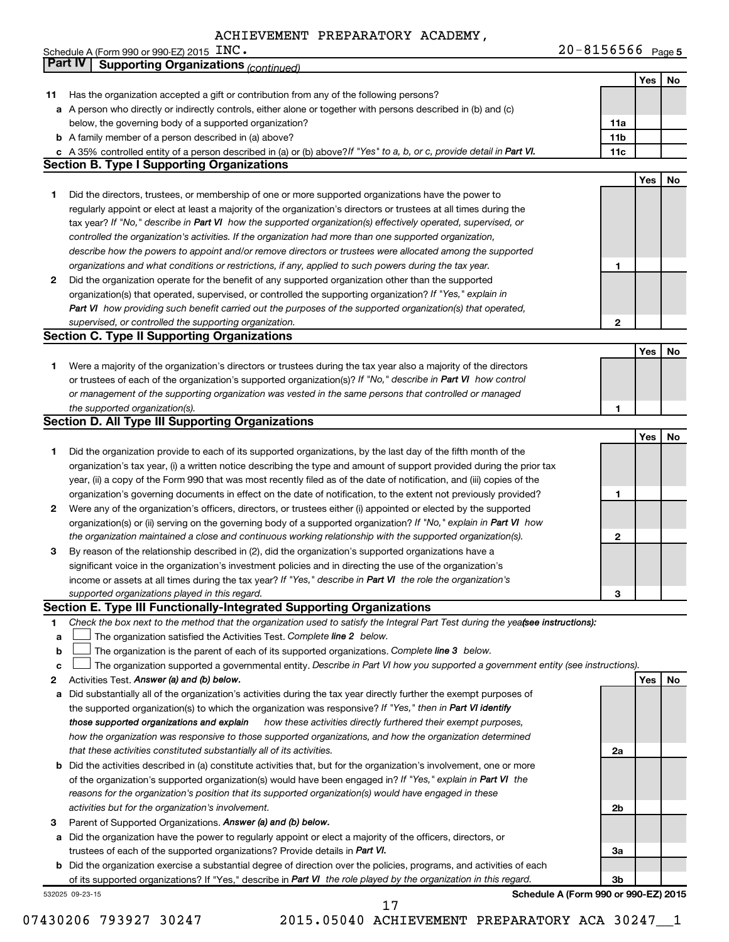|    | Schedule A (Form 990 or 990-EZ) 2015 $\text{INC}$ .                                                                                                                                                                        | $20 - 8156566$ Page 5                |     |     |
|----|----------------------------------------------------------------------------------------------------------------------------------------------------------------------------------------------------------------------------|--------------------------------------|-----|-----|
|    | <b>Part IV</b><br><b>Supporting Organizations (continued)</b>                                                                                                                                                              |                                      |     |     |
|    |                                                                                                                                                                                                                            |                                      | Yes | No  |
| 11 | Has the organization accepted a gift or contribution from any of the following persons?                                                                                                                                    |                                      |     |     |
|    | a A person who directly or indirectly controls, either alone or together with persons described in (b) and (c)                                                                                                             |                                      |     |     |
|    | below, the governing body of a supported organization?                                                                                                                                                                     | 11a                                  |     |     |
|    | <b>b</b> A family member of a person described in (a) above?                                                                                                                                                               | 11 <sub>b</sub>                      |     |     |
|    | c A 35% controlled entity of a person described in (a) or (b) above? If "Yes" to a, b, or c, provide detail in Part VI.                                                                                                    | 11c                                  |     |     |
|    | <b>Section B. Type I Supporting Organizations</b>                                                                                                                                                                          |                                      |     |     |
|    |                                                                                                                                                                                                                            |                                      | Yes | No  |
| 1  | Did the directors, trustees, or membership of one or more supported organizations have the power to                                                                                                                        |                                      |     |     |
|    | regularly appoint or elect at least a majority of the organization's directors or trustees at all times during the                                                                                                         |                                      |     |     |
|    | tax year? If "No," describe in Part VI how the supported organization(s) effectively operated, supervised, or                                                                                                              |                                      |     |     |
|    | controlled the organization's activities. If the organization had more than one supported organization,                                                                                                                    |                                      |     |     |
|    | describe how the powers to appoint and/or remove directors or trustees were allocated among the supported                                                                                                                  |                                      |     |     |
|    | organizations and what conditions or restrictions, if any, applied to such powers during the tax year.                                                                                                                     | 1                                    |     |     |
| 2  | Did the organization operate for the benefit of any supported organization other than the supported                                                                                                                        |                                      |     |     |
|    | organization(s) that operated, supervised, or controlled the supporting organization? If "Yes," explain in                                                                                                                 |                                      |     |     |
|    | Part VI how providing such benefit carried out the purposes of the supported organization(s) that operated,                                                                                                                |                                      |     |     |
|    | supervised, or controlled the supporting organization.                                                                                                                                                                     | 2                                    |     |     |
|    | <b>Section C. Type II Supporting Organizations</b>                                                                                                                                                                         |                                      |     |     |
|    |                                                                                                                                                                                                                            |                                      | Yes | No  |
| 1  | Were a majority of the organization's directors or trustees during the tax year also a majority of the directors                                                                                                           |                                      |     |     |
|    | or trustees of each of the organization's supported organization(s)? If "No," describe in Part VI how control                                                                                                              |                                      |     |     |
|    | or management of the supporting organization was vested in the same persons that controlled or managed                                                                                                                     |                                      |     |     |
|    | the supported organization(s).                                                                                                                                                                                             | 1                                    |     |     |
|    | <b>Section D. All Type III Supporting Organizations</b>                                                                                                                                                                    |                                      |     |     |
|    |                                                                                                                                                                                                                            |                                      | Yes | No  |
| 1  | Did the organization provide to each of its supported organizations, by the last day of the fifth month of the                                                                                                             |                                      |     |     |
|    | organization's tax year, (i) a written notice describing the type and amount of support provided during the prior tax                                                                                                      |                                      |     |     |
|    | year, (ii) a copy of the Form 990 that was most recently filed as of the date of notification, and (iii) copies of the                                                                                                     |                                      |     |     |
|    | organization's governing documents in effect on the date of notification, to the extent not previously provided?                                                                                                           | 1                                    |     |     |
| 2  | Were any of the organization's officers, directors, or trustees either (i) appointed or elected by the supported                                                                                                           |                                      |     |     |
|    | organization(s) or (ii) serving on the governing body of a supported organization? If "No," explain in Part VI how                                                                                                         |                                      |     |     |
|    | the organization maintained a close and continuous working relationship with the supported organization(s).<br>By reason of the relationship described in (2), did the organization's supported organizations have a       | 2                                    |     |     |
| 3  |                                                                                                                                                                                                                            |                                      |     |     |
|    | significant voice in the organization's investment policies and in directing the use of the organization's<br>income or assets at all times during the tax year? If "Yes," describe in Part VI the role the organization's |                                      |     |     |
|    |                                                                                                                                                                                                                            | З                                    |     |     |
|    | supported organizations played in this regard.<br>Section E. Type III Functionally-Integrated Supporting Organizations                                                                                                     |                                      |     |     |
| 1  | Check the box next to the method that the organization used to satisfy the Integral Part Test during the yeafsee instructions):                                                                                            |                                      |     |     |
| a  | The organization satisfied the Activities Test. Complete line 2 below.                                                                                                                                                     |                                      |     |     |
| b  | The organization is the parent of each of its supported organizations. Complete line 3 below.                                                                                                                              |                                      |     |     |
| c  | The organization supported a governmental entity. Describe in Part VI how you supported a government entity (see instructions).                                                                                            |                                      |     |     |
| 2  | Activities Test. Answer (a) and (b) below.                                                                                                                                                                                 |                                      | Yes | No. |
| a  | Did substantially all of the organization's activities during the tax year directly further the exempt purposes of                                                                                                         |                                      |     |     |
|    | the supported organization(s) to which the organization was responsive? If "Yes," then in Part VI identify                                                                                                                 |                                      |     |     |
|    | those supported organizations and explain<br>how these activities directly furthered their exempt purposes,                                                                                                                |                                      |     |     |
|    | how the organization was responsive to those supported organizations, and how the organization determined                                                                                                                  |                                      |     |     |
|    | that these activities constituted substantially all of its activities.                                                                                                                                                     | 2a                                   |     |     |
|    | b Did the activities described in (a) constitute activities that, but for the organization's involvement, one or more                                                                                                      |                                      |     |     |
|    | of the organization's supported organization(s) would have been engaged in? If "Yes," explain in Part VI the                                                                                                               |                                      |     |     |
|    | reasons for the organization's position that its supported organization(s) would have engaged in these                                                                                                                     |                                      |     |     |
|    | activities but for the organization's involvement.                                                                                                                                                                         | 2b                                   |     |     |
| з  | Parent of Supported Organizations. Answer (a) and (b) below.                                                                                                                                                               |                                      |     |     |
| а  | Did the organization have the power to regularly appoint or elect a majority of the officers, directors, or                                                                                                                |                                      |     |     |
|    | trustees of each of the supported organizations? Provide details in Part VI.                                                                                                                                               | За                                   |     |     |
|    | <b>b</b> Did the organization exercise a substantial degree of direction over the policies, programs, and activities of each                                                                                               |                                      |     |     |
|    | of its supported organizations? If "Yes," describe in Part VI the role played by the organization in this regard.                                                                                                          | 3b                                   |     |     |
|    | 532025 09-23-15                                                                                                                                                                                                            | Schedule A (Form 990 or 990-EZ) 2015 |     |     |

07430206 793927 30247 2015.05040 ACHIEVEMENT PREPARATORY ACA 302471

17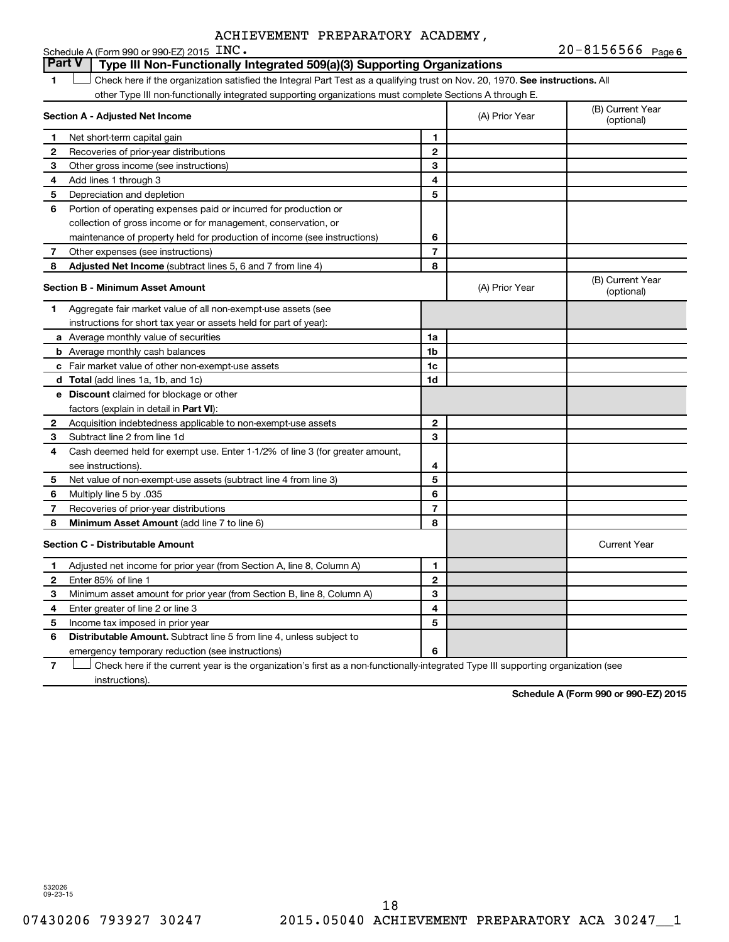|                          | Schedule A (Form 990 or 990-EZ) 2015 INC.                                                                                     |                |                | $20 - 8156566$ Page 6          |
|--------------------------|-------------------------------------------------------------------------------------------------------------------------------|----------------|----------------|--------------------------------|
|                          | <b>Part V</b><br>Type III Non-Functionally Integrated 509(a)(3) Supporting Organizations                                      |                |                |                                |
| 1                        | Check here if the organization satisfied the Integral Part Test as a qualifying trust on Nov. 20, 1970. See instructions. All |                |                |                                |
|                          | other Type III non-functionally integrated supporting organizations must complete Sections A through E.                       |                |                |                                |
|                          | Section A - Adjusted Net Income                                                                                               |                | (A) Prior Year | (B) Current Year<br>(optional) |
| 1                        | Net short-term capital gain                                                                                                   | 1              |                |                                |
| 2                        | Recoveries of prior-year distributions                                                                                        | $\overline{2}$ |                |                                |
| 3                        | Other gross income (see instructions)                                                                                         | 3              |                |                                |
| 4                        | Add lines 1 through 3                                                                                                         | 4              |                |                                |
| 5                        | Depreciation and depletion                                                                                                    | 5              |                |                                |
| 6                        | Portion of operating expenses paid or incurred for production or                                                              |                |                |                                |
|                          | collection of gross income or for management, conservation, or                                                                |                |                |                                |
|                          | maintenance of property held for production of income (see instructions)                                                      | 6              |                |                                |
| 7                        | Other expenses (see instructions)                                                                                             | $\overline{7}$ |                |                                |
| 8                        | Adjusted Net Income (subtract lines 5, 6 and 7 from line 4)                                                                   | 8              |                |                                |
|                          | <b>Section B - Minimum Asset Amount</b>                                                                                       |                | (A) Prior Year | (B) Current Year<br>(optional) |
| 1                        | Aggregate fair market value of all non-exempt-use assets (see                                                                 |                |                |                                |
|                          | instructions for short tax year or assets held for part of year):                                                             |                |                |                                |
|                          | a Average monthly value of securities                                                                                         | 1a             |                |                                |
|                          | <b>b</b> Average monthly cash balances                                                                                        | 1 <sub>b</sub> |                |                                |
|                          | <b>c</b> Fair market value of other non-exempt-use assets                                                                     | 1c             |                |                                |
|                          | d Total (add lines 1a, 1b, and 1c)                                                                                            | 1d             |                |                                |
|                          | e Discount claimed for blockage or other                                                                                      |                |                |                                |
|                          | factors (explain in detail in <b>Part VI</b> ):                                                                               |                |                |                                |
| 2                        | Acquisition indebtedness applicable to non-exempt-use assets                                                                  | $\mathbf{2}$   |                |                                |
| З                        | Subtract line 2 from line 1d                                                                                                  | 3              |                |                                |
| 4                        | Cash deemed held for exempt use. Enter 1-1/2% of line 3 (for greater amount,                                                  |                |                |                                |
|                          | see instructions).                                                                                                            | 4              |                |                                |
| 5                        | Net value of non-exempt-use assets (subtract line 4 from line 3)                                                              | 5              |                |                                |
| 6                        | Multiply line 5 by .035                                                                                                       | 6              |                |                                |
| $\overline{\phantom{a}}$ | Recoveries of prior-year distributions                                                                                        | $\overline{7}$ |                |                                |
| 8                        | Minimum Asset Amount (add line 7 to line 6)                                                                                   | 8              |                |                                |
|                          | <b>Section C - Distributable Amount</b>                                                                                       |                |                | <b>Current Year</b>            |
| 1                        | Adjusted net income for prior year (from Section A, line 8, Column A)                                                         | 1              |                |                                |
| $\mathbf{2}$             | Enter 85% of line 1                                                                                                           | $\mathbf{2}$   |                |                                |
| З                        | Minimum asset amount for prior year (from Section B, line 8, Column A)                                                        | 3              |                |                                |
| 4                        | Enter greater of line 2 or line 3                                                                                             | 4              |                |                                |
| 5                        | Income tax imposed in prior year                                                                                              | 5              |                |                                |
| 6                        | <b>Distributable Amount.</b> Subtract line 5 from line 4, unless subject to                                                   |                |                |                                |
|                          | emergency temporary reduction (see instructions)                                                                              | 6              |                |                                |

**7** Let Check here if the current year is the organization's first as a non-functionally-integrated Type III supporting organization (see instructions).

**Schedule A (Form 990 or 990-EZ) 2015**

532026 09-23-15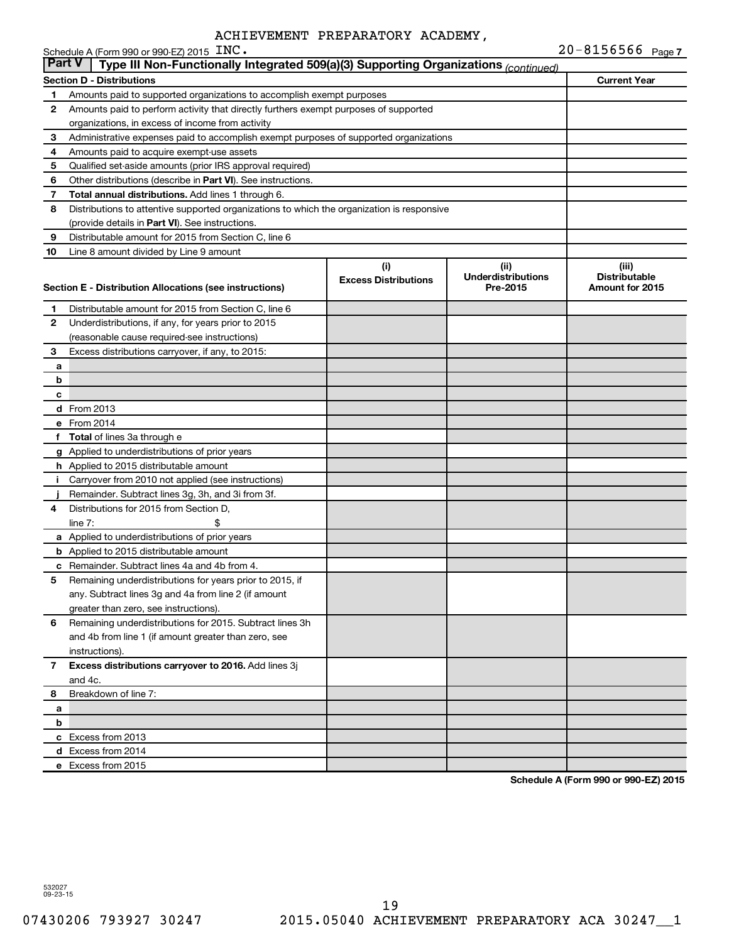|               | Schedule A (Form 990 or 990-EZ) 2015 $\text{INC}$ .                                             |                                    |                                               | 20-8156566 Page 7                                |
|---------------|-------------------------------------------------------------------------------------------------|------------------------------------|-----------------------------------------------|--------------------------------------------------|
| <b>Part V</b> | Type III Non-Functionally Integrated 509(a)(3) Supporting Organizations (continued)             |                                    |                                               |                                                  |
|               | <b>Section D - Distributions</b>                                                                |                                    |                                               | <b>Current Year</b>                              |
| 1             | Amounts paid to supported organizations to accomplish exempt purposes                           |                                    |                                               |                                                  |
| 2             | Amounts paid to perform activity that directly furthers exempt purposes of supported            |                                    |                                               |                                                  |
|               | organizations, in excess of income from activity                                                |                                    |                                               |                                                  |
| 3             | Administrative expenses paid to accomplish exempt purposes of supported organizations           |                                    |                                               |                                                  |
| 4             | Amounts paid to acquire exempt-use assets                                                       |                                    |                                               |                                                  |
| 5             | Qualified set-aside amounts (prior IRS approval required)                                       |                                    |                                               |                                                  |
| 6             | Other distributions (describe in Part VI). See instructions.                                    |                                    |                                               |                                                  |
| 7             | Total annual distributions. Add lines 1 through 6.                                              |                                    |                                               |                                                  |
| 8             | Distributions to attentive supported organizations to which the organization is responsive      |                                    |                                               |                                                  |
|               | (provide details in Part VI). See instructions.                                                 |                                    |                                               |                                                  |
| 9             | Distributable amount for 2015 from Section C, line 6                                            |                                    |                                               |                                                  |
| 10            | Line 8 amount divided by Line 9 amount                                                          |                                    |                                               |                                                  |
|               | Section E - Distribution Allocations (see instructions)                                         | (i)<br><b>Excess Distributions</b> | (ii)<br><b>Underdistributions</b><br>Pre-2015 | (iii)<br><b>Distributable</b><br>Amount for 2015 |
| 1             | Distributable amount for 2015 from Section C, line 6                                            |                                    |                                               |                                                  |
| 2             | Underdistributions, if any, for years prior to 2015                                             |                                    |                                               |                                                  |
|               | (reasonable cause required-see instructions)                                                    |                                    |                                               |                                                  |
| 3             | Excess distributions carryover, if any, to 2015:                                                |                                    |                                               |                                                  |
| а             |                                                                                                 |                                    |                                               |                                                  |
| b             |                                                                                                 |                                    |                                               |                                                  |
| с             |                                                                                                 |                                    |                                               |                                                  |
|               | d From 2013                                                                                     |                                    |                                               |                                                  |
|               | e From 2014                                                                                     |                                    |                                               |                                                  |
|               | f Total of lines 3a through e                                                                   |                                    |                                               |                                                  |
|               | g Applied to underdistributions of prior years                                                  |                                    |                                               |                                                  |
|               | h Applied to 2015 distributable amount                                                          |                                    |                                               |                                                  |
|               | i Carryover from 2010 not applied (see instructions)                                            |                                    |                                               |                                                  |
|               | Remainder. Subtract lines 3g, 3h, and 3i from 3f.                                               |                                    |                                               |                                                  |
| 4             | Distributions for 2015 from Section D,                                                          |                                    |                                               |                                                  |
|               | \$<br>$line 7$ :                                                                                |                                    |                                               |                                                  |
|               | a Applied to underdistributions of prior years<br><b>b</b> Applied to 2015 distributable amount |                                    |                                               |                                                  |
|               | <b>c</b> Remainder. Subtract lines 4a and 4b from 4.                                            |                                    |                                               |                                                  |
| 5             | Remaining underdistributions for years prior to 2015, if                                        |                                    |                                               |                                                  |
|               | any. Subtract lines 3g and 4a from line 2 (if amount                                            |                                    |                                               |                                                  |
|               | greater than zero, see instructions).                                                           |                                    |                                               |                                                  |
| 6             | Remaining underdistributions for 2015. Subtract lines 3h                                        |                                    |                                               |                                                  |
|               | and 4b from line 1 (if amount greater than zero, see                                            |                                    |                                               |                                                  |
|               | instructions).                                                                                  |                                    |                                               |                                                  |
| 7             | Excess distributions carryover to 2016. Add lines 3j                                            |                                    |                                               |                                                  |
|               | and 4c.                                                                                         |                                    |                                               |                                                  |
| 8             | Breakdown of line 7:                                                                            |                                    |                                               |                                                  |
| a             |                                                                                                 |                                    |                                               |                                                  |
| b             |                                                                                                 |                                    |                                               |                                                  |
|               | c Excess from 2013                                                                              |                                    |                                               |                                                  |
|               | d Excess from 2014                                                                              |                                    |                                               |                                                  |
|               | e Excess from 2015                                                                              |                                    |                                               |                                                  |

**Schedule A (Form 990 or 990-EZ) 2015**

532027 09-23-15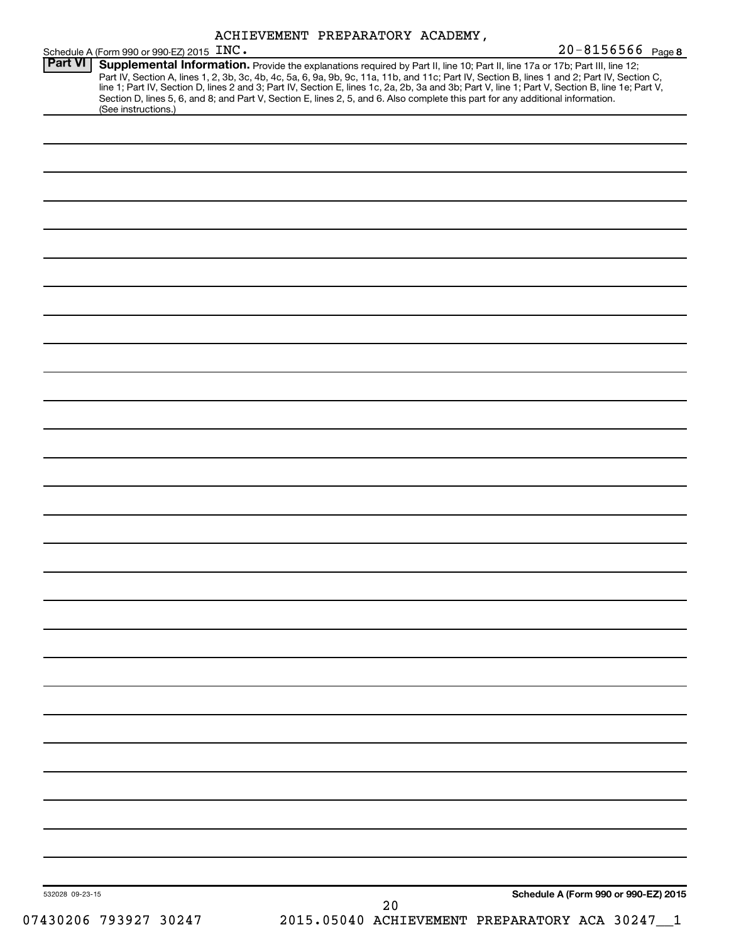|  | ACHIEVEMENT PREPARATORY ACADEMY, |  |
|--|----------------------------------|--|
|--|----------------------------------|--|

| Schedule A (Form 990 or 990-EZ) 2015 INC. |                                                                                                                                                                                                                                                                                                                                                                                                                                                                                                   | $20 - 8156566$ Page 8                |
|-------------------------------------------|---------------------------------------------------------------------------------------------------------------------------------------------------------------------------------------------------------------------------------------------------------------------------------------------------------------------------------------------------------------------------------------------------------------------------------------------------------------------------------------------------|--------------------------------------|
| <b>Part VI</b><br>(See instructions.)     | Supplemental Information. Provide the explanations required by Part II, line 10; Part II, line 17a or 17b; Part III, line 12;<br>Part IV, Section A, lines 1, 2, 3b, 3c, 4b, 4c, 5a, 6, 9a, 9b, 9c, 11a, 11b, and 11c; Part IV, Section B, lines 1 and 2; Part IV, Section C, line 1; Part IV, Section D, lines 2 and 3; Part IV, Section E, lines 1c, 2a, 2b,<br>Section D, lines 5, 6, and 8; and Part V, Section E, lines 2, 5, and 6. Also complete this part for any additional information. |                                      |
|                                           |                                                                                                                                                                                                                                                                                                                                                                                                                                                                                                   |                                      |
|                                           |                                                                                                                                                                                                                                                                                                                                                                                                                                                                                                   |                                      |
|                                           |                                                                                                                                                                                                                                                                                                                                                                                                                                                                                                   |                                      |
|                                           |                                                                                                                                                                                                                                                                                                                                                                                                                                                                                                   |                                      |
|                                           |                                                                                                                                                                                                                                                                                                                                                                                                                                                                                                   |                                      |
|                                           |                                                                                                                                                                                                                                                                                                                                                                                                                                                                                                   |                                      |
|                                           |                                                                                                                                                                                                                                                                                                                                                                                                                                                                                                   |                                      |
|                                           |                                                                                                                                                                                                                                                                                                                                                                                                                                                                                                   |                                      |
|                                           |                                                                                                                                                                                                                                                                                                                                                                                                                                                                                                   |                                      |
|                                           |                                                                                                                                                                                                                                                                                                                                                                                                                                                                                                   |                                      |
|                                           |                                                                                                                                                                                                                                                                                                                                                                                                                                                                                                   |                                      |
|                                           |                                                                                                                                                                                                                                                                                                                                                                                                                                                                                                   |                                      |
|                                           |                                                                                                                                                                                                                                                                                                                                                                                                                                                                                                   |                                      |
|                                           |                                                                                                                                                                                                                                                                                                                                                                                                                                                                                                   |                                      |
|                                           |                                                                                                                                                                                                                                                                                                                                                                                                                                                                                                   |                                      |
|                                           |                                                                                                                                                                                                                                                                                                                                                                                                                                                                                                   |                                      |
|                                           |                                                                                                                                                                                                                                                                                                                                                                                                                                                                                                   |                                      |
|                                           |                                                                                                                                                                                                                                                                                                                                                                                                                                                                                                   |                                      |
|                                           |                                                                                                                                                                                                                                                                                                                                                                                                                                                                                                   |                                      |
|                                           |                                                                                                                                                                                                                                                                                                                                                                                                                                                                                                   |                                      |
|                                           |                                                                                                                                                                                                                                                                                                                                                                                                                                                                                                   |                                      |
|                                           |                                                                                                                                                                                                                                                                                                                                                                                                                                                                                                   |                                      |
|                                           |                                                                                                                                                                                                                                                                                                                                                                                                                                                                                                   |                                      |
|                                           |                                                                                                                                                                                                                                                                                                                                                                                                                                                                                                   |                                      |
|                                           |                                                                                                                                                                                                                                                                                                                                                                                                                                                                                                   |                                      |
|                                           |                                                                                                                                                                                                                                                                                                                                                                                                                                                                                                   |                                      |
|                                           |                                                                                                                                                                                                                                                                                                                                                                                                                                                                                                   |                                      |
|                                           |                                                                                                                                                                                                                                                                                                                                                                                                                                                                                                   |                                      |
|                                           |                                                                                                                                                                                                                                                                                                                                                                                                                                                                                                   |                                      |
|                                           |                                                                                                                                                                                                                                                                                                                                                                                                                                                                                                   |                                      |
|                                           |                                                                                                                                                                                                                                                                                                                                                                                                                                                                                                   |                                      |
|                                           |                                                                                                                                                                                                                                                                                                                                                                                                                                                                                                   |                                      |
|                                           |                                                                                                                                                                                                                                                                                                                                                                                                                                                                                                   |                                      |
|                                           |                                                                                                                                                                                                                                                                                                                                                                                                                                                                                                   |                                      |
|                                           |                                                                                                                                                                                                                                                                                                                                                                                                                                                                                                   |                                      |
| 532028 09-23-15                           |                                                                                                                                                                                                                                                                                                                                                                                                                                                                                                   | Schedule A (Form 990 or 990-EZ) 2015 |
| 07430206 793927 30247                     | 20<br>2015.05040 ACHIEVEMENT PREPARATORY ACA 30247_1                                                                                                                                                                                                                                                                                                                                                                                                                                              |                                      |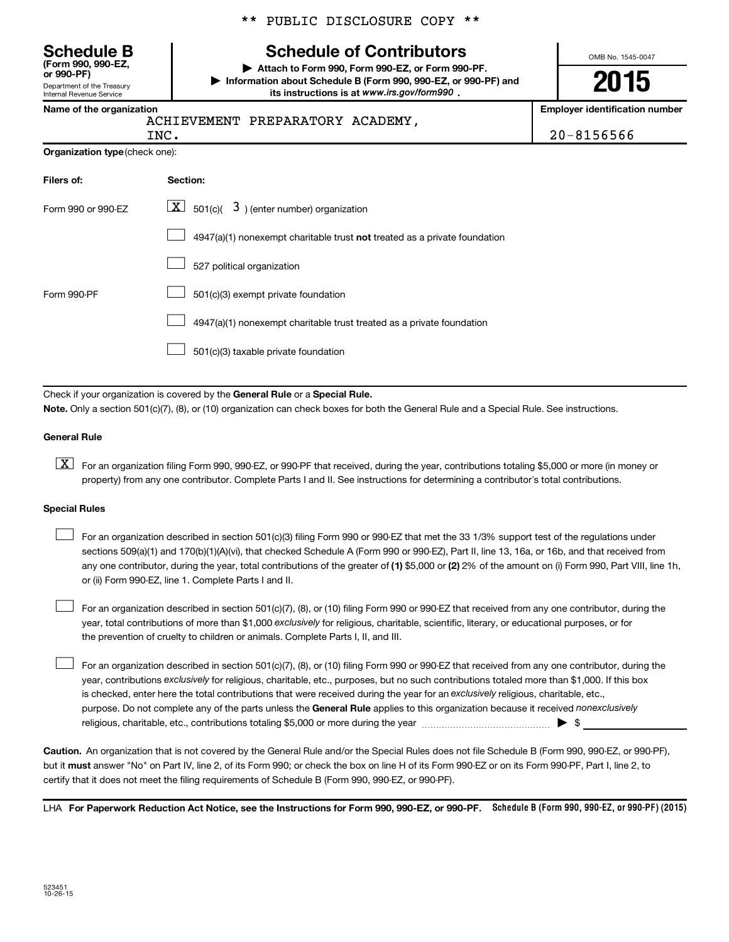\*\* PUBLIC DISCLOSURE COPY \*\*

# **Schedule B Schedule of Contributors**

**or 990-PF) | Attach to Form 990, Form 990-EZ, or Form 990-PF. | Information about Schedule B (Form 990, 990-EZ, or 990-PF) and** its instructions is at www.irs.gov/form990.

OMB No. 1545-0047

# **2015**

**Employer identification number** 

|  | Name of the organization |
|--|--------------------------|
|  |                          |

Department of the Treasury Internal Revenue Service

**(Form 990, 990-EZ,**

#### ACHIEVEMENT PREPARATORY ACADEMY,

20-8156566

|                                       | $LNC$ . |  |
|---------------------------------------|---------|--|
| <b>Organization type</b> (check one): |         |  |

| Filers of:         | Section:                                                                  |
|--------------------|---------------------------------------------------------------------------|
| Form 990 or 990-EZ | $ \mathbf{X} $ 501(c)( 3) (enter number) organization                     |
|                    | 4947(a)(1) nonexempt charitable trust not treated as a private foundation |
|                    | 527 political organization                                                |
| Form 990-PF        | 501(c)(3) exempt private foundation                                       |
|                    | 4947(a)(1) nonexempt charitable trust treated as a private foundation     |
|                    | 501(c)(3) taxable private foundation                                      |

Check if your organization is covered by the General Rule or a Special Rule.

**Note.**  Only a section 501(c)(7), (8), or (10) organization can check boxes for both the General Rule and a Special Rule. See instructions.

#### **General Rule**

**K** For an organization filing Form 990, 990-EZ, or 990-PF that received, during the year, contributions totaling \$5,000 or more (in money or property) from any one contributor. Complete Parts I and II. See instructions for determining a contributor's total contributions.

#### **Special Rules**

 $\Box$ 

any one contributor, during the year, total contributions of the greater of **(1)** \$5,000 or **(2)** 2% of the amount on (i) Form 990, Part VIII, line 1h, For an organization described in section 501(c)(3) filing Form 990 or 990-EZ that met the 33 1/3% support test of the regulations under sections 509(a)(1) and 170(b)(1)(A)(vi), that checked Schedule A (Form 990 or 990-EZ), Part II, line 13, 16a, or 16b, and that received from or (ii) Form 990-EZ, line 1. Complete Parts I and II.  $\Box$ 

year, total contributions of more than \$1,000 *exclusively* for religious, charitable, scientific, literary, or educational purposes, or for For an organization described in section 501(c)(7), (8), or (10) filing Form 990 or 990-EZ that received from any one contributor, during the the prevention of cruelty to children or animals. Complete Parts I, II, and III.  $\Box$ 

purpose. Do not complete any of the parts unless the General Rule applies to this organization because it received nonexclusively year, contributions exclusively for religious, charitable, etc., purposes, but no such contributions totaled more than \$1,000. If this box is checked, enter here the total contributions that were received during the year for an exclusively religious, charitable, etc., For an organization described in section 501(c)(7), (8), or (10) filing Form 990 or 990-EZ that received from any one contributor, during the religious, charitable, etc., contributions totaling \$5,000 or more during the year  $\ldots$  $\ldots$  $\ldots$  $\ldots$  $\ldots$  $\ldots$ 

**Caution.** An organization that is not covered by the General Rule and/or the Special Rules does not file Schedule B (Form 990, 990-EZ, or 990-PF),  **must** but it answer "No" on Part IV, line 2, of its Form 990; or check the box on line H of its Form 990-EZ or on its Form 990-PF, Part I, line 2, to certify that it does not meet the filing requirements of Schedule B (Form 990, 990-EZ, or 990-PF).

LHA For Paperwork Reduction Act Notice, see the Instructions for Form 990, 990-EZ, or 990-PF. Schedule B (Form 990, 990-EZ, or 990-PF) (2015)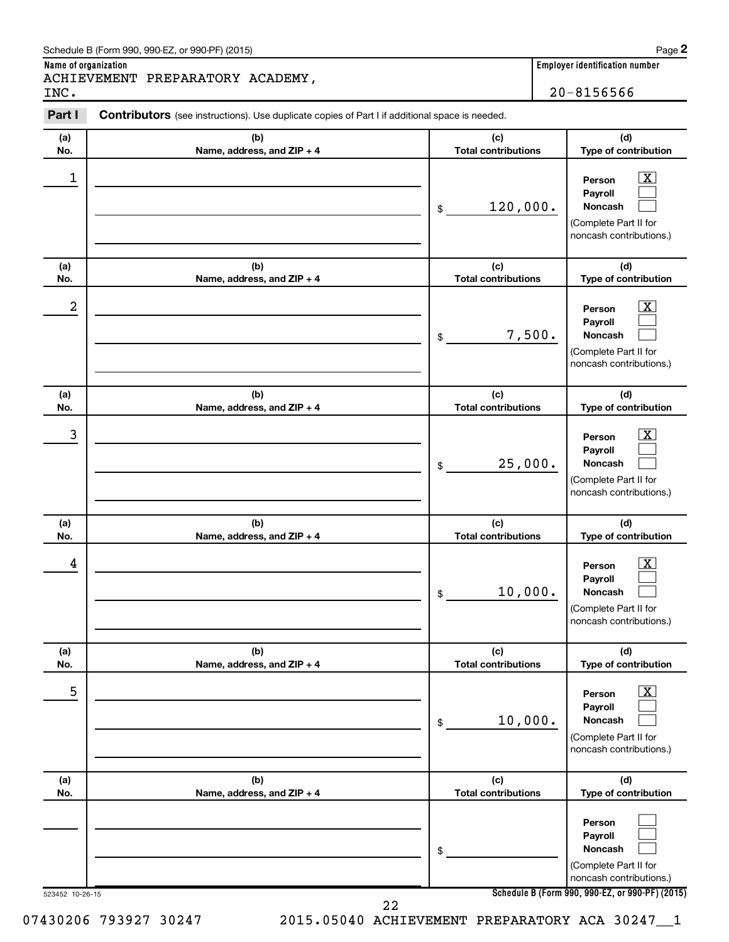| Schedule B (Form 990, 990-EZ, or 990-PF) (2015)<br>Page<br>$\mathbf{r}$ , and the set of the set of the set of the set of the set of the set of the set of the set of the set of the set of the set of the set of the set of the set of the set of the set of the set of the set of the set |
|---------------------------------------------------------------------------------------------------------------------------------------------------------------------------------------------------------------------------------------------------------------------------------------------|
|---------------------------------------------------------------------------------------------------------------------------------------------------------------------------------------------------------------------------------------------------------------------------------------------|

**Name of organization Employer identification number**

INC. 20-8156566

**Part I** Contributors (see instructions). Use duplicate copies of Part I if additional space is needed.

| (a)             | (b)                               | (c)                               | (d)                                                                                                                                 |
|-----------------|-----------------------------------|-----------------------------------|-------------------------------------------------------------------------------------------------------------------------------------|
| No.             | Name, address, and ZIP + 4        | <b>Total contributions</b>        | Type of contribution                                                                                                                |
| 1               |                                   | 120,000.<br>\$                    | $\overline{\text{X}}$<br>Person<br>Payroll<br>Noncash<br>(Complete Part II for<br>noncash contributions.)                           |
| (a)<br>No.      | (b)<br>Name, address, and ZIP + 4 | (c)<br><b>Total contributions</b> | (d)<br>Type of contribution                                                                                                         |
| 2               |                                   | 7,500.<br>\$                      | $\overline{\text{X}}$<br>Person<br>Payroll<br>Noncash<br>(Complete Part II for<br>noncash contributions.)                           |
| (a)<br>No.      | (b)<br>Name, address, and ZIP + 4 | (c)<br><b>Total contributions</b> | (d)<br>Type of contribution                                                                                                         |
| 3               |                                   | 25,000.<br>\$                     | x<br>Person<br>Payroll<br>Noncash<br>(Complete Part II for<br>noncash contributions.)                                               |
| (a)<br>No.      | (b)<br>Name, address, and ZIP + 4 | (c)<br><b>Total contributions</b> | (d)<br>Type of contribution                                                                                                         |
| 4               |                                   | 10,000.<br>\$                     | $\overline{\textbf{X}}$<br>Person<br>Payroll<br>Noncash<br>(Complete Part II for<br>noncash contributions.)                         |
| (a)<br>No.      | (b)<br>Name, address, and ZIP + 4 | (c)<br><b>Total contributions</b> | (d)<br>Type of contribution                                                                                                         |
| 5               |                                   | 10,000.<br>\$                     | $\overline{\textbf{x}}$<br>Person<br>Payroll<br>Noncash<br>(Complete Part II for<br>noncash contributions.)                         |
| (a)<br>No.      | (b)<br>Name, address, and ZIP + 4 | (c)<br><b>Total contributions</b> | (d)<br>Type of contribution                                                                                                         |
| 523452 10-26-15 |                                   | \$                                | Person<br>Payroll<br>Noncash<br>(Complete Part II for<br>noncash contributions.)<br>Schedule B (Form 990, 990-EZ, or 990-PF) (2015) |
|                 | 22                                |                                   |                                                                                                                                     |

07430206 793927 30247 2015.05040 ACHIEVEMENT PREPARATORY ACA 30247\_1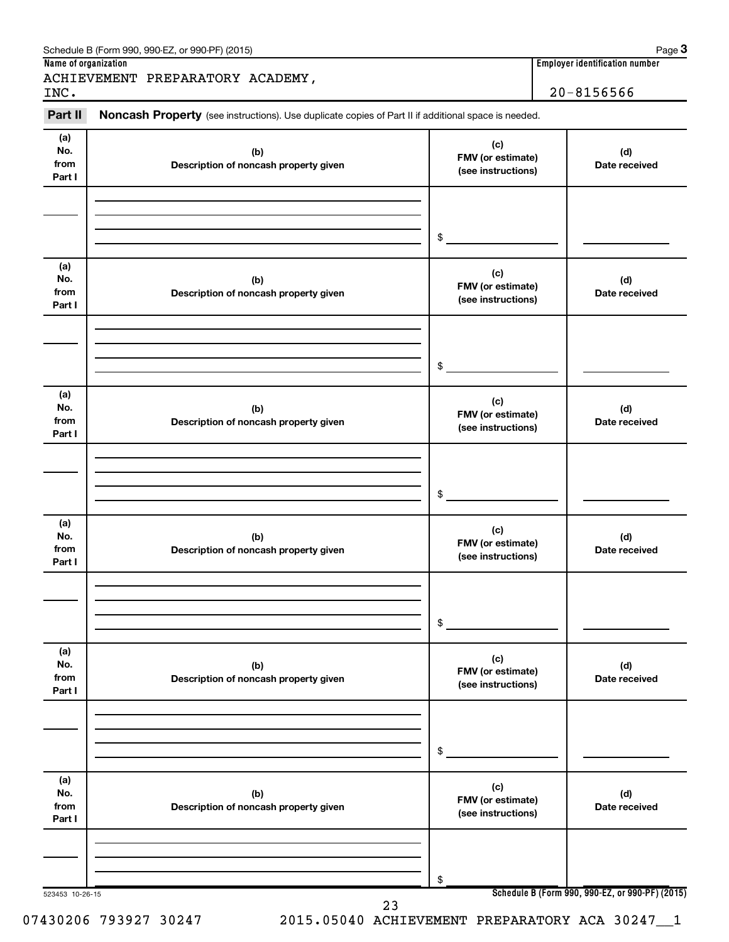| Part II                      | Noncash Property (see instructions). Use duplicate copies of Part II if additional space is needed. |                                                | $20 - 8156566$       |
|------------------------------|-----------------------------------------------------------------------------------------------------|------------------------------------------------|----------------------|
|                              |                                                                                                     |                                                |                      |
| (a)<br>No.<br>from<br>Part I | (b)<br>Description of noncash property given                                                        | (c)<br>FMV (or estimate)<br>(see instructions) | (d)<br>Date received |
|                              |                                                                                                     | \$                                             |                      |
| (a)<br>No.<br>from<br>Part I | (b)<br>Description of noncash property given                                                        | (c)<br>FMV (or estimate)<br>(see instructions) | (d)<br>Date received |
|                              |                                                                                                     | \$                                             |                      |
| (a)<br>No.<br>from<br>Part I | (b)<br>Description of noncash property given                                                        | (c)<br>FMV (or estimate)<br>(see instructions) | (d)<br>Date received |
|                              |                                                                                                     | \$                                             |                      |
| (a)<br>No.<br>from<br>Part I | (b)<br>Description of noncash property given                                                        | (c)<br>FMV (or estimate)<br>(see instructions) | (d)<br>Date received |
|                              |                                                                                                     | \$                                             |                      |
| (a)<br>No.<br>from<br>Part I | (b)<br>Description of noncash property given                                                        | (c)<br>FMV (or estimate)<br>(see instructions) | (d)<br>Date received |
|                              |                                                                                                     | \$                                             |                      |
| (a)<br>No.<br>from<br>Part I | (b)<br>Description of noncash property given                                                        | (c)<br>FMV (or estimate)<br>(see instructions) | (d)<br>Date received |
|                              |                                                                                                     |                                                |                      |

07430206 793927 30247 2015.05040 ACHIEVEMENT PREPARATORY ACA 302471

Schedule B (Form 990, 990-EZ, or 990-PF) (2015)

**3**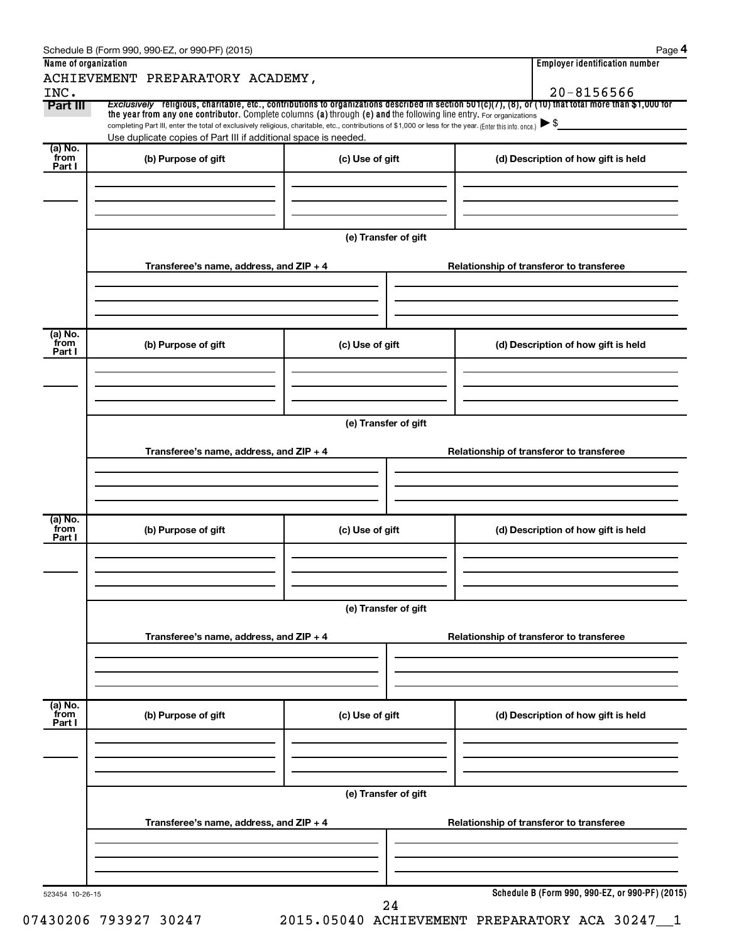|                  | ACHIEVEMENT PREPARATORY ACADEMY,                                                                                                                                                                                                                                             |                      |  |                                                 |  |  |
|------------------|------------------------------------------------------------------------------------------------------------------------------------------------------------------------------------------------------------------------------------------------------------------------------|----------------------|--|-------------------------------------------------|--|--|
| INC.             |                                                                                                                                                                                                                                                                              |                      |  | $20 - 8156566$                                  |  |  |
| Part III         | Exclusively religious, charitable, etc., contributions to organizations described in section 501(c)(7), (8), or (10) that total more than \$1,000 for<br>the year from any one contributor. Complete columns (a) through (e) and the following line entry. For organizations |                      |  |                                                 |  |  |
|                  | completing Part III, enter the total of exclusively religious, charitable, etc., contributions of \$1,000 or less for the year. (Enter this info. once.)                                                                                                                     |                      |  | $\blacktriangleright$ \$                        |  |  |
| (a) No.          | Use duplicate copies of Part III if additional space is needed.                                                                                                                                                                                                              |                      |  |                                                 |  |  |
| from<br>Part I   | (b) Purpose of gift                                                                                                                                                                                                                                                          | (c) Use of gift      |  | (d) Description of how gift is held             |  |  |
|                  |                                                                                                                                                                                                                                                                              |                      |  |                                                 |  |  |
|                  |                                                                                                                                                                                                                                                                              |                      |  |                                                 |  |  |
|                  |                                                                                                                                                                                                                                                                              |                      |  |                                                 |  |  |
|                  |                                                                                                                                                                                                                                                                              | (e) Transfer of gift |  |                                                 |  |  |
|                  |                                                                                                                                                                                                                                                                              |                      |  |                                                 |  |  |
|                  | Transferee's name, address, and ZIP + 4                                                                                                                                                                                                                                      |                      |  | Relationship of transferor to transferee        |  |  |
|                  |                                                                                                                                                                                                                                                                              |                      |  |                                                 |  |  |
|                  |                                                                                                                                                                                                                                                                              |                      |  |                                                 |  |  |
|                  |                                                                                                                                                                                                                                                                              |                      |  |                                                 |  |  |
| (a) No.<br>`from | (b) Purpose of gift                                                                                                                                                                                                                                                          | (c) Use of gift      |  | (d) Description of how gift is held             |  |  |
| Part I           |                                                                                                                                                                                                                                                                              |                      |  |                                                 |  |  |
|                  |                                                                                                                                                                                                                                                                              |                      |  |                                                 |  |  |
|                  |                                                                                                                                                                                                                                                                              |                      |  |                                                 |  |  |
|                  |                                                                                                                                                                                                                                                                              |                      |  |                                                 |  |  |
|                  |                                                                                                                                                                                                                                                                              | (e) Transfer of gift |  |                                                 |  |  |
|                  | Transferee's name, address, and ZIP + 4                                                                                                                                                                                                                                      |                      |  | Relationship of transferor to transferee        |  |  |
|                  |                                                                                                                                                                                                                                                                              |                      |  |                                                 |  |  |
|                  |                                                                                                                                                                                                                                                                              |                      |  |                                                 |  |  |
|                  |                                                                                                                                                                                                                                                                              |                      |  |                                                 |  |  |
| (a) No.<br>`from |                                                                                                                                                                                                                                                                              |                      |  |                                                 |  |  |
| Part I           | (b) Purpose of gift                                                                                                                                                                                                                                                          | (c) Use of gift      |  | (d) Description of how gift is held             |  |  |
|                  |                                                                                                                                                                                                                                                                              |                      |  |                                                 |  |  |
|                  |                                                                                                                                                                                                                                                                              |                      |  |                                                 |  |  |
|                  |                                                                                                                                                                                                                                                                              |                      |  |                                                 |  |  |
|                  | (e) Transfer of gift                                                                                                                                                                                                                                                         |                      |  |                                                 |  |  |
|                  | Transferee's name, address, and ZIP + 4                                                                                                                                                                                                                                      |                      |  | Relationship of transferor to transferee        |  |  |
|                  |                                                                                                                                                                                                                                                                              |                      |  |                                                 |  |  |
|                  |                                                                                                                                                                                                                                                                              |                      |  |                                                 |  |  |
|                  |                                                                                                                                                                                                                                                                              |                      |  |                                                 |  |  |
| (a) No.<br>from  |                                                                                                                                                                                                                                                                              |                      |  |                                                 |  |  |
| Part I           | (b) Purpose of gift                                                                                                                                                                                                                                                          | (c) Use of gift      |  | (d) Description of how gift is held             |  |  |
|                  |                                                                                                                                                                                                                                                                              |                      |  |                                                 |  |  |
|                  |                                                                                                                                                                                                                                                                              |                      |  |                                                 |  |  |
|                  |                                                                                                                                                                                                                                                                              |                      |  |                                                 |  |  |
|                  |                                                                                                                                                                                                                                                                              | (e) Transfer of gift |  |                                                 |  |  |
|                  |                                                                                                                                                                                                                                                                              |                      |  |                                                 |  |  |
|                  | Transferee's name, address, and ZIP + 4                                                                                                                                                                                                                                      |                      |  | Relationship of transferor to transferee        |  |  |
|                  |                                                                                                                                                                                                                                                                              |                      |  |                                                 |  |  |
|                  |                                                                                                                                                                                                                                                                              |                      |  |                                                 |  |  |
|                  |                                                                                                                                                                                                                                                                              |                      |  |                                                 |  |  |
| 523454 10-26-15  |                                                                                                                                                                                                                                                                              |                      |  | Schedule B (Form 990, 990-EZ, or 990-PF) (2015) |  |  |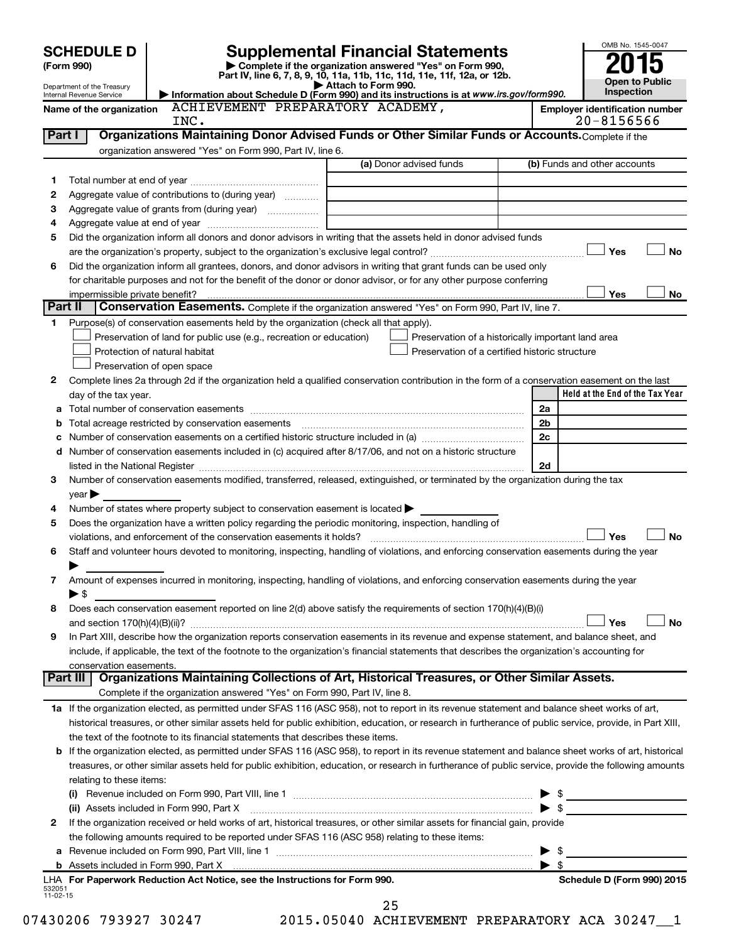| <b>SCHEDULE D</b>                        |                                                                                                                                                                                                                                                                                                            | <b>Supplemental Financial Statements</b>                                                                                                                    | OMB No. 1545-0047                                       |
|------------------------------------------|------------------------------------------------------------------------------------------------------------------------------------------------------------------------------------------------------------------------------------------------------------------------------------------------------------|-------------------------------------------------------------------------------------------------------------------------------------------------------------|---------------------------------------------------------|
| (Form 990)<br>Department of the Treasury |                                                                                                                                                                                                                                                                                                            | Complete if the organization answered "Yes" on Form 990,<br>Part IV, line 6, 7, 8, 9, 10, 11a, 11b, 11c, 11d, 11e, 11f, 12a, or 12b.<br>Attach to Form 990. | <b>Open to Public</b>                                   |
| Internal Revenue Service                 |                                                                                                                                                                                                                                                                                                            | Information about Schedule D (Form 990) and its instructions is at www.irs.gov/form990.                                                                     | Inspection                                              |
| Name of the organization                 | ACHIEVEMENT PREPARATORY ACADEMY,<br>INC.                                                                                                                                                                                                                                                                   |                                                                                                                                                             | <b>Employer identification number</b><br>$20 - 8156566$ |
| Part I                                   | Organizations Maintaining Donor Advised Funds or Other Similar Funds or Accounts. Complete if the                                                                                                                                                                                                          |                                                                                                                                                             |                                                         |
|                                          | organization answered "Yes" on Form 990, Part IV, line 6.                                                                                                                                                                                                                                                  |                                                                                                                                                             |                                                         |
|                                          |                                                                                                                                                                                                                                                                                                            | (a) Donor advised funds                                                                                                                                     | (b) Funds and other accounts                            |
| 1                                        |                                                                                                                                                                                                                                                                                                            |                                                                                                                                                             |                                                         |
| 2                                        | Aggregate value of contributions to (during year)                                                                                                                                                                                                                                                          |                                                                                                                                                             |                                                         |
| з<br>4                                   | Aggregate value of grants from (during year)                                                                                                                                                                                                                                                               |                                                                                                                                                             |                                                         |
| 5                                        | Did the organization inform all donors and donor advisors in writing that the assets held in donor advised funds                                                                                                                                                                                           |                                                                                                                                                             |                                                         |
|                                          |                                                                                                                                                                                                                                                                                                            |                                                                                                                                                             | Yes<br><b>No</b>                                        |
| 6                                        | Did the organization inform all grantees, donors, and donor advisors in writing that grant funds can be used only                                                                                                                                                                                          |                                                                                                                                                             |                                                         |
|                                          | for charitable purposes and not for the benefit of the donor or donor advisor, or for any other purpose conferring                                                                                                                                                                                         |                                                                                                                                                             |                                                         |
| impermissible private benefit?           |                                                                                                                                                                                                                                                                                                            |                                                                                                                                                             | Yes<br>No                                               |
| Part II                                  | Conservation Easements. Complete if the organization answered "Yes" on Form 990, Part IV, line 7.                                                                                                                                                                                                          |                                                                                                                                                             |                                                         |
| 1.                                       | Purpose(s) of conservation easements held by the organization (check all that apply).                                                                                                                                                                                                                      |                                                                                                                                                             |                                                         |
|                                          | Preservation of land for public use (e.g., recreation or education)                                                                                                                                                                                                                                        |                                                                                                                                                             | Preservation of a historically important land area      |
|                                          | Protection of natural habitat                                                                                                                                                                                                                                                                              |                                                                                                                                                             | Preservation of a certified historic structure          |
|                                          | Preservation of open space                                                                                                                                                                                                                                                                                 |                                                                                                                                                             |                                                         |
| 2                                        | Complete lines 2a through 2d if the organization held a qualified conservation contribution in the form of a conservation easement on the last                                                                                                                                                             |                                                                                                                                                             | Held at the End of the Tax Year                         |
| day of the tax year.<br>а                |                                                                                                                                                                                                                                                                                                            |                                                                                                                                                             | 2a                                                      |
| b                                        |                                                                                                                                                                                                                                                                                                            |                                                                                                                                                             | 2 <sub>b</sub>                                          |
|                                          | c Number of conservation easements on a certified historic structure included in (a) manufacture included in (a)                                                                                                                                                                                           |                                                                                                                                                             | 2c                                                      |
|                                          | d Number of conservation easements included in (c) acquired after 8/17/06, and not on a historic structure                                                                                                                                                                                                 |                                                                                                                                                             |                                                         |
|                                          | listed in the National Register [111] Marshall Register [11] Marshall Register [11] Marshall Register [11] Marshall Register [11] Marshall Register [11] Marshall Register [11] Marshall Register [11] Marshall Register [11]                                                                              |                                                                                                                                                             | 2d                                                      |
| 3                                        | Number of conservation easements modified, transferred, released, extinguished, or terminated by the organization during the tax                                                                                                                                                                           |                                                                                                                                                             |                                                         |
| $year \blacktriangleright$               |                                                                                                                                                                                                                                                                                                            |                                                                                                                                                             |                                                         |
| 4                                        | Number of states where property subject to conservation easement is located $\blacktriangleright$                                                                                                                                                                                                          |                                                                                                                                                             |                                                         |
| 5                                        | Does the organization have a written policy regarding the periodic monitoring, inspection, handling of                                                                                                                                                                                                     |                                                                                                                                                             |                                                         |
| 6                                        | violations, and enforcement of the conservation easements it holds?<br>Staff and volunteer hours devoted to monitoring, inspecting, handling of violations, and enforcing conservation easements during the year                                                                                           |                                                                                                                                                             | Yes<br><b>No</b>                                        |
|                                          |                                                                                                                                                                                                                                                                                                            |                                                                                                                                                             |                                                         |
| 7                                        | Amount of expenses incurred in monitoring, inspecting, handling of violations, and enforcing conservation easements during the year                                                                                                                                                                        |                                                                                                                                                             |                                                         |
| $\blacktriangleright$ \$                 |                                                                                                                                                                                                                                                                                                            |                                                                                                                                                             |                                                         |
| 8                                        | Does each conservation easement reported on line $2(d)$ above satisfy the requirements of section 170(h)(4)(B)(i)                                                                                                                                                                                          |                                                                                                                                                             |                                                         |
|                                          |                                                                                                                                                                                                                                                                                                            |                                                                                                                                                             | Yes<br><b>No</b>                                        |
| 9                                        | In Part XIII, describe how the organization reports conservation easements in its revenue and expense statement, and balance sheet, and                                                                                                                                                                    |                                                                                                                                                             |                                                         |
|                                          | include, if applicable, the text of the footnote to the organization's financial statements that describes the organization's accounting for                                                                                                                                                               |                                                                                                                                                             |                                                         |
| conservation easements.                  |                                                                                                                                                                                                                                                                                                            |                                                                                                                                                             |                                                         |
|                                          | Part III   Organizations Maintaining Collections of Art, Historical Treasures, or Other Similar Assets.<br>Complete if the organization answered "Yes" on Form 990, Part IV, line 8.                                                                                                                       |                                                                                                                                                             |                                                         |
|                                          |                                                                                                                                                                                                                                                                                                            |                                                                                                                                                             |                                                         |
|                                          | 1a If the organization elected, as permitted under SFAS 116 (ASC 958), not to report in its revenue statement and balance sheet works of art,<br>historical treasures, or other similar assets held for public exhibition, education, or research in furtherance of public service, provide, in Part XIII, |                                                                                                                                                             |                                                         |
|                                          | the text of the footnote to its financial statements that describes these items.                                                                                                                                                                                                                           |                                                                                                                                                             |                                                         |
|                                          | <b>b</b> If the organization elected, as permitted under SFAS 116 (ASC 958), to report in its revenue statement and balance sheet works of art, historical                                                                                                                                                 |                                                                                                                                                             |                                                         |
|                                          | treasures, or other similar assets held for public exhibition, education, or research in furtherance of public service, provide the following amounts                                                                                                                                                      |                                                                                                                                                             |                                                         |
| relating to these items:                 |                                                                                                                                                                                                                                                                                                            |                                                                                                                                                             |                                                         |
|                                          |                                                                                                                                                                                                                                                                                                            |                                                                                                                                                             | $\triangleright$ \$                                     |
|                                          |                                                                                                                                                                                                                                                                                                            |                                                                                                                                                             | $\blacktriangleright$ \$                                |
| 2                                        | If the organization received or held works of art, historical treasures, or other similar assets for financial gain, provide                                                                                                                                                                               |                                                                                                                                                             |                                                         |
|                                          | the following amounts required to be reported under SFAS 116 (ASC 958) relating to these items:                                                                                                                                                                                                            |                                                                                                                                                             |                                                         |
|                                          |                                                                                                                                                                                                                                                                                                            |                                                                                                                                                             | $\blacktriangleright$ \$                                |
|                                          |                                                                                                                                                                                                                                                                                                            |                                                                                                                                                             | $\blacktriangleright$ s                                 |
| 532051                                   | LHA For Paperwork Reduction Act Notice, see the Instructions for Form 990.                                                                                                                                                                                                                                 |                                                                                                                                                             | Schedule D (Form 990) 2015                              |
| 11-02-15                                 |                                                                                                                                                                                                                                                                                                            | 25                                                                                                                                                          |                                                         |

07430206 793927 30247 2015.05040 ACHIEVEMENT PREPARATORY ACA 302471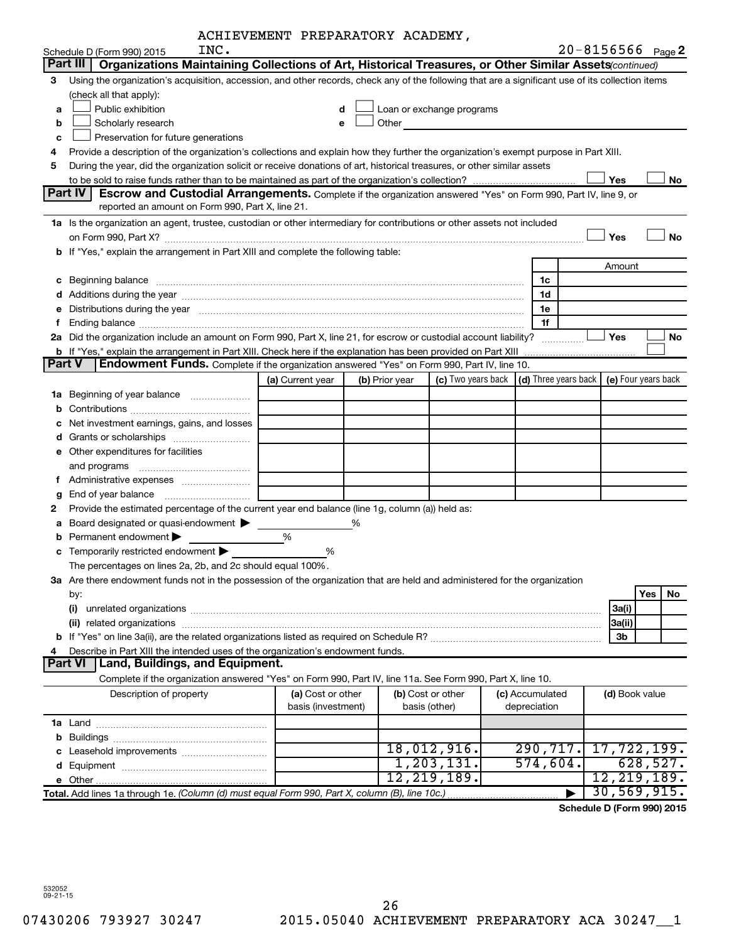| ACHIEVEMENT PREPARATORY ACADEMY, |  |  |  |
|----------------------------------|--|--|--|
|----------------------------------|--|--|--|

|               | INC.                                                                                                                                                                                                                           | ACAIEVEMENI FREFARAIORI ACADEMI, |   |                |                           |                                      |        | $20 - 8156566$ Page 2 |
|---------------|--------------------------------------------------------------------------------------------------------------------------------------------------------------------------------------------------------------------------------|----------------------------------|---|----------------|---------------------------|--------------------------------------|--------|-----------------------|
|               | Schedule D (Form 990) 2015<br>Organizations Maintaining Collections of Art, Historical Treasures, or Other Similar Assets (continued)<br>Part III                                                                              |                                  |   |                |                           |                                      |        |                       |
|               |                                                                                                                                                                                                                                |                                  |   |                |                           |                                      |        |                       |
| 3             | Using the organization's acquisition, accession, and other records, check any of the following that are a significant use of its collection items<br>(check all that apply):                                                   |                                  |   |                |                           |                                      |        |                       |
|               | Public exhibition                                                                                                                                                                                                              | d                                |   |                | Loan or exchange programs |                                      |        |                       |
| a             |                                                                                                                                                                                                                                |                                  |   | Other          |                           |                                      |        |                       |
| b             | Scholarly research                                                                                                                                                                                                             | е                                |   |                |                           |                                      |        |                       |
| c             | Preservation for future generations                                                                                                                                                                                            |                                  |   |                |                           |                                      |        |                       |
| 4             | Provide a description of the organization's collections and explain how they further the organization's exempt purpose in Part XIII.                                                                                           |                                  |   |                |                           |                                      |        |                       |
| 5             | During the year, did the organization solicit or receive donations of art, historical treasures, or other similar assets                                                                                                       |                                  |   |                |                           |                                      |        |                       |
|               | Part IV<br><b>Escrow and Custodial Arrangements.</b> Complete if the organization answered "Yes" on Form 990, Part IV, line 9, or                                                                                              |                                  |   |                |                           |                                      | Yes    | No                    |
|               | reported an amount on Form 990, Part X, line 21.                                                                                                                                                                               |                                  |   |                |                           |                                      |        |                       |
|               |                                                                                                                                                                                                                                |                                  |   |                |                           |                                      |        |                       |
|               | 1a Is the organization an agent, trustee, custodian or other intermediary for contributions or other assets not included                                                                                                       |                                  |   |                |                           |                                      | Yes    | <b>No</b>             |
|               |                                                                                                                                                                                                                                |                                  |   |                |                           |                                      |        |                       |
|               | b If "Yes," explain the arrangement in Part XIII and complete the following table:                                                                                                                                             |                                  |   |                |                           |                                      |        |                       |
|               |                                                                                                                                                                                                                                |                                  |   |                |                           |                                      | Amount |                       |
| с             | Beginning balance measurements and contact the contract of the contract of the contract of the contract of the                                                                                                                 |                                  |   |                |                           | 1c                                   |        |                       |
|               |                                                                                                                                                                                                                                |                                  |   |                |                           | 1d                                   |        |                       |
|               | Distributions during the year manufactured and an account of the year manufactured and the year manufactured and the year manufactured and the year manufactured and the year manufactured and the year manufactured and the y |                                  |   |                |                           | 1e                                   |        |                       |
| f.            |                                                                                                                                                                                                                                |                                  |   |                |                           | 1f                                   |        |                       |
|               | 2a Did the organization include an amount on Form 990, Part X, line 21, for escrow or custodial account liability?                                                                                                             |                                  |   |                |                           |                                      | Yes    | No                    |
| <b>Part V</b> | <b>b</b> If "Yes," explain the arrangement in Part XIII. Check here if the explanation has been provided on Part XIII                                                                                                          |                                  |   |                |                           |                                      |        |                       |
|               | Endowment Funds. Complete if the organization answered "Yes" on Form 990, Part IV, line 10.                                                                                                                                    |                                  |   |                |                           |                                      |        |                       |
|               |                                                                                                                                                                                                                                | (a) Current year                 |   | (b) Prior year | (c) Two years back        | $\vert$ (d) Three years back $\vert$ |        | (e) Four years back   |
| 1a            | Beginning of year balance                                                                                                                                                                                                      |                                  |   |                |                           |                                      |        |                       |
| b             |                                                                                                                                                                                                                                |                                  |   |                |                           |                                      |        |                       |
|               | Net investment earnings, gains, and losses                                                                                                                                                                                     |                                  |   |                |                           |                                      |        |                       |
| d             |                                                                                                                                                                                                                                |                                  |   |                |                           |                                      |        |                       |
|               | e Other expenditures for facilities                                                                                                                                                                                            |                                  |   |                |                           |                                      |        |                       |
|               | and programs                                                                                                                                                                                                                   |                                  |   |                |                           |                                      |        |                       |
|               |                                                                                                                                                                                                                                |                                  |   |                |                           |                                      |        |                       |
| g             |                                                                                                                                                                                                                                |                                  |   |                |                           |                                      |        |                       |
| 2             | Provide the estimated percentage of the current year end balance (line 1g, column (a)) held as:                                                                                                                                |                                  |   |                |                           |                                      |        |                       |
| а             | Board designated or quasi-endowment                                                                                                                                                                                            |                                  | % |                |                           |                                      |        |                       |
|               | Permanent endowment                                                                                                                                                                                                            | %                                |   |                |                           |                                      |        |                       |
|               | Temporarily restricted endowment                                                                                                                                                                                               | %                                |   |                |                           |                                      |        |                       |
|               | The percentages on lines 2a, 2b, and 2c should equal 100%.                                                                                                                                                                     |                                  |   |                |                           |                                      |        |                       |
|               | 3a Are there endowment funds not in the possession of the organization that are held and administered for the organization                                                                                                     |                                  |   |                |                           |                                      |        |                       |
|               | by:                                                                                                                                                                                                                            |                                  |   |                |                           |                                      |        | <b>Yes</b><br>No      |
|               | (i)                                                                                                                                                                                                                            |                                  |   |                |                           |                                      | 3a(i)  |                       |
|               |                                                                                                                                                                                                                                |                                  |   |                |                           |                                      | 3a(ii) |                       |
|               |                                                                                                                                                                                                                                |                                  |   |                |                           |                                      | 3b     |                       |
|               | Describe in Part XIII the intended uses of the organization's endowment funds.                                                                                                                                                 |                                  |   |                |                           |                                      |        |                       |
|               | Land, Buildings, and Equipment.<br>Part VI                                                                                                                                                                                     |                                  |   |                |                           |                                      |        |                       |
|               | Complete if the organization answered "Yes" on Form 990, Part IV, line 11a. See Form 990, Part X, line 10.                                                                                                                     |                                  |   |                |                           |                                      |        |                       |
|               | Description of property                                                                                                                                                                                                        | (a) Cost or other                |   |                | (b) Cost or other         | (c) Accumulated                      |        | (d) Book value        |
|               |                                                                                                                                                                                                                                | basis (investment)               |   |                | basis (other)             | depreciation                         |        |                       |
|               |                                                                                                                                                                                                                                |                                  |   |                |                           |                                      |        |                       |
| b             |                                                                                                                                                                                                                                |                                  |   |                |                           |                                      |        |                       |
|               |                                                                                                                                                                                                                                |                                  |   |                | 18,012,916.               | 290, 717.                            |        | 17,722,199.           |
|               |                                                                                                                                                                                                                                |                                  |   |                | 1, 203, 131.              | 574,604.                             |        | 628,527.              |
|               | e Other                                                                                                                                                                                                                        |                                  |   |                | 12, 219, 189.             |                                      |        | 12, 219, 189.         |
|               | Total. Add lines 1a through 1e. (Column (d) must equal Form 990, Part X, column (B), line 10c.)                                                                                                                                |                                  |   |                |                           |                                      |        | 30, 569, 915.         |

**Schedule D (Form 990) 2015**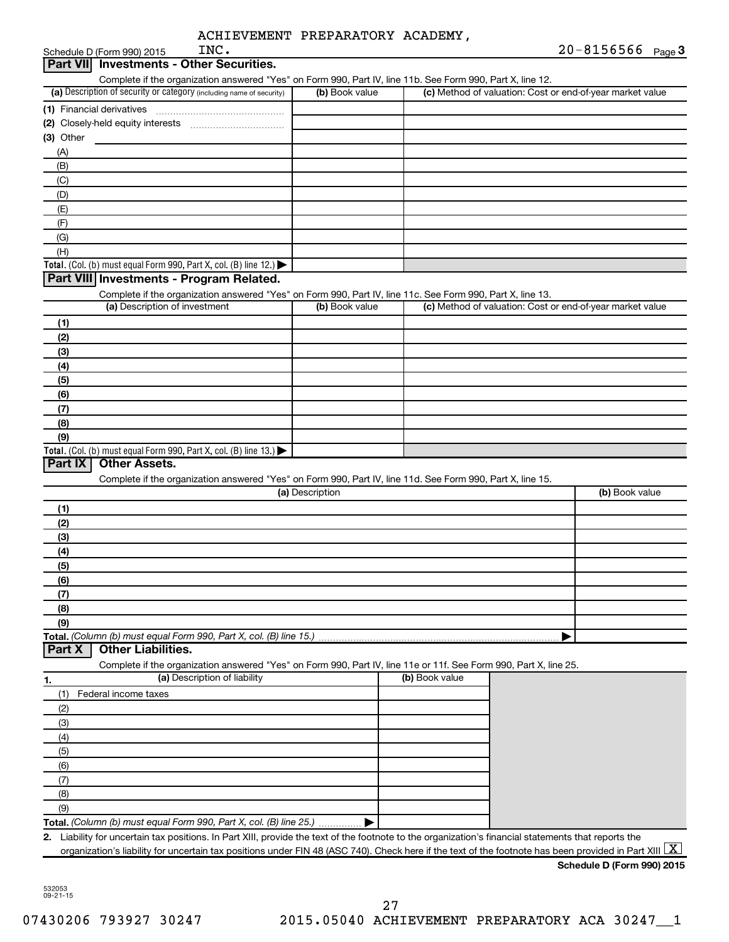|           | INC.<br>Schedule D (Form 990) 2015                                                                                                                                    |                 |                | 20-8156566 Page 3                                         |
|-----------|-----------------------------------------------------------------------------------------------------------------------------------------------------------------------|-----------------|----------------|-----------------------------------------------------------|
| Part VIII | <b>Investments - Other Securities.</b>                                                                                                                                |                 |                |                                                           |
|           | Complete if the organization answered "Yes" on Form 990, Part IV, line 11b. See Form 990, Part X, line 12.                                                            |                 |                |                                                           |
|           | (a) Description of security or category (including name of security)                                                                                                  | (b) Book value  |                | (c) Method of valuation: Cost or end-of-year market value |
|           | (1) Financial derivatives                                                                                                                                             |                 |                |                                                           |
|           |                                                                                                                                                                       |                 |                |                                                           |
| (3) Other |                                                                                                                                                                       |                 |                |                                                           |
| (A)       |                                                                                                                                                                       |                 |                |                                                           |
| (B)       |                                                                                                                                                                       |                 |                |                                                           |
| (C)       |                                                                                                                                                                       |                 |                |                                                           |
| (D)       |                                                                                                                                                                       |                 |                |                                                           |
| (E)       |                                                                                                                                                                       |                 |                |                                                           |
| (F)       |                                                                                                                                                                       |                 |                |                                                           |
| (G)       |                                                                                                                                                                       |                 |                |                                                           |
| (H)       | Total. (Col. (b) must equal Form 990, Part X, col. (B) line 12.) $\blacktriangleright$                                                                                |                 |                |                                                           |
|           | Part VIII Investments - Program Related.                                                                                                                              |                 |                |                                                           |
|           | Complete if the organization answered "Yes" on Form 990, Part IV, line 11c. See Form 990, Part X, line 13.                                                            |                 |                |                                                           |
|           | (a) Description of investment                                                                                                                                         | (b) Book value  |                | (c) Method of valuation: Cost or end-of-year market value |
| (1)       |                                                                                                                                                                       |                 |                |                                                           |
| (2)       |                                                                                                                                                                       |                 |                |                                                           |
| (3)       |                                                                                                                                                                       |                 |                |                                                           |
| (4)       |                                                                                                                                                                       |                 |                |                                                           |
| (5)       |                                                                                                                                                                       |                 |                |                                                           |
| (6)       |                                                                                                                                                                       |                 |                |                                                           |
| (7)       |                                                                                                                                                                       |                 |                |                                                           |
| (8)       |                                                                                                                                                                       |                 |                |                                                           |
| (9)       |                                                                                                                                                                       |                 |                |                                                           |
|           | Total. (Col. (b) must equal Form 990, Part X, col. (B) line $13.$ )                                                                                                   |                 |                |                                                           |
| Part IX   | <b>Other Assets.</b>                                                                                                                                                  |                 |                |                                                           |
|           | Complete if the organization answered "Yes" on Form 990, Part IV, line 11d. See Form 990, Part X, line 15.                                                            |                 |                |                                                           |
|           |                                                                                                                                                                       | (a) Description |                | (b) Book value                                            |
| (1)       |                                                                                                                                                                       |                 |                |                                                           |
| (2)       |                                                                                                                                                                       |                 |                |                                                           |
| (3)       |                                                                                                                                                                       |                 |                |                                                           |
| (4)       |                                                                                                                                                                       |                 |                |                                                           |
| (5)       |                                                                                                                                                                       |                 |                |                                                           |
| (6)       |                                                                                                                                                                       |                 |                |                                                           |
| (7)       |                                                                                                                                                                       |                 |                |                                                           |
| (8)       |                                                                                                                                                                       |                 |                |                                                           |
| (9)       |                                                                                                                                                                       |                 |                |                                                           |
|           | Total. (Column (b) must equal Form 990, Part X, col. (B) line 15.)                                                                                                    |                 |                |                                                           |
| Part X    | <b>Other Liabilities.</b>                                                                                                                                             |                 |                |                                                           |
|           | Complete if the organization answered "Yes" on Form 990, Part IV, line 11e or 11f. See Form 990, Part X, line 25.                                                     |                 | (b) Book value |                                                           |
| 1.        | (a) Description of liability                                                                                                                                          |                 |                |                                                           |
| (1)       | Federal income taxes                                                                                                                                                  |                 |                |                                                           |
| (2)       |                                                                                                                                                                       |                 |                |                                                           |
| (3)       |                                                                                                                                                                       |                 |                |                                                           |
| (4)       |                                                                                                                                                                       |                 |                |                                                           |
| (5)       |                                                                                                                                                                       |                 |                |                                                           |
| (6)       |                                                                                                                                                                       |                 |                |                                                           |
| (7)       |                                                                                                                                                                       |                 |                |                                                           |
| (8)       |                                                                                                                                                                       |                 |                |                                                           |
| (9)       | Total. (Column (b) must equal Form 990, Part X, col. (B) line 25.)                                                                                                    |                 |                |                                                           |
|           | 2. Liability for uncertain tax positions. In Part XIII, provide the text of the footnote to the organization's financial statements that reports the                  |                 |                |                                                           |
|           | organization's liability for uncertain tax positions under FIN 48 (ASC 740). Check here if the text of the footnote has been provided in Part XIII $\boxed{\text{X}}$ |                 |                |                                                           |
|           |                                                                                                                                                                       |                 |                | Schedule D (Form 990) 2015                                |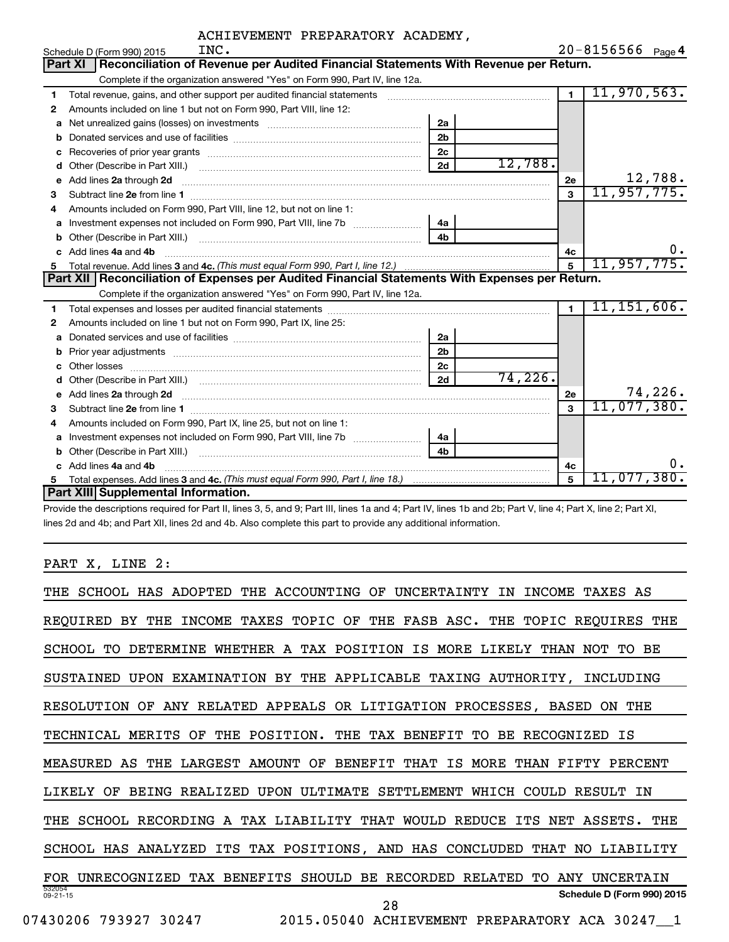|    | INC.<br>Schedule D (Form 990) 2015                                                                                       |                |         |                | $20 - 8156566$ Page 4 |
|----|--------------------------------------------------------------------------------------------------------------------------|----------------|---------|----------------|-----------------------|
|    | Reconciliation of Revenue per Audited Financial Statements With Revenue per Return.<br>Part XI                           |                |         |                |                       |
|    | Complete if the organization answered "Yes" on Form 990, Part IV, line 12a.                                              |                |         |                |                       |
| 1  |                                                                                                                          |                |         | $\overline{1}$ | 11,970,563.           |
| 2  | Amounts included on line 1 but not on Form 990, Part VIII, line 12:                                                      |                |         |                |                       |
| a  |                                                                                                                          | 2a             |         |                |                       |
| b  |                                                                                                                          | 2 <sub>b</sub> |         |                |                       |
| c  |                                                                                                                          | 2 <sub>c</sub> |         |                |                       |
| d  |                                                                                                                          | 2d             | 12,788. |                |                       |
| е  | Add lines 2a through 2d                                                                                                  |                |         | 2e             | 12,788.               |
| 3  |                                                                                                                          |                |         | $\mathbf{3}$   | 11, 957, 775.         |
| 4  | Amounts included on Form 990, Part VIII, line 12, but not on line 1:                                                     |                |         |                |                       |
|    |                                                                                                                          | 4a l           |         |                |                       |
| b  | Other (Describe in Part XIII.) (2000) (2000) (2000) (2010) (2010) (2010) (2010) (2010) (2010) (2010) (2010) (20          | 4 <sub>b</sub> |         |                |                       |
| c. | Add lines 4a and 4b                                                                                                      |                |         | 4c             | υ.                    |
|    |                                                                                                                          |                |         | 5              | 11,957,775.           |
|    |                                                                                                                          |                |         |                |                       |
|    | Part XII   Reconciliation of Expenses per Audited Financial Statements With Expenses per Return.                         |                |         |                |                       |
|    | Complete if the organization answered "Yes" on Form 990, Part IV, line 12a.                                              |                |         |                |                       |
| 1  |                                                                                                                          |                |         | $\mathbf{1}$   | 11, 151, 606.         |
| 2  | Amounts included on line 1 but not on Form 990, Part IX, line 25:                                                        |                |         |                |                       |
| a  |                                                                                                                          | 2a             |         |                |                       |
| b  |                                                                                                                          | 2 <sub>b</sub> |         |                |                       |
| c  |                                                                                                                          | 2 <sub>c</sub> |         |                |                       |
| d  |                                                                                                                          | 2d             | 74,226. |                |                       |
|    | Add lines 2a through 2d <b>must be a constructed as the constant of the constant of the constant of the construction</b> |                |         | 2e             | 74,226.               |
| 3  |                                                                                                                          |                |         | 3              | 11,077,380.           |
| 4  | Amounts included on Form 990, Part IX, line 25, but not on line 1:                                                       |                |         |                |                       |
|    |                                                                                                                          | 4a             |         |                |                       |
| b  |                                                                                                                          | 4b             |         |                |                       |
|    | Add lines 4a and 4b                                                                                                      |                |         | 4с             | ο.                    |
|    | Part XIII Supplemental Information.                                                                                      |                |         | 5              | $11,077,380$ .        |

Provide the descriptions required for Part II, lines 3, 5, and 9; Part III, lines 1a and 4; Part IV, lines 1b and 2b; Part V, line 4; Part X, line 2; Part XI, lines 2d and 4b; and Part XII, lines 2d and 4b. Also complete this part to provide any additional information.

# PART X, LINE 2:

| THE ACCOUNTING<br>THE SCHOOL HAS ADOPTED<br>OF<br>UNCERTAINTY<br>INCOME<br>ΙN<br>TAXES AS     |
|-----------------------------------------------------------------------------------------------|
| TAXES TOPIC OF THE FASB ASC. THE TOPIC REQUIRES THE<br>REOUIRED<br>BY<br><b>INCOME</b><br>THE |
| DETERMINE WHETHER A TAX POSITION IS MORE LIKELY THAN NOT<br>SCHOOL<br>BE<br>TO.<br>TO.        |
| UPON EXAMINATION BY THE APPLICABLE TAXING AUTHORITY, INCLUDING<br>SUSTAINED                   |
| ANY RELATED APPEALS OR LITIGATION PROCESSES, BASED ON THE<br>RESOLUTION<br>0F                 |
| THE POSITION. THE TAX BENEFIT TO<br>TECHNICAL MERITS OF<br>BE RECOGNIZED<br>IS                |
| LARGEST AMOUNT OF BENEFIT<br>MEASURED AS<br>THAT IS MORE<br>THAN FIFTY<br>THE<br>PERCENT      |
| LIKELY OF<br>BEING REALIZED UPON ULTIMATE SETTLEMENT WHICH COULD RESULT IN                    |
| THE SCHOOL RECORDING A TAX LIABILITY THAT WOULD REDUCE<br>ITS NET ASSETS.<br>THE              |
| SCHOOL HAS ANALYZED ITS TAX POSITIONS, AND HAS CONCLUDED<br>THAT NO LIABILITY                 |
| UNRECOGNIZED TAX BENEFITS SHOULD<br>BE RECORDED RELATED<br>ANY UNCERTAIN<br>FOR<br>TO.        |
| 532054<br>Schedule D (Form 990) 2015<br>$09 - 21 - 15$<br>28                                  |
| 2015.05040 ACHIEVEMENT PREPARATORY ACA 30247_1<br>07430206 793927 30247                       |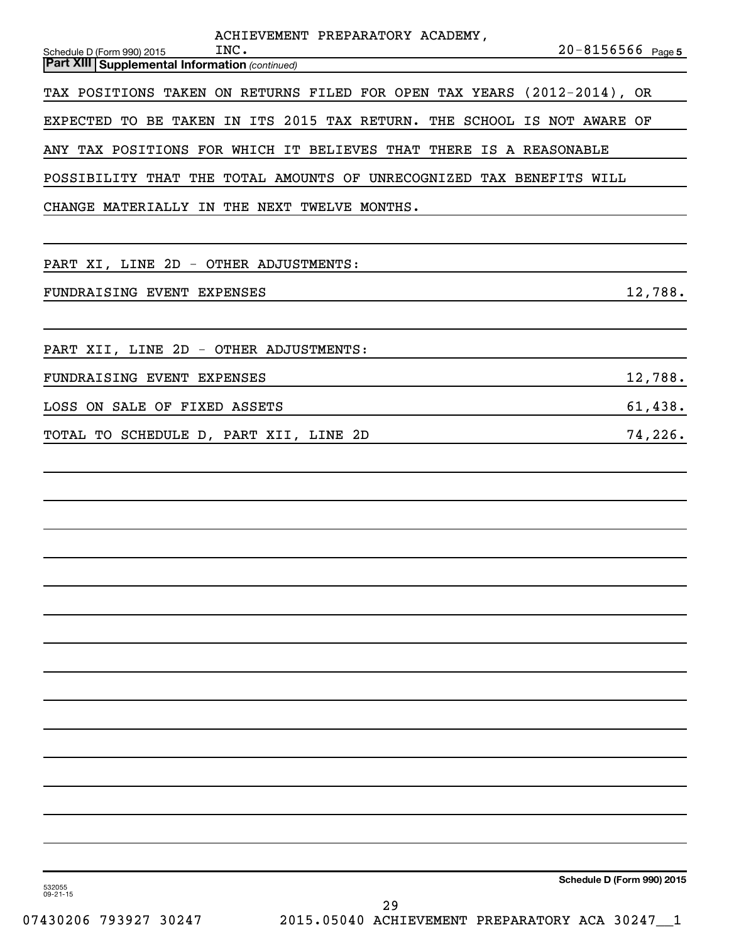| ACHIEVEMENT PREPARATORY ACADEMY,<br>INC.<br>Schedule D (Form 990) 2015<br><b>Part XIII Supplemental Information (continued)</b> | $20 - 8156566$ Page 5      |
|---------------------------------------------------------------------------------------------------------------------------------|----------------------------|
| TAX POSITIONS TAKEN ON RETURNS FILED FOR OPEN TAX YEARS (2012-2014), OR                                                         |                            |
| EXPECTED TO BE TAKEN IN ITS 2015 TAX RETURN. THE SCHOOL IS NOT AWARE OF                                                         |                            |
| ANY TAX POSITIONS FOR WHICH IT BELIEVES THAT THERE IS A REASONABLE                                                              |                            |
| POSSIBILITY THAT THE TOTAL AMOUNTS OF UNRECOGNIZED TAX BENEFITS WILL                                                            |                            |
| CHANGE MATERIALLY IN THE NEXT TWELVE MONTHS.                                                                                    |                            |
|                                                                                                                                 |                            |
| PART XI, LINE 2D - OTHER ADJUSTMENTS:                                                                                           |                            |
| FUNDRAISING EVENT EXPENSES                                                                                                      | 12,788.                    |
|                                                                                                                                 |                            |
| PART XII, LINE 2D - OTHER ADJUSTMENTS:                                                                                          |                            |
| FUNDRAISING EVENT EXPENSES                                                                                                      | 12,788.                    |
| LOSS ON SALE OF FIXED ASSETS                                                                                                    | 61,438.                    |
| TOTAL TO SCHEDULE D, PART XII, LINE 2D                                                                                          | 74,226.                    |
|                                                                                                                                 |                            |
|                                                                                                                                 |                            |
|                                                                                                                                 |                            |
|                                                                                                                                 |                            |
|                                                                                                                                 |                            |
|                                                                                                                                 |                            |
|                                                                                                                                 |                            |
|                                                                                                                                 |                            |
|                                                                                                                                 |                            |
|                                                                                                                                 |                            |
|                                                                                                                                 |                            |
|                                                                                                                                 |                            |
|                                                                                                                                 |                            |
|                                                                                                                                 |                            |
|                                                                                                                                 | Schedule D (Form 990) 2015 |

532055 09-21-15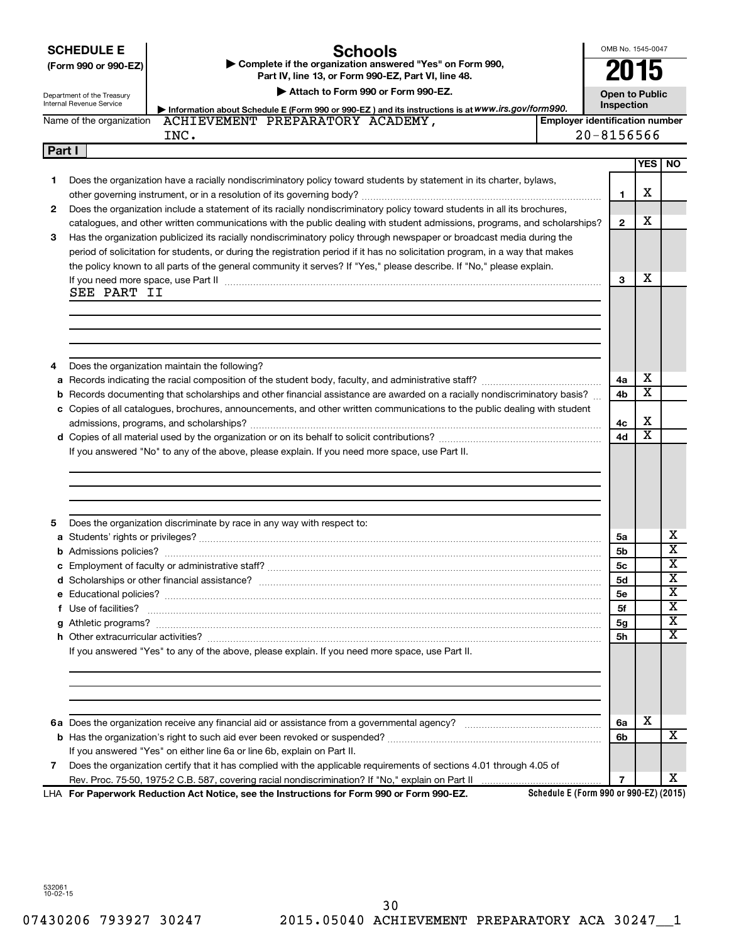|        | <b>Schools</b><br><b>SCHEDULE E</b><br>Complete if the organization answered "Yes" on Form 990,<br>(Form 990 or 990-EZ)<br>Part IV, line 13, or Form 990-EZ, Part VI, line 48.<br>Attach to Form 990 or Form 990-EZ.<br>Department of the Treasury<br>Internal Revenue Service<br>Information about Schedule E (Form 990 or 990-EZ) and its instructions is at WWW.irs.gov/form990. | OMB No. 1545-0047<br><b>Open to Public</b><br>Inspection |                         |                         |
|--------|-------------------------------------------------------------------------------------------------------------------------------------------------------------------------------------------------------------------------------------------------------------------------------------------------------------------------------------------------------------------------------------|----------------------------------------------------------|-------------------------|-------------------------|
|        | ACHIEVEMENT PREPARATORY ACADEMY,<br><b>Employer identification number</b><br>Name of the organization                                                                                                                                                                                                                                                                               |                                                          |                         |                         |
|        | INC.                                                                                                                                                                                                                                                                                                                                                                                | $20 - 8156566$                                           |                         |                         |
| Part I |                                                                                                                                                                                                                                                                                                                                                                                     |                                                          |                         |                         |
|        |                                                                                                                                                                                                                                                                                                                                                                                     |                                                          |                         | <b>YES   NO</b>         |
| 1      | Does the organization have a racially nondiscriminatory policy toward students by statement in its charter, bylaws,                                                                                                                                                                                                                                                                 | $\mathbf{1}$                                             | х                       |                         |
| 2      | Does the organization include a statement of its racially nondiscriminatory policy toward students in all its brochures,                                                                                                                                                                                                                                                            |                                                          |                         |                         |
|        | catalogues, and other written communications with the public dealing with student admissions, programs, and scholarships?                                                                                                                                                                                                                                                           | $\mathbf{2}$                                             | х                       |                         |
| 3      | Has the organization publicized its racially nondiscriminatory policy through newspaper or broadcast media during the                                                                                                                                                                                                                                                               |                                                          |                         |                         |
|        | period of solicitation for students, or during the registration period if it has no solicitation program, in a way that makes                                                                                                                                                                                                                                                       |                                                          |                         |                         |
|        | the policy known to all parts of the general community it serves? If "Yes," please describe. If "No," please explain.                                                                                                                                                                                                                                                               |                                                          |                         |                         |
|        | If you need more space, use Part II manufactured and an intervention of the space of the contract of the space,                                                                                                                                                                                                                                                                     | 3                                                        | х                       |                         |
|        | SEE PART II                                                                                                                                                                                                                                                                                                                                                                         |                                                          |                         |                         |
|        |                                                                                                                                                                                                                                                                                                                                                                                     |                                                          |                         |                         |
|        |                                                                                                                                                                                                                                                                                                                                                                                     |                                                          |                         |                         |
|        |                                                                                                                                                                                                                                                                                                                                                                                     |                                                          |                         |                         |
|        |                                                                                                                                                                                                                                                                                                                                                                                     |                                                          |                         |                         |
| 4      | Does the organization maintain the following?                                                                                                                                                                                                                                                                                                                                       |                                                          | х                       |                         |
|        |                                                                                                                                                                                                                                                                                                                                                                                     | 4a                                                       | $\overline{\text{x}}$   |                         |
|        | <b>b</b> Records documenting that scholarships and other financial assistance are awarded on a racially nondiscriminatory basis?                                                                                                                                                                                                                                                    | 4b                                                       |                         |                         |
|        | c Copies of all catalogues, brochures, announcements, and other written communications to the public dealing with student                                                                                                                                                                                                                                                           |                                                          | х                       |                         |
|        |                                                                                                                                                                                                                                                                                                                                                                                     | 4с<br>4d                                                 | $\overline{\textbf{x}}$ |                         |
|        | If you answered "No" to any of the above, please explain. If you need more space, use Part II.                                                                                                                                                                                                                                                                                      |                                                          |                         |                         |
|        |                                                                                                                                                                                                                                                                                                                                                                                     |                                                          |                         |                         |
|        |                                                                                                                                                                                                                                                                                                                                                                                     |                                                          |                         |                         |
|        |                                                                                                                                                                                                                                                                                                                                                                                     |                                                          |                         |                         |
|        |                                                                                                                                                                                                                                                                                                                                                                                     |                                                          |                         |                         |
| 5      | Does the organization discriminate by race in any way with respect to:                                                                                                                                                                                                                                                                                                              |                                                          |                         |                         |
|        |                                                                                                                                                                                                                                                                                                                                                                                     | 5a                                                       |                         | x                       |
|        |                                                                                                                                                                                                                                                                                                                                                                                     | 5b                                                       |                         | $\overline{\textbf{x}}$ |
|        | c Employment of faculty or administrative staff?                                                                                                                                                                                                                                                                                                                                    | <b>5c</b>                                                |                         | X                       |
|        |                                                                                                                                                                                                                                                                                                                                                                                     | 5d                                                       |                         | X                       |
|        |                                                                                                                                                                                                                                                                                                                                                                                     | 5е                                                       |                         | х                       |
|        | f Use of facilities?                                                                                                                                                                                                                                                                                                                                                                | 5f                                                       |                         | х                       |
|        |                                                                                                                                                                                                                                                                                                                                                                                     | 5g                                                       |                         | X                       |
|        |                                                                                                                                                                                                                                                                                                                                                                                     | 5h                                                       |                         | x                       |
|        | If you answered "Yes" to any of the above, please explain. If you need more space, use Part II.                                                                                                                                                                                                                                                                                     |                                                          |                         |                         |
|        |                                                                                                                                                                                                                                                                                                                                                                                     |                                                          |                         |                         |
|        |                                                                                                                                                                                                                                                                                                                                                                                     |                                                          |                         |                         |
|        |                                                                                                                                                                                                                                                                                                                                                                                     |                                                          |                         |                         |
|        |                                                                                                                                                                                                                                                                                                                                                                                     |                                                          | х                       |                         |
|        |                                                                                                                                                                                                                                                                                                                                                                                     | 6a                                                       |                         | x                       |
|        |                                                                                                                                                                                                                                                                                                                                                                                     | 6b                                                       |                         |                         |
| 7      | If you answered "Yes" on either line 6a or line 6b, explain on Part II.<br>Does the organization certify that it has complied with the applicable requirements of sections 4.01 through 4.05 of                                                                                                                                                                                     |                                                          |                         |                         |
|        |                                                                                                                                                                                                                                                                                                                                                                                     | 7                                                        |                         | x.                      |
|        | Schedule E (Form 990 or 990-EZ) (2015)<br>LHA For Paperwork Reduction Act Notice, see the Instructions for Form 990 or Form 990-EZ.                                                                                                                                                                                                                                                 |                                                          |                         |                         |

532061 10-02-15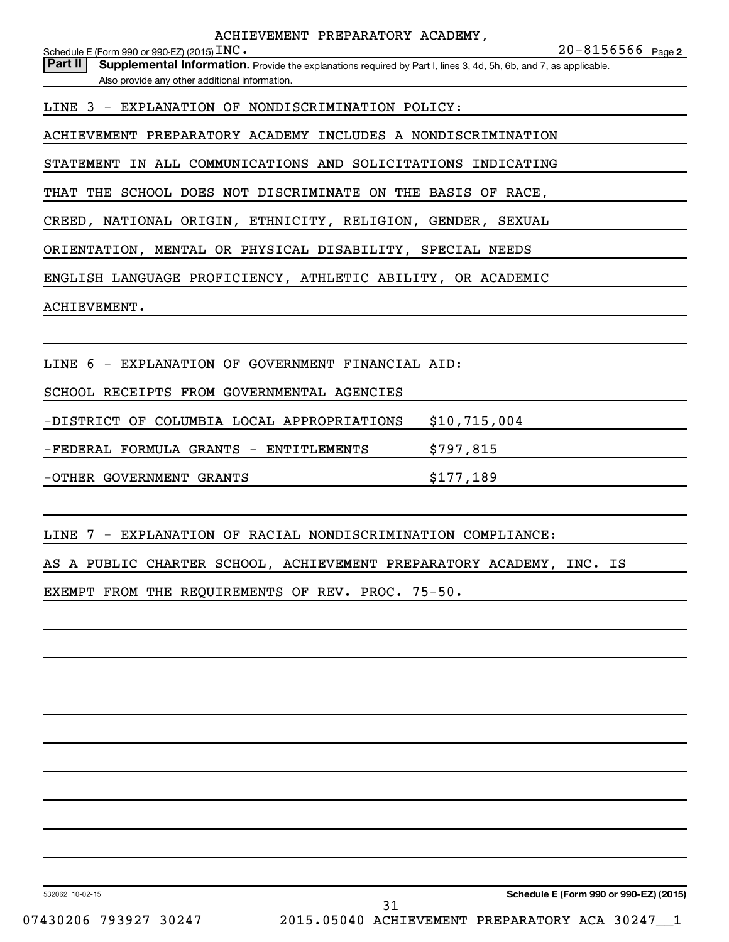**2** INC. 20-8156566 Schedule E (Form 990 or 990-EZ) (2015)  $\operatorname{INC}$  .

Part II | Supplemental Information. Provide the explanations required by Part I, lines 3, 4d, 5h, 6b, and 7, as applicable. Also provide any other additional information.

LINE 3 - EXPLANATION OF NONDISCRIMINATION POLICY:

ACHIEVEMENT PREPARATORY ACADEMY INCLUDES A NONDISCRIMINATION

STATEMENT IN ALL COMMUNICATIONS AND SOLICITATIONS INDICATING

THAT THE SCHOOL DOES NOT DISCRIMINATE ON THE BASIS OF RACE,

CREED, NATIONAL ORIGIN, ETHNICITY, RELIGION, GENDER, SEXUAL

ORIENTATION, MENTAL OR PHYSICAL DISABILITY, SPECIAL NEEDS

ENGLISH LANGUAGE PROFICIENCY, ATHLETIC ABILITY, OR ACADEMIC

ACHIEVEMENT.

LINE 6 - EXPLANATION OF GOVERNMENT FINANCIAL AID:

SCHOOL RECEIPTS FROM GOVERNMENTAL AGENCIES

-DISTRICT OF COLUMBIA LOCAL APPROPRIATIONS \$10,715,004

-FEDERAL FORMULA GRANTS - ENTITLEMENTS \$797,815

-OTHER GOVERNMENT GRANTS **\$177,189** 

LINE 7 - EXPLANATION OF RACIAL NONDISCRIMINATION COMPLIANCE:

AS A PUBLIC CHARTER SCHOOL, ACHIEVEMENT PREPARATORY ACADEMY, INC. IS

EXEMPT FROM THE REQUIREMENTS OF REV. PROC. 75-50.

532062 10-02-15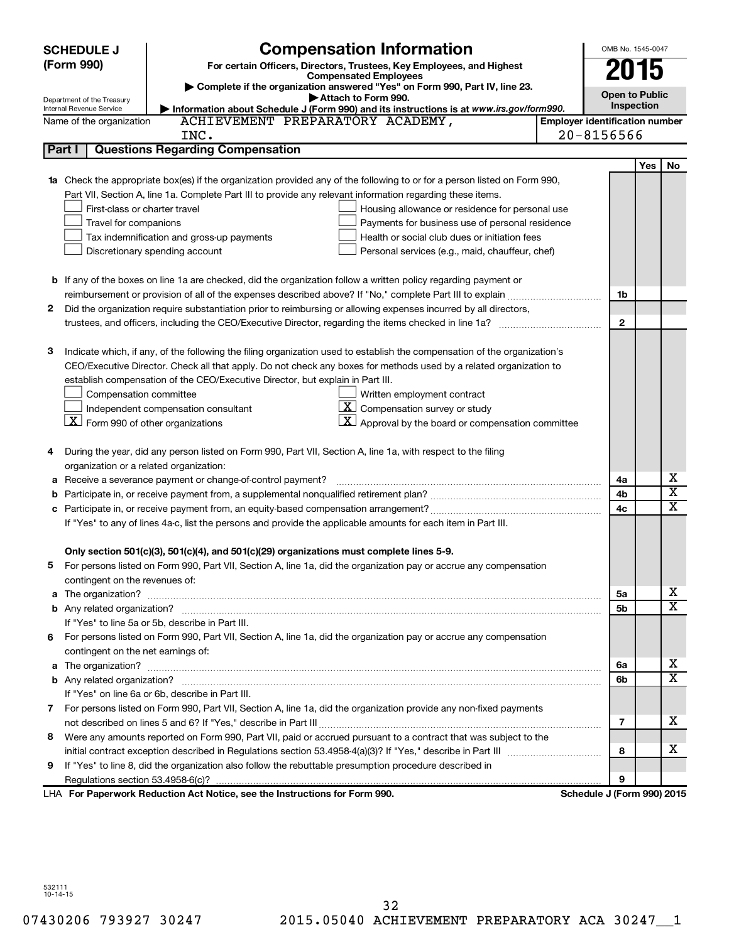|   | <b>SCHEDULE J</b>                                                                                          | <b>Compensation Information</b>                                                                                                                                                                                                                 |                                       | OMB No. 1545-0047          |            |                         |
|---|------------------------------------------------------------------------------------------------------------|-------------------------------------------------------------------------------------------------------------------------------------------------------------------------------------------------------------------------------------------------|---------------------------------------|----------------------------|------------|-------------------------|
|   | (Form 990)<br>For certain Officers, Directors, Trustees, Key Employees, and Highest                        |                                                                                                                                                                                                                                                 |                                       |                            |            |                         |
|   | <b>Compensated Employees</b><br>Complete if the organization answered "Yes" on Form 990, Part IV, line 23. |                                                                                                                                                                                                                                                 |                                       | 015                        |            |                         |
|   | Department of the Treasury                                                                                 | Attach to Form 990.                                                                                                                                                                                                                             |                                       | <b>Open to Public</b>      |            |                         |
|   | Internal Revenue Service                                                                                   | Information about Schedule J (Form 990) and its instructions is at www.irs.gov/form990.                                                                                                                                                         |                                       | Inspection                 |            |                         |
|   | Name of the organization                                                                                   | ACHIEVEMENT PREPARATORY ACADEMY,                                                                                                                                                                                                                | <b>Employer identification number</b> |                            |            |                         |
|   |                                                                                                            | INC.                                                                                                                                                                                                                                            |                                       | $20 - 8156566$             |            |                         |
|   | Part I                                                                                                     | <b>Questions Regarding Compensation</b>                                                                                                                                                                                                         |                                       |                            |            |                         |
|   |                                                                                                            |                                                                                                                                                                                                                                                 |                                       |                            | <b>Yes</b> | No                      |
|   |                                                                                                            | Check the appropriate box(es) if the organization provided any of the following to or for a person listed on Form 990,                                                                                                                          |                                       |                            |            |                         |
|   |                                                                                                            | Part VII, Section A, line 1a. Complete Part III to provide any relevant information regarding these items.                                                                                                                                      |                                       |                            |            |                         |
|   | First-class or charter travel                                                                              | Housing allowance or residence for personal use                                                                                                                                                                                                 |                                       |                            |            |                         |
|   | Travel for companions                                                                                      | Payments for business use of personal residence                                                                                                                                                                                                 |                                       |                            |            |                         |
|   |                                                                                                            | Health or social club dues or initiation fees<br>Tax indemnification and gross-up payments                                                                                                                                                      |                                       |                            |            |                         |
|   |                                                                                                            | Discretionary spending account<br>Personal services (e.g., maid, chauffeur, chef)                                                                                                                                                               |                                       |                            |            |                         |
|   |                                                                                                            |                                                                                                                                                                                                                                                 |                                       |                            |            |                         |
|   |                                                                                                            | <b>b</b> If any of the boxes on line 1a are checked, did the organization follow a written policy regarding payment or                                                                                                                          |                                       |                            |            |                         |
|   |                                                                                                            |                                                                                                                                                                                                                                                 |                                       | 1b                         |            |                         |
| 2 |                                                                                                            | Did the organization require substantiation prior to reimbursing or allowing expenses incurred by all directors,                                                                                                                                |                                       | $\mathbf{2}$               |            |                         |
|   |                                                                                                            |                                                                                                                                                                                                                                                 |                                       |                            |            |                         |
|   |                                                                                                            |                                                                                                                                                                                                                                                 |                                       |                            |            |                         |
| з |                                                                                                            | Indicate which, if any, of the following the filing organization used to establish the compensation of the organization's<br>CEO/Executive Director. Check all that apply. Do not check any boxes for methods used by a related organization to |                                       |                            |            |                         |
|   |                                                                                                            | establish compensation of the CEO/Executive Director, but explain in Part III.                                                                                                                                                                  |                                       |                            |            |                         |
|   | Compensation committee                                                                                     | Written employment contract                                                                                                                                                                                                                     |                                       |                            |            |                         |
|   |                                                                                                            | $ \mathbf{X} $ Compensation survey or study<br>Independent compensation consultant                                                                                                                                                              |                                       |                            |            |                         |
|   | $ \mathbf{X} $ Form 990 of other organizations                                                             | $\mathbf{X}$ Approval by the board or compensation committee                                                                                                                                                                                    |                                       |                            |            |                         |
|   |                                                                                                            |                                                                                                                                                                                                                                                 |                                       |                            |            |                         |
| 4 |                                                                                                            | During the year, did any person listed on Form 990, Part VII, Section A, line 1a, with respect to the filing                                                                                                                                    |                                       |                            |            |                         |
|   |                                                                                                            | organization or a related organization:                                                                                                                                                                                                         |                                       |                            |            |                         |
| а |                                                                                                            | Receive a severance payment or change-of-control payment?                                                                                                                                                                                       |                                       | 4a                         |            | х                       |
| b |                                                                                                            |                                                                                                                                                                                                                                                 |                                       | 4b                         |            | $\overline{\textbf{x}}$ |
|   |                                                                                                            |                                                                                                                                                                                                                                                 |                                       | 4c                         |            | $\overline{\mathbf{x}}$ |
|   |                                                                                                            | If "Yes" to any of lines 4a-c, list the persons and provide the applicable amounts for each item in Part III.                                                                                                                                   |                                       |                            |            |                         |
|   |                                                                                                            |                                                                                                                                                                                                                                                 |                                       |                            |            |                         |
|   |                                                                                                            | Only section 501(c)(3), 501(c)(4), and 501(c)(29) organizations must complete lines 5-9.                                                                                                                                                        |                                       |                            |            |                         |
| 5 |                                                                                                            | For persons listed on Form 990, Part VII, Section A, line 1a, did the organization pay or accrue any compensation                                                                                                                               |                                       |                            |            |                         |
|   | contingent on the revenues of:                                                                             |                                                                                                                                                                                                                                                 |                                       |                            |            |                         |
| a |                                                                                                            |                                                                                                                                                                                                                                                 |                                       | 5a                         |            | x                       |
|   |                                                                                                            |                                                                                                                                                                                                                                                 |                                       | 5b                         |            | X                       |
|   |                                                                                                            | If "Yes" to line 5a or 5b, describe in Part III.                                                                                                                                                                                                |                                       |                            |            |                         |
|   |                                                                                                            | 6 For persons listed on Form 990, Part VII, Section A, line 1a, did the organization pay or accrue any compensation                                                                                                                             |                                       |                            |            |                         |
|   | contingent on the net earnings of:                                                                         |                                                                                                                                                                                                                                                 |                                       |                            |            |                         |
| a |                                                                                                            |                                                                                                                                                                                                                                                 |                                       | 6а                         |            | x                       |
|   |                                                                                                            |                                                                                                                                                                                                                                                 |                                       | 6b                         |            | $\overline{\textbf{X}}$ |
|   |                                                                                                            | If "Yes" on line 6a or 6b, describe in Part III.                                                                                                                                                                                                |                                       |                            |            |                         |
|   |                                                                                                            | 7 For persons listed on Form 990, Part VII, Section A, line 1a, did the organization provide any non-fixed payments                                                                                                                             |                                       |                            |            |                         |
|   |                                                                                                            |                                                                                                                                                                                                                                                 |                                       | 7                          |            | х                       |
| 8 |                                                                                                            | Were any amounts reported on Form 990, Part VII, paid or accrued pursuant to a contract that was subject to the                                                                                                                                 |                                       |                            |            |                         |
|   |                                                                                                            |                                                                                                                                                                                                                                                 |                                       | 8                          |            | х                       |
| 9 |                                                                                                            | If "Yes" to line 8, did the organization also follow the rebuttable presumption procedure described in                                                                                                                                          |                                       |                            |            |                         |
|   |                                                                                                            |                                                                                                                                                                                                                                                 |                                       | 9                          |            |                         |
|   |                                                                                                            | LHA For Paperwork Reduction Act Notice, see the Instructions for Form 990.                                                                                                                                                                      |                                       | Schedule J (Form 990) 2015 |            |                         |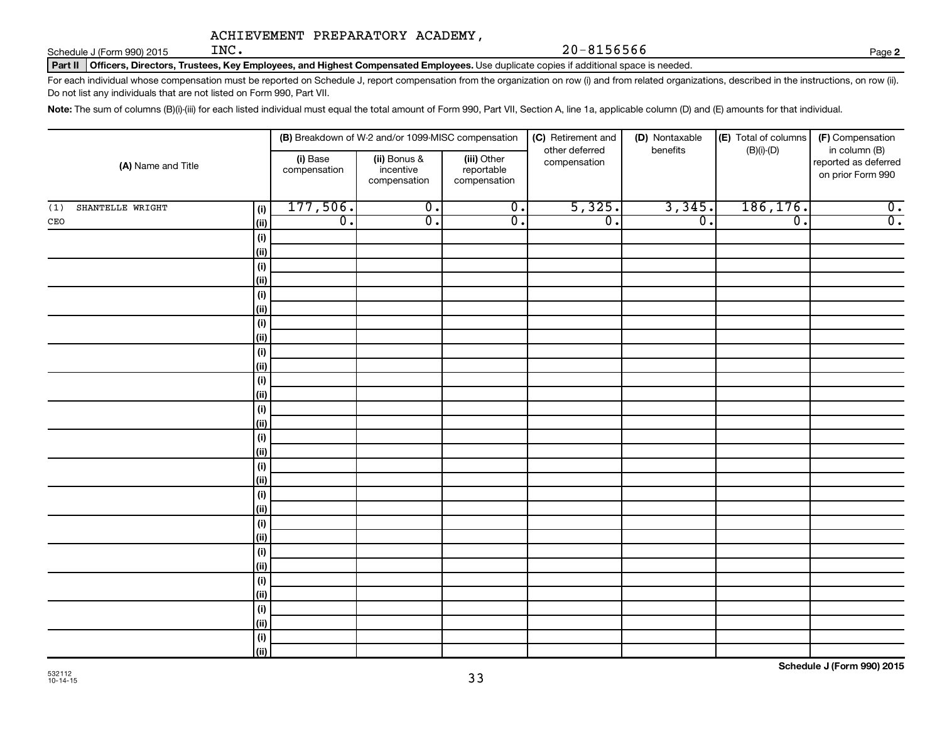Schedule J (Form 990) 2015  $\text{INC.}$ 

Part II | Officers, Directors, Trustees, Key Employees, and Highest Compensated Employees. Use duplicate copies if additional space is needed.

For each individual whose compensation must be reported on Schedule J, report compensation from the organization on row (i) and from related organizations, described in the instructions, on row (ii). Do not list any individuals that are not listed on Form 990, Part VII.

Note: The sum of columns (B)(i)-(iii) for each listed individual must equal the total amount of Form 990, Part VII, Section A, line 1a, applicable column (D) and (E) amounts for that individual.

|                                | (B) Breakdown of W-2 and/or 1099-MISC compensation |                                           |                                           | (C) Retirement and             | (D) Nontaxable   | (E) Total of columns | (F) Compensation                                           |
|--------------------------------|----------------------------------------------------|-------------------------------------------|-------------------------------------------|--------------------------------|------------------|----------------------|------------------------------------------------------------|
| (A) Name and Title             | (i) Base<br>compensation                           | (ii) Bonus &<br>incentive<br>compensation | (iii) Other<br>reportable<br>compensation | other deferred<br>compensation | benefits         | $(B)(i)-(D)$         | in column (B)<br>reported as deferred<br>on prior Form 990 |
| SHANTELLE WRIGHT<br>(i)<br>(1) | 177,506.                                           | $\overline{0}$ .                          | $\overline{0}$ .                          | 5,325.                         | 3,345.           | 186, 176.            | $\overline{0}$ .                                           |
| $\mathtt{CEO}$<br>(ii)         | $\overline{0}$ .                                   | $\overline{0}$ .                          | $\overline{0}$ .                          | $\overline{0}$ .               | $\overline{0}$ . | $\overline{0}$ .     | $\overline{0}$ .                                           |
| (i)                            |                                                    |                                           |                                           |                                |                  |                      |                                                            |
| (ii)                           |                                                    |                                           |                                           |                                |                  |                      |                                                            |
| (i)                            |                                                    |                                           |                                           |                                |                  |                      |                                                            |
| (ii)                           |                                                    |                                           |                                           |                                |                  |                      |                                                            |
| (i)                            |                                                    |                                           |                                           |                                |                  |                      |                                                            |
| $\vert$ (ii)                   |                                                    |                                           |                                           |                                |                  |                      |                                                            |
| (i)                            |                                                    |                                           |                                           |                                |                  |                      |                                                            |
| $\vert$ (ii)                   |                                                    |                                           |                                           |                                |                  |                      |                                                            |
| (i)                            |                                                    |                                           |                                           |                                |                  |                      |                                                            |
| $\vert$ (ii)                   |                                                    |                                           |                                           |                                |                  |                      |                                                            |
| (i)                            |                                                    |                                           |                                           |                                |                  |                      |                                                            |
| $\vert$ (ii)                   |                                                    |                                           |                                           |                                |                  |                      |                                                            |
| (i)                            |                                                    |                                           |                                           |                                |                  |                      |                                                            |
| $\vert$ (ii)                   |                                                    |                                           |                                           |                                |                  |                      |                                                            |
| (i)<br>(ii)                    |                                                    |                                           |                                           |                                |                  |                      |                                                            |
| (i)                            |                                                    |                                           |                                           |                                |                  |                      |                                                            |
| $\vert$ (ii)                   |                                                    |                                           |                                           |                                |                  |                      |                                                            |
| (i)                            |                                                    |                                           |                                           |                                |                  |                      |                                                            |
| (ii)                           |                                                    |                                           |                                           |                                |                  |                      |                                                            |
| (i)                            |                                                    |                                           |                                           |                                |                  |                      |                                                            |
| $\vert$ (ii)                   |                                                    |                                           |                                           |                                |                  |                      |                                                            |
| (i)                            |                                                    |                                           |                                           |                                |                  |                      |                                                            |
| $\vert$ (ii)                   |                                                    |                                           |                                           |                                |                  |                      |                                                            |
| (i)                            |                                                    |                                           |                                           |                                |                  |                      |                                                            |
| $\vert$ (ii)                   |                                                    |                                           |                                           |                                |                  |                      |                                                            |
| (i)                            |                                                    |                                           |                                           |                                |                  |                      |                                                            |
| $\vert$ (ii)                   |                                                    |                                           |                                           |                                |                  |                      |                                                            |
| (i)                            |                                                    |                                           |                                           |                                |                  |                      |                                                            |
| (iii)                          |                                                    |                                           |                                           |                                |                  |                      |                                                            |

**2**

 $20 - 8156566$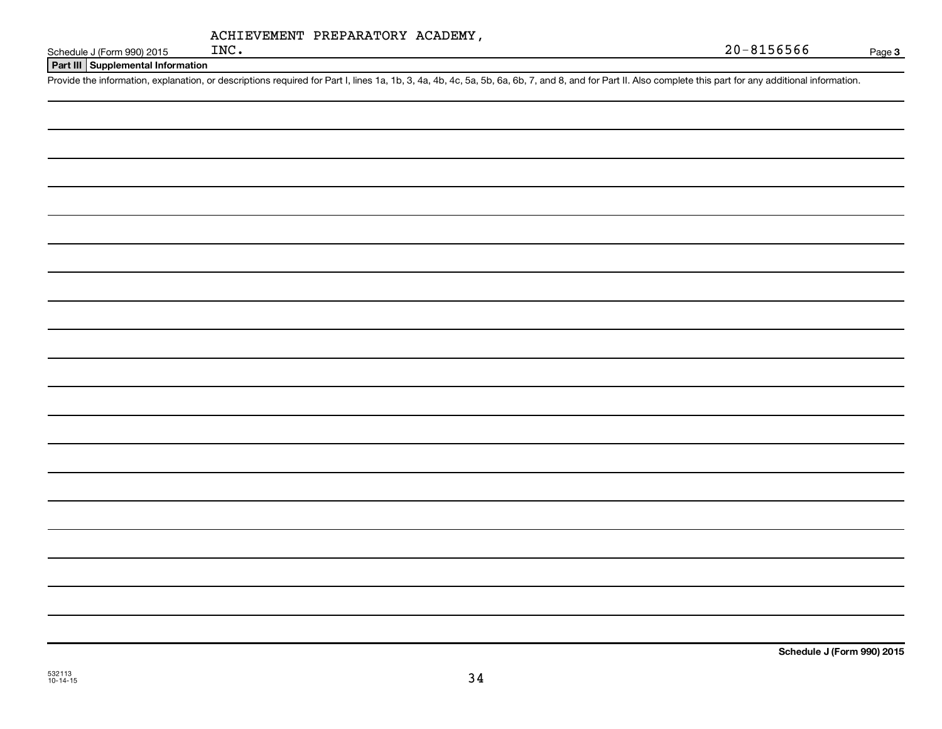| ACHIEVEMENT PREPARATORY ACADEMY, |  |
|----------------------------------|--|
|                                  |  |

 $20 - 8156566$ 

**3**

Schedule J (Form 990) 2015  $INC$ .

**Part III Supplemental Information**

Provide the information, explanation, or descriptions required for Part I, lines 1a, 1b, 3, 4a, 4b, 4c, 5a, 5b, 6a, 6b, 7, and 8, and for Part II. Also complete this part for any additional information.

**Schedule J (Form 990) 2015**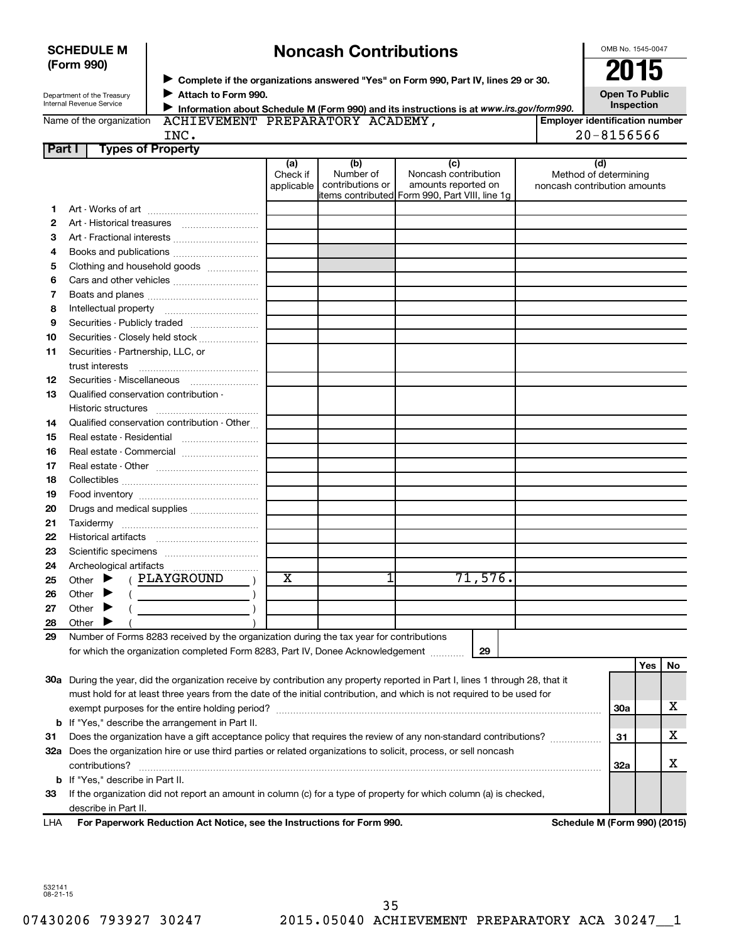| <b>SCHEDULE M</b> |  |
|-------------------|--|
| (Form 990)        |  |

# **Noncash Contributions**

OMB No. 1545-0047

| Department of the Treasury |
|----------------------------|
| Internal Revenue Service   |

◆ Complete if the organizations answered "Yes" on Form 990, Part IV, lines 29 or 30.<br>▶ Complete if the organizations answered "Yes" on Form 990, Part IV, lines 29 or 30. **Attach to Form 990.**  $\blacktriangleright$ 

**Open To Public Inspection**

|  | Name of the organization |
|--|--------------------------|

**Information about Schedule M (Form 990) and its instructions is at www.irs.gov/form990.** ACHIEVEMENT PREPARATORY ACADEMY,

**Employer identification number**  $20 - 8156566$ 

| -<br>$\sim$ |          |
|-------------|----------|
|             | .,<br>., |
|             |          |

| INC. |  |
|------|--|
|      |  |
|      |  |

| Part I | <b>Types of Property</b>                                                                                                            |                               |                                      |                                                                                                       |                                                              |            |     |    |
|--------|-------------------------------------------------------------------------------------------------------------------------------------|-------------------------------|--------------------------------------|-------------------------------------------------------------------------------------------------------|--------------------------------------------------------------|------------|-----|----|
|        |                                                                                                                                     | (a)<br>Check if<br>applicable | (b)<br>Number of<br>contributions or | (c)<br>Noncash contribution<br>amounts reported on<br>items contributed  Form 990, Part VIII, line 1g | (d)<br>Method of determining<br>noncash contribution amounts |            |     |    |
| 1.     |                                                                                                                                     |                               |                                      |                                                                                                       |                                                              |            |     |    |
| 2      |                                                                                                                                     |                               |                                      |                                                                                                       |                                                              |            |     |    |
| З      | Art - Fractional interests                                                                                                          |                               |                                      |                                                                                                       |                                                              |            |     |    |
| 4      |                                                                                                                                     |                               |                                      |                                                                                                       |                                                              |            |     |    |
| 5      | Clothing and household goods                                                                                                        |                               |                                      |                                                                                                       |                                                              |            |     |    |
| 6      | Cars and other vehicles                                                                                                             |                               |                                      |                                                                                                       |                                                              |            |     |    |
| 7      |                                                                                                                                     |                               |                                      |                                                                                                       |                                                              |            |     |    |
| 8      |                                                                                                                                     |                               |                                      |                                                                                                       |                                                              |            |     |    |
| 9      | Securities - Publicly traded                                                                                                        |                               |                                      |                                                                                                       |                                                              |            |     |    |
| 10     | Securities - Closely held stock                                                                                                     |                               |                                      |                                                                                                       |                                                              |            |     |    |
| 11     | Securities - Partnership, LLC, or                                                                                                   |                               |                                      |                                                                                                       |                                                              |            |     |    |
|        | trust interests                                                                                                                     |                               |                                      |                                                                                                       |                                                              |            |     |    |
| 12     | Securities - Miscellaneous                                                                                                          |                               |                                      |                                                                                                       |                                                              |            |     |    |
| 13     | Qualified conservation contribution -                                                                                               |                               |                                      |                                                                                                       |                                                              |            |     |    |
|        |                                                                                                                                     |                               |                                      |                                                                                                       |                                                              |            |     |    |
| 14     | Qualified conservation contribution - Other                                                                                         |                               |                                      |                                                                                                       |                                                              |            |     |    |
| 15     | Real estate - Residential                                                                                                           |                               |                                      |                                                                                                       |                                                              |            |     |    |
| 16     | Real estate - Commercial                                                                                                            |                               |                                      |                                                                                                       |                                                              |            |     |    |
| 17     |                                                                                                                                     |                               |                                      |                                                                                                       |                                                              |            |     |    |
| 18     |                                                                                                                                     |                               |                                      |                                                                                                       |                                                              |            |     |    |
| 19     |                                                                                                                                     |                               |                                      |                                                                                                       |                                                              |            |     |    |
| 20     | Drugs and medical supplies                                                                                                          |                               |                                      |                                                                                                       |                                                              |            |     |    |
| 21     |                                                                                                                                     |                               |                                      |                                                                                                       |                                                              |            |     |    |
| 22     |                                                                                                                                     |                               |                                      |                                                                                                       |                                                              |            |     |    |
| 23     |                                                                                                                                     |                               |                                      |                                                                                                       |                                                              |            |     |    |
| 24     |                                                                                                                                     |                               |                                      |                                                                                                       |                                                              |            |     |    |
| 25     | ( PLAYGROUND<br>Other $\blacktriangleright$                                                                                         | x                             | 1                                    | 71,576.                                                                                               |                                                              |            |     |    |
| 26     | Other $\blacktriangleright$                                                                                                         |                               |                                      |                                                                                                       |                                                              |            |     |    |
| 27     | Other                                                                                                                               |                               |                                      |                                                                                                       |                                                              |            |     |    |
| 28     | Other                                                                                                                               |                               |                                      |                                                                                                       |                                                              |            |     |    |
| 29     | Number of Forms 8283 received by the organization during the tax year for contributions                                             |                               |                                      |                                                                                                       |                                                              |            |     |    |
|        | for which the organization completed Form 8283, Part IV, Donee Acknowledgement                                                      |                               |                                      | 29                                                                                                    |                                                              |            |     |    |
|        |                                                                                                                                     |                               |                                      |                                                                                                       |                                                              |            | Yes | No |
|        | 30a During the year, did the organization receive by contribution any property reported in Part I, lines 1 through 28, that it      |                               |                                      |                                                                                                       |                                                              |            |     |    |
|        | must hold for at least three years from the date of the initial contribution, and which is not required to be used for              |                               |                                      |                                                                                                       |                                                              |            |     |    |
|        |                                                                                                                                     |                               |                                      |                                                                                                       |                                                              | <b>30a</b> |     | X  |
|        | <b>b</b> If "Yes," describe the arrangement in Part II.                                                                             |                               |                                      |                                                                                                       |                                                              |            |     |    |
| 31     | Does the organization have a gift acceptance policy that requires the review of any non-standard contributions?                     |                               |                                      |                                                                                                       |                                                              | 31         |     | X  |
|        | 32a Does the organization hire or use third parties or related organizations to solicit, process, or sell noncash<br>contributions? |                               |                                      |                                                                                                       |                                                              | 32a        |     | x  |
|        | <b>b</b> If "Yes," describe in Part II.                                                                                             |                               |                                      |                                                                                                       |                                                              |            |     |    |

**33** If the organization did not report an amount in column (c) for a type of property for which column (a) is checked, describe in Part II.

| <b>LHA</b> | For Paperwork Reduction Act Notice, see the Instructions for Form 990. |  |  |
|------------|------------------------------------------------------------------------|--|--|
|            |                                                                        |  |  |

**Schedule M (Form 990) (2015)** 

532141 08-21-15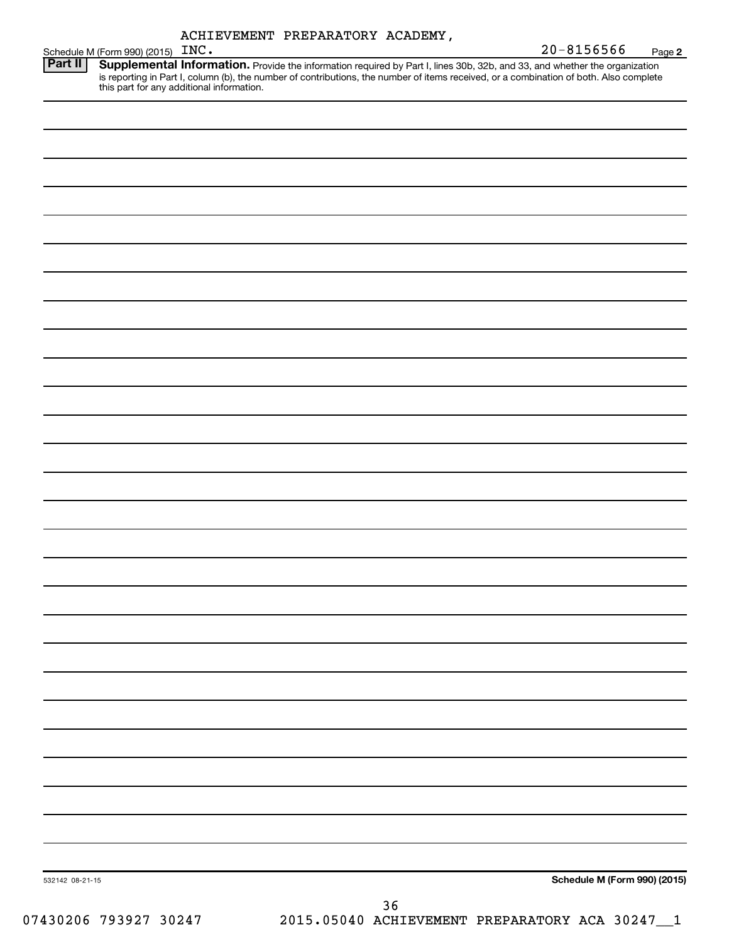| ACHIEVEMENT PREPARATORY ACADEMY, |  |  |
|----------------------------------|--|--|
|----------------------------------|--|--|

| 20-8156566 | Page 2 |
|------------|--------|

|  | $20 - 8156566$                                 | Page 2                                                                                                                                                                                                                                                                                                                                         |
|--|------------------------------------------------|------------------------------------------------------------------------------------------------------------------------------------------------------------------------------------------------------------------------------------------------------------------------------------------------------------------------------------------------|
|  |                                                |                                                                                                                                                                                                                                                                                                                                                |
|  |                                                |                                                                                                                                                                                                                                                                                                                                                |
|  |                                                |                                                                                                                                                                                                                                                                                                                                                |
|  |                                                |                                                                                                                                                                                                                                                                                                                                                |
|  |                                                |                                                                                                                                                                                                                                                                                                                                                |
|  |                                                |                                                                                                                                                                                                                                                                                                                                                |
|  |                                                |                                                                                                                                                                                                                                                                                                                                                |
|  |                                                |                                                                                                                                                                                                                                                                                                                                                |
|  |                                                |                                                                                                                                                                                                                                                                                                                                                |
|  |                                                |                                                                                                                                                                                                                                                                                                                                                |
|  |                                                |                                                                                                                                                                                                                                                                                                                                                |
|  |                                                |                                                                                                                                                                                                                                                                                                                                                |
|  |                                                |                                                                                                                                                                                                                                                                                                                                                |
|  |                                                |                                                                                                                                                                                                                                                                                                                                                |
|  |                                                |                                                                                                                                                                                                                                                                                                                                                |
|  |                                                |                                                                                                                                                                                                                                                                                                                                                |
|  |                                                |                                                                                                                                                                                                                                                                                                                                                |
|  |                                                |                                                                                                                                                                                                                                                                                                                                                |
|  |                                                |                                                                                                                                                                                                                                                                                                                                                |
|  |                                                |                                                                                                                                                                                                                                                                                                                                                |
|  |                                                |                                                                                                                                                                                                                                                                                                                                                |
|  |                                                |                                                                                                                                                                                                                                                                                                                                                |
|  |                                                |                                                                                                                                                                                                                                                                                                                                                |
|  |                                                |                                                                                                                                                                                                                                                                                                                                                |
|  |                                                |                                                                                                                                                                                                                                                                                                                                                |
|  |                                                |                                                                                                                                                                                                                                                                                                                                                |
|  |                                                |                                                                                                                                                                                                                                                                                                                                                |
|  |                                                |                                                                                                                                                                                                                                                                                                                                                |
|  |                                                |                                                                                                                                                                                                                                                                                                                                                |
|  | 2015.05040 ACHIEVEMENT PREPARATORY ACA 30247_1 |                                                                                                                                                                                                                                                                                                                                                |
|  | 36                                             | Supplemental Information. Provide the information required by Part I, lines 30b, 32b, and 33, and whether the organization<br>is reporting in Part I, column (b), the number of contributions, the number of items received, or a combination of both. Also complete this part for any additional information.<br>Schedule M (Form 990) (2015) |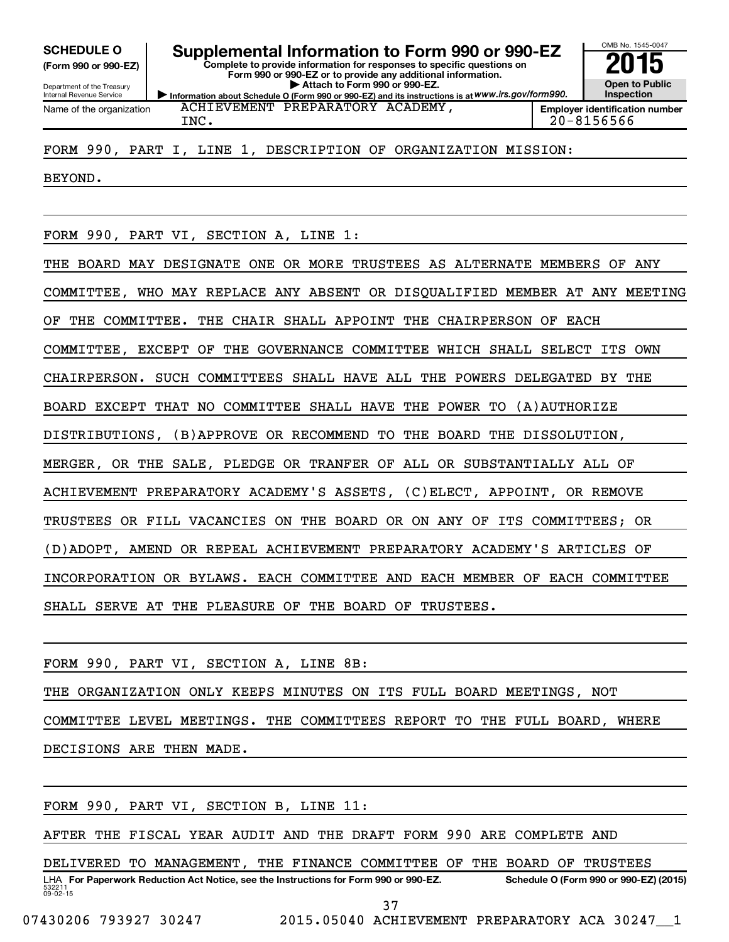**(Form 990 or 990-EZ)**

Department of the Treasury Internal Revenue Service

**Complete to provide information for responses to specific questions on Form 990 or 990-EZ or to provide any additional information.** SCHEDULE O **Supplemental Information to Form 990 or 990-EZ** 2015<br>(Form 990 or 990-EZ) Complete to provide information for responses to specific questions on

**| Attach to Form 990 or 990-EZ.**

**Information about Schedule O (Form 990 or 990-EZ) and its instructions is at WWW.irs.gov/form990. Employer identification number**

OMB No. 1545-0047 **Open to Public Inspection**

Name of the organization

ACHIEVEMENT PREPARATORY ACADEMY, INC. 20-8156566

FORM 990, PART I, LINE 1, DESCRIPTION OF ORGANIZATION MISSION:

BEYOND.

FORM 990, PART VI, SECTION A, LINE 1:

THE BOARD MAY DESIGNATE ONE OR MORE TRUSTEES AS ALTERNATE MEMBERS OF ANY COMMITTEE, WHO MAY REPLACE ANY ABSENT OR DISQUALIFIED MEMBER AT ANY MEETING OF THE COMMITTEE. THE CHAIR SHALL APPOINT THE CHAIRPERSON OF EACH COMMITTEE, EXCEPT OF THE GOVERNANCE COMMITTEE WHICH SHALL SELECT ITS OWN CHAIRPERSON. SUCH COMMITTEES SHALL HAVE ALL THE POWERS DELEGATED BY THE BOARD EXCEPT THAT NO COMMITTEE SHALL HAVE THE POWER TO (A)AUTHORIZE DISTRIBUTIONS, (B)APPROVE OR RECOMMEND TO THE BOARD THE DISSOLUTION, MERGER, OR THE SALE, PLEDGE OR TRANFER OF ALL OR SUBSTANTIALLY ALL OF ACHIEVEMENT PREPARATORY ACADEMY'S ASSETS, (C)ELECT, APPOINT, OR REMOVE TRUSTEES OR FILL VACANCIES ON THE BOARD OR ON ANY OF ITS COMMITTEES; OR (D)ADOPT, AMEND OR REPEAL ACHIEVEMENT PREPARATORY ACADEMY'S ARTICLES OF INCORPORATION OR BYLAWS. EACH COMMITTEE AND EACH MEMBER OF EACH COMMITTEE SHALL SERVE AT THE PLEASURE OF THE BOARD OF TRUSTEES.

FORM 990, PART VI, SECTION A, LINE 8B: THE ORGANIZATION ONLY KEEPS MINUTES ON ITS FULL BOARD MEETINGS, NOT COMMITTEE LEVEL MEETINGS. THE COMMITTEES REPORT TO THE FULL BOARD, WHERE DECISIONS ARE THEN MADE.

FORM 990, PART VI, SECTION B, LINE 11:

AFTER THE FISCAL YEAR AUDIT AND THE DRAFT FORM 990 ARE COMPLETE AND

532211  $09 - 02 - 15$ LHA For Paperwork Reduction Act Notice, see the Instructions for Form 990 or 990-EZ. Schedule O (Form 990 or 990-EZ) (2015) DELIVERED TO MANAGEMENT, THE FINANCE COMMITTEE OF THE BOARD OF TRUSTEES

37

07430206 793927 30247 2015.05040 ACHIEVEMENT PREPARATORY ACA 30247 1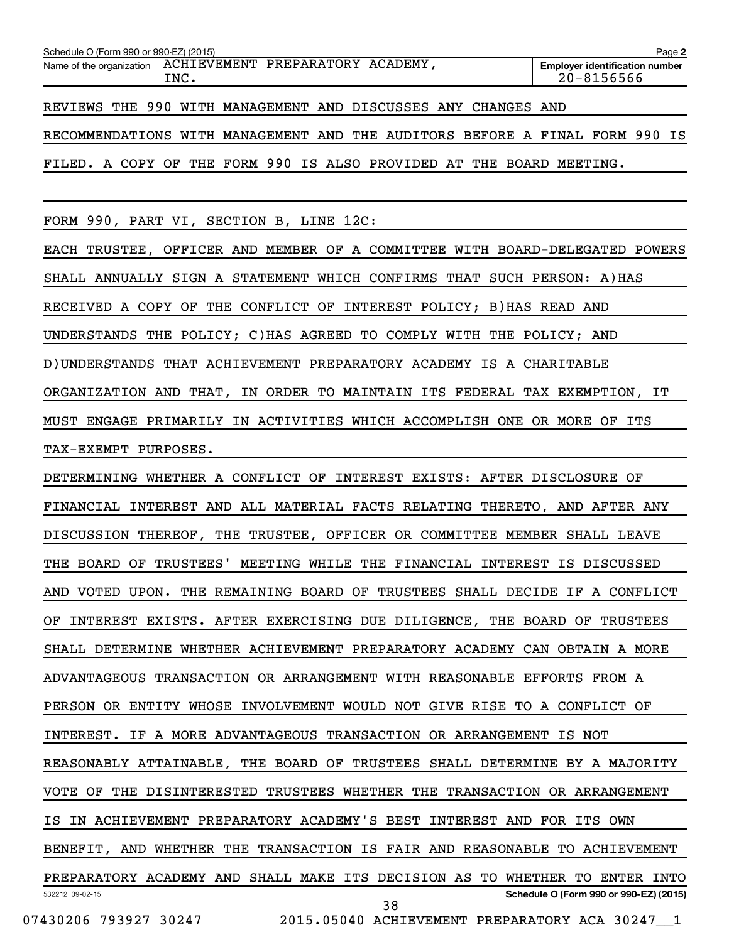| Schedule O (Form 990 or 990-EZ) (2015)                                      | Page 2                                              |  |  |  |
|-----------------------------------------------------------------------------|-----------------------------------------------------|--|--|--|
| Name of the organization ACHIEVEMENT PREPARATORY ACADEMY,<br>INC.           | <b>Employer identification number</b><br>20-8156566 |  |  |  |
| REVIEWS THE 990 WITH MANAGEMENT AND DISCUSSES ANY CHANGES AND               |                                                     |  |  |  |
| RECOMMENDATIONS WITH MANAGEMENT AND THE AUDITORS BEFORE A FINAL FORM 990 IS |                                                     |  |  |  |
| FILED. A COPY OF THE FORM 990 IS ALSO PROVIDED AT THE BOARD MEETING.        |                                                     |  |  |  |

FORM 990, PART VI, SECTION B, LINE 12C:

EACH TRUSTEE, OFFICER AND MEMBER OF A COMMITTEE WITH BOARD-DELEGATED POWERS SHALL ANNUALLY SIGN A STATEMENT WHICH CONFIRMS THAT SUCH PERSON: A)HAS RECEIVED A COPY OF THE CONFLICT OF INTEREST POLICY; B)HAS READ AND UNDERSTANDS THE POLICY; C)HAS AGREED TO COMPLY WITH THE POLICY; AND D)UNDERSTANDS THAT ACHIEVEMENT PREPARATORY ACADEMY IS A CHARITABLE ORGANIZATION AND THAT, IN ORDER TO MAINTAIN ITS FEDERAL TAX EXEMPTION, IT MUST ENGAGE PRIMARILY IN ACTIVITIES WHICH ACCOMPLISH ONE OR MORE OF ITS TAX-EXEMPT PURPOSES.

532212 09-02-15 **Schedule O (Form 990 or 990-EZ) (2015)** DETERMINING WHETHER A CONFLICT OF INTEREST EXISTS: AFTER DISCLOSURE OF FINANCIAL INTEREST AND ALL MATERIAL FACTS RELATING THERETO, AND AFTER ANY DISCUSSION THEREOF, THE TRUSTEE, OFFICER OR COMMITTEE MEMBER SHALL LEAVE THE BOARD OF TRUSTEES' MEETING WHILE THE FINANCIAL INTEREST IS DISCUSSED AND VOTED UPON. THE REMAINING BOARD OF TRUSTEES SHALL DECIDE IF A CONFLICT OF INTEREST EXISTS. AFTER EXERCISING DUE DILIGENCE, THE BOARD OF TRUSTEES SHALL DETERMINE WHETHER ACHIEVEMENT PREPARATORY ACADEMY CAN OBTAIN A MORE ADVANTAGEOUS TRANSACTION OR ARRANGEMENT WITH REASONABLE EFFORTS FROM A PERSON OR ENTITY WHOSE INVOLVEMENT WOULD NOT GIVE RISE TO A CONFLICT OF INTEREST. IF A MORE ADVANTAGEOUS TRANSACTION OR ARRANGEMENT IS NOT REASONABLY ATTAINABLE, THE BOARD OF TRUSTEES SHALL DETERMINE BY A MAJORITY VOTE OF THE DISINTERESTED TRUSTEES WHETHER THE TRANSACTION OR ARRANGEMENT IS IN ACHIEVEMENT PREPARATORY ACADEMY'S BEST INTEREST AND FOR ITS OWN BENEFIT, AND WHETHER THE TRANSACTION IS FAIR AND REASONABLE TO ACHIEVEMENT PREPARATORY ACADEMY AND SHALL MAKE ITS DECISION AS TO WHETHER TO ENTER INTO 07430206 793927 30247 2015.05040 ACHIEVEMENT PREPARATORY ACA 30247\_\_1 38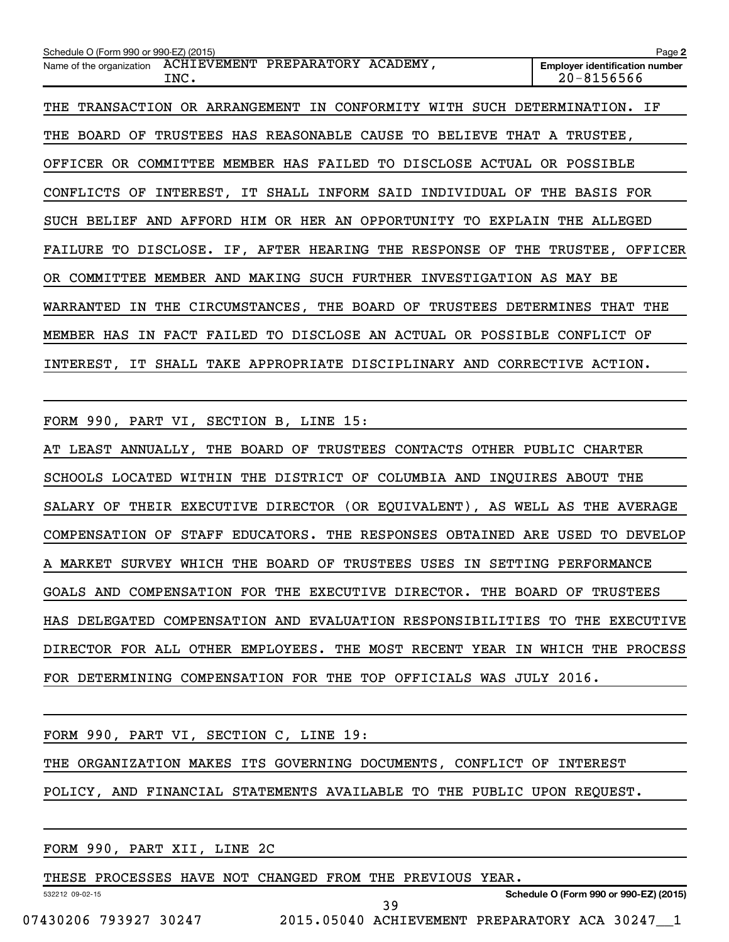| Schedule O (Form 990 or 990-EZ) (2015)                                      | Page 2                                              |
|-----------------------------------------------------------------------------|-----------------------------------------------------|
| ACHIEVEMENT PREPARATORY ACADEMY,<br>Name of the organization<br>INC.        | <b>Employer identification number</b><br>20-8156566 |
| THE TRANSACTION OR ARRANGEMENT IN CONFORMITY WITH SUCH DETERMINATION.       | ΙF.                                                 |
| THE BOARD OF TRUSTEES HAS REASONABLE CAUSE TO BELIEVE THAT A TRUSTEE,       |                                                     |
| OFFICER OR COMMITTEE MEMBER HAS FAILED TO DISCLOSE ACTUAL OR POSSIBLE       |                                                     |
| CONFLICTS OF INTEREST, IT SHALL INFORM SAID INDIVIDUAL OF THE BASIS FOR     |                                                     |
| AND AFFORD HIM OR HER AN OPPORTUNITY TO<br><b>SUCH BELIEF</b><br>EXPLAIN    | THE ALLEGED                                         |
| FAILURE TO DISCLOSE. IF, AFTER HEARING THE RESPONSE OF THE TRUSTEE, OFFICER |                                                     |
| OR COMMITTEE MEMBER AND MAKING SUCH FURTHER INVESTIGATION AS MAY BE         |                                                     |
| WARRANTED IN THE CIRCUMSTANCES, THE BOARD OF TRUSTEES DETERMINES THAT THE   |                                                     |
| IN FACT FAILED TO DISCLOSE AN ACTUAL OR POSSIBLE<br>MEMBER HAS              | CONFLICT OF                                         |
| INTEREST, IT SHALL TAKE APPROPRIATE DISCIPLINARY AND CORRECTIVE ACTION.     |                                                     |

FORM 990, PART VI, SECTION B, LINE 15:

AT LEAST ANNUALLY, THE BOARD OF TRUSTEES CONTACTS OTHER PUBLIC CHARTER SCHOOLS LOCATED WITHIN THE DISTRICT OF COLUMBIA AND INQUIRES ABOUT THE SALARY OF THEIR EXECUTIVE DIRECTOR (OR EQUIVALENT), AS WELL AS THE AVERAGE COMPENSATION OF STAFF EDUCATORS. THE RESPONSES OBTAINED ARE USED TO DEVELOP A MARKET SURVEY WHICH THE BOARD OF TRUSTEES USES IN SETTING PERFORMANCE GOALS AND COMPENSATION FOR THE EXECUTIVE DIRECTOR. THE BOARD OF TRUSTEES HAS DELEGATED COMPENSATION AND EVALUATION RESPONSIBILITIES TO THE EXECUTIVE DIRECTOR FOR ALL OTHER EMPLOYEES. THE MOST RECENT YEAR IN WHICH THE PROCESS FOR DETERMINING COMPENSATION FOR THE TOP OFFICIALS WAS JULY 2016.

|  |  | FORM 990, PART VI, SECTION C, LINE 19: |  |  |  |  |                                                                        |  |
|--|--|----------------------------------------|--|--|--|--|------------------------------------------------------------------------|--|
|  |  |                                        |  |  |  |  | THE ORGANIZATION MAKES ITS GOVERNING DOCUMENTS, CONFLICT OF INTEREST   |  |
|  |  |                                        |  |  |  |  | POLICY, AND FINANCIAL STATEMENTS AVAILABLE TO THE PUBLIC UPON REQUEST. |  |
|  |  |                                        |  |  |  |  |                                                                        |  |

|  |  | FORM 990, PART XII, LINE 2C |  |  |  |
|--|--|-----------------------------|--|--|--|
|--|--|-----------------------------|--|--|--|

THESE PROCESSES HAVE NOT CHANGED FROM THE PREVIOUS YEAR.

**Schedule O (Form 990 or 990-EZ) (2015)**

532212 09-02-15

07430206 793927 30247 2015.05040 ACHIEVEMENT PREPARATORY ACA 30247\_\_1